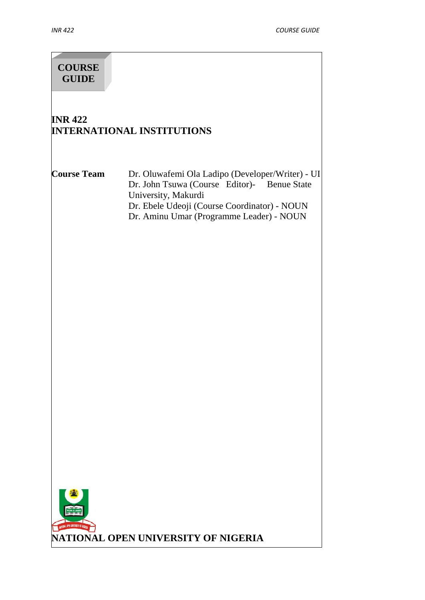# **COURSE GUIDE**

# **INR 422 INTERNATIONAL INSTITUTIONS**

**Course Team** Dr. Oluwafemi Ola Ladipo (Developer/Writer) - UI Dr. John Tsuwa (Course Editor)- Benue State University, Makurdi Dr. Ebele Udeoji (Course Coordinator) - NOUN Dr. Aminu Umar (Programme Leader) - NOUN

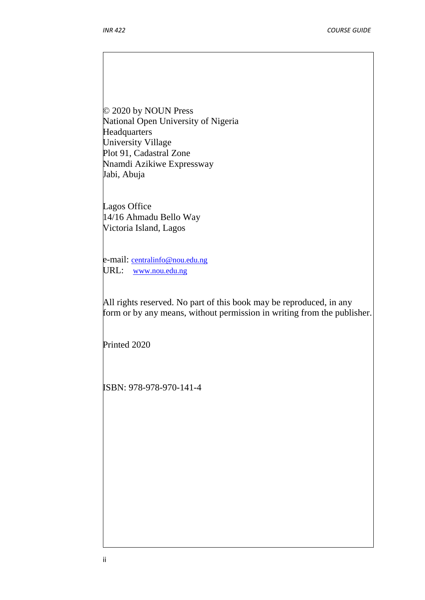© 2020 by NOUN Press National Open University of Nigeria **Headquarters** University Village Plot 91, Cadastral Zone Nnamdi Azikiwe Expressway Jabi, Abuja

Lagos Office 14/16 Ahmadu Bello Way Victoria Island, Lagos

e-mail: centralinfo@nou.edu.ng URL: www.nou.edu.ng

All rights reserved. No part of this book may be reproduced, in any form or by any means, without permission in writing from the publisher.

Printed 2020

ISBN: 978-978-970-141-4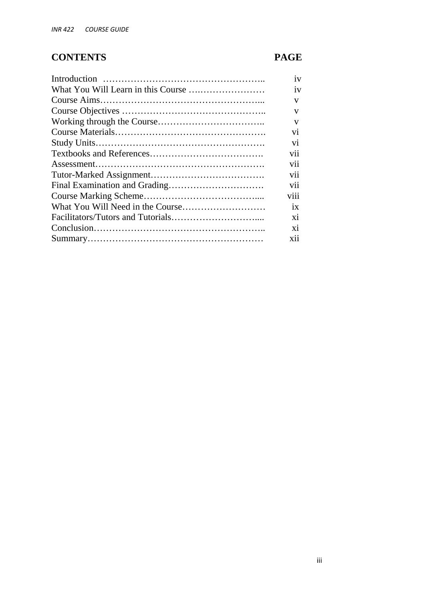# **CONTENTS PAGE**

| 1V             |  |
|----------------|--|
| iv             |  |
| V              |  |
| V              |  |
| V              |  |
| V <sub>1</sub> |  |
| V <sub>1</sub> |  |
| <b>V11</b>     |  |
| <b>V11</b>     |  |
| vii            |  |
| V11            |  |
| viii           |  |
| 1X             |  |
| X1             |  |
| X1             |  |
| X11            |  |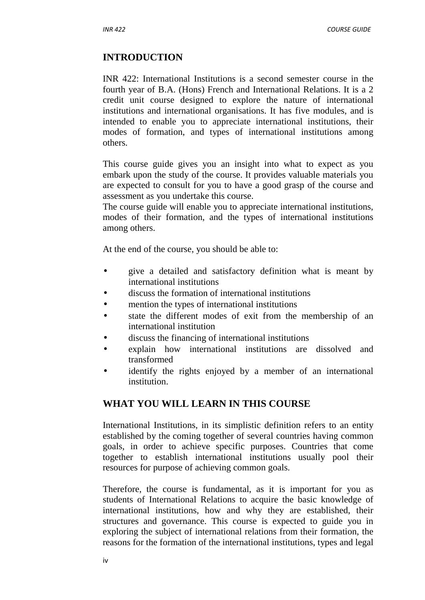# **INTRODUCTION**

INR 422: International Institutions is a second semester course in the fourth year of B.A. (Hons) French and International Relations. It is a 2 credit unit course designed to explore the nature of international institutions and international organisations. It has five modules, and is intended to enable you to appreciate international institutions, their modes of formation, and types of international institutions among others.

This course guide gives you an insight into what to expect as you embark upon the study of the course. It provides valuable materials you are expected to consult for you to have a good grasp of the course and assessment as you undertake this course.

The course guide will enable you to appreciate international institutions, modes of their formation, and the types of international institutions among others.

At the end of the course, you should be able to:

- give a detailed and satisfactory definition what is meant by international institutions
- discuss the formation of international institutions
- mention the types of international institutions
- state the different modes of exit from the membership of an international institution
- discuss the financing of international institutions
- explain how international institutions are dissolved and transformed
- identify the rights enjoyed by a member of an international institution.

# **WHAT YOU WILL LEARN IN THIS COURSE**

International Institutions, in its simplistic definition refers to an entity established by the coming together of several countries having common goals, in order to achieve specific purposes. Countries that come together to establish international institutions usually pool their resources for purpose of achieving common goals.

Therefore, the course is fundamental, as it is important for you as students of International Relations to acquire the basic knowledge of international institutions, how and why they are established, their structures and governance. This course is expected to guide you in exploring the subject of international relations from their formation, the reasons for the formation of the international institutions, types and legal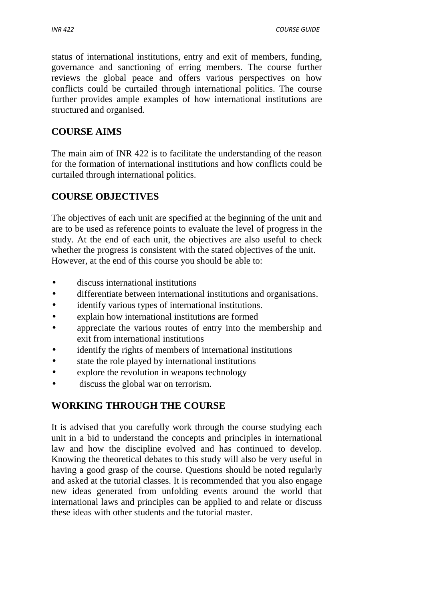status of international institutions, entry and exit of members, funding, governance and sanctioning of erring members. The course further reviews the global peace and offers various perspectives on how conflicts could be curtailed through international politics. The course further provides ample examples of how international institutions are structured and organised.

# **COURSE AIMS**

The main aim of INR 422 is to facilitate the understanding of the reason for the formation of international institutions and how conflicts could be curtailed through international politics.

# **COURSE OBJECTIVES**

The objectives of each unit are specified at the beginning of the unit and are to be used as reference points to evaluate the level of progress in the study. At the end of each unit, the objectives are also useful to check whether the progress is consistent with the stated objectives of the unit. However, at the end of this course you should be able to:

- discuss international institutions
- differentiate between international institutions and organisations.
- identify various types of international institutions.
- explain how international institutions are formed
- appreciate the various routes of entry into the membership and exit from international institutions
- identify the rights of members of international institutions
- state the role played by international institutions
- explore the revolution in weapons technology
- discuss the global war on terrorism.

# **WORKING THROUGH THE COURSE**

It is advised that you carefully work through the course studying each unit in a bid to understand the concepts and principles in international law and how the discipline evolved and has continued to develop. Knowing the theoretical debates to this study will also be very useful in having a good grasp of the course. Questions should be noted regularly and asked at the tutorial classes. It is recommended that you also engage new ideas generated from unfolding events around the world that international laws and principles can be applied to and relate or discuss these ideas with other students and the tutorial master.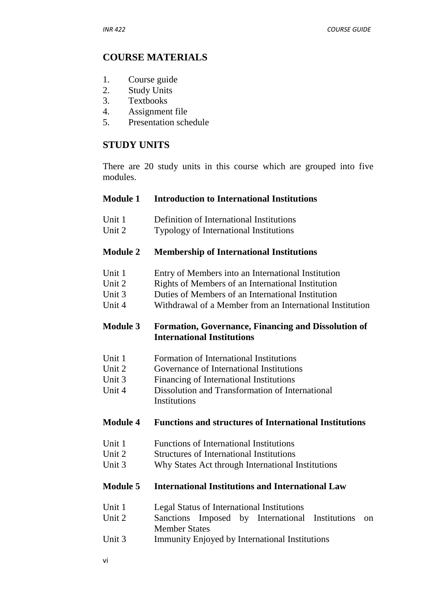# **COURSE MATERIALS**

- 1. Course guide
- 2. Study Units
- 3. Textbooks
- 4. Assignment file
- 5. Presentation schedule

# **STUDY UNITS**

There are 20 study units in this course which are grouped into five modules.

# **Module 1 Introduction to International Institutions**

- Unit 1 Definition of International Institutions
- Unit 2 Typology of International Institutions

## **Module 2 Membership of International Institutions**

- Unit 1 Entry of Members into an International Institution
- Unit 2 Rights of Members of an International Institution
- Unit 3 Duties of Members of an International Institution
- Unit 4 Withdrawal of a Member from an International Institution

# **Module 3 Formation, Governance, Financing and Dissolution of International Institutions**

- Unit 1 Formation of International Institutions
- Unit 2 Governance of International Institutions
- Unit 3 Financing of International Institutions
- Unit 4 Dissolution and Transformation of International **Institutions**

# **Module 4 Functions and structures of International Institutions**

- Unit 1 Functions of International Institutions
- Unit 2 Structures of International Institutions
- Unit 3 Why States Act through International Institutions

## **Module 5 International Institutions and International Law**

- Unit 1 Legal Status of International Institutions
- Unit 2 Sanctions Imposed by International Institutions on Member States
- Unit 3 Immunity Enjoyed by International Institutions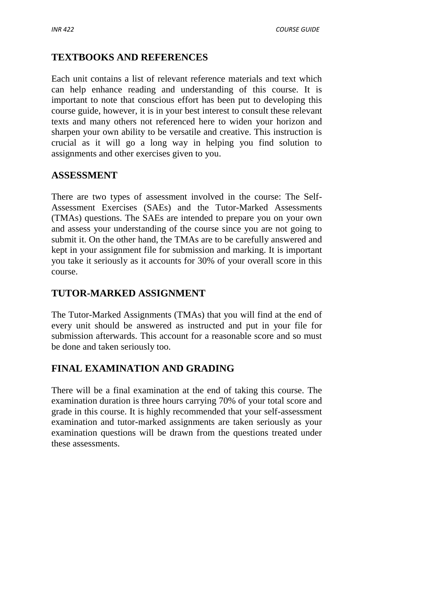# **TEXTBOOKS AND REFERENCES**

Each unit contains a list of relevant reference materials and text which can help enhance reading and understanding of this course. It is important to note that conscious effort has been put to developing this course guide, however, it is in your best interest to consult these relevant texts and many others not referenced here to widen your horizon and sharpen your own ability to be versatile and creative. This instruction is crucial as it will go a long way in helping you find solution to assignments and other exercises given to you.

# **ASSESSMENT**

There are two types of assessment involved in the course: The Self- Assessment Exercises (SAEs) and the Tutor-Marked Assessments (TMAs) questions. The SAEs are intended to prepare you on your own and assess your understanding of the course since you are not going to submit it. On the other hand, the TMAs are to be carefully answered and kept in your assignment file for submission and marking. It is important you take it seriously as it accounts for 30% of your overall score in this course.

# **TUTOR-MARKED ASSIGNMENT**

The Tutor-Marked Assignments (TMAs) that you will find at the end of every unit should be answered as instructed and put in your file for submission afterwards. This account for a reasonable score and so must be done and taken seriously too.

# **FINAL EXAMINATION AND GRADING**

There will be a final examination at the end of taking this course. The examination duration is three hours carrying 70% of your total score and grade in this course. It is highly recommended that your self-assessment examination and tutor-marked assignments are taken seriously as your examination questions will be drawn from the questions treated under these assessments.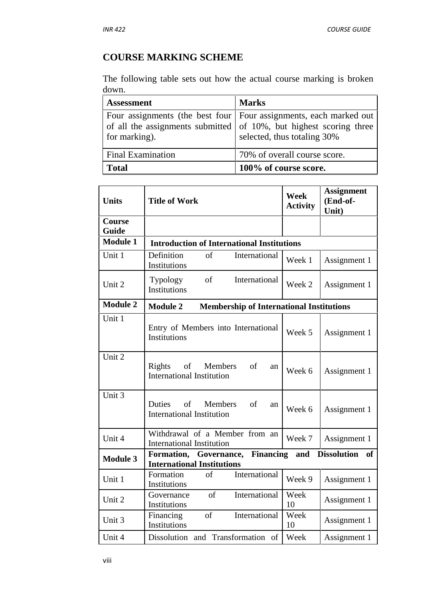# **COURSE MARKING SCHEME**

The following table sets out how the actual course marking is broken down.

| <b>Assessment</b>        | <b>Marks</b>                                                                                                                                                             |
|--------------------------|--------------------------------------------------------------------------------------------------------------------------------------------------------------------------|
| for marking).            | Four assignments (the best four   Four assignments, each marked out<br>of all the assignments submitted of 10%, but highest scoring three<br>selected, thus totaling 30% |
| <b>Final Examination</b> | 70% of overall course score.                                                                                                                                             |
| <b>Total</b>             | 100% of course score.                                                                                                                                                    |

| <b>Units</b><br><b>Title of Work</b>                                                     | <b>Week</b><br><b>Activity</b> | <b>Assignment</b><br>(End-of-<br>Unit) |
|------------------------------------------------------------------------------------------|--------------------------------|----------------------------------------|
| Course<br>Guide                                                                          |                                |                                        |
| <b>Module 1</b><br><b>Introduction of International Institutions</b>                     |                                |                                        |
| Unit 1<br>$\sigma$ f<br>Definition<br>International<br><b>Institutions</b>               | Week 1                         | Assignment 1                           |
| of<br>International<br><b>Typology</b><br>Unit 2<br><b>Institutions</b>                  | Week 2                         | Assignment 1                           |
| <b>Module 2</b><br><b>Module 2</b><br><b>Membership of International Institutions</b>    |                                |                                        |
| Unit 1<br>Entry of Members into International<br>Institutions                            | Week 5                         | Assignment 1                           |
| Unit 2<br>of<br>Members<br>of<br>Rights<br>an<br><b>International Institution</b>        | Week 6                         | Assignment 1                           |
| Unit 3<br>Duties<br>of<br><b>Members</b><br>of<br>an<br><b>International Institution</b> | Week 6                         | Assignment 1                           |
| Withdrawal of a Member from an<br>Unit 4<br><b>International Institution</b>             | Week 7                         | Assignment 1                           |
| Formation, Governance, Financing<br><b>Module 3</b><br><b>International Institutions</b> | and                            | <b>Dissolution</b><br>of               |
| of<br>International<br>Formation<br>Unit 1<br>Institutions                               | Week 9                         | Assignment 1                           |
| International<br>of<br>Governance<br>Unit 2<br>Institutions                              | Week<br>10                     | Assignment 1                           |
| International<br>of<br>Financing<br>Unit 3<br>Institutions                               | Week<br>10                     | Assignment 1                           |
| Dissolution and Transformation of<br>Unit 4                                              |                                |                                        |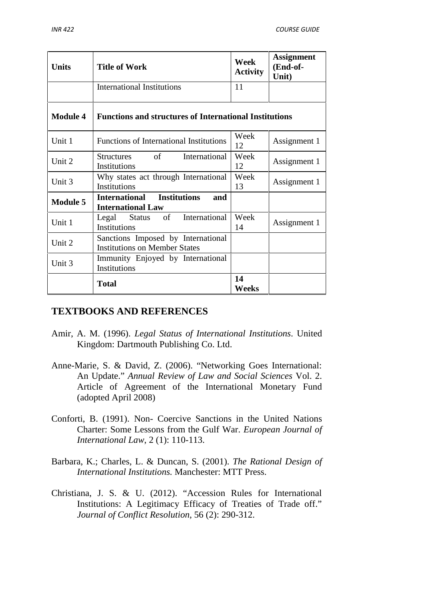| <b>Units</b>    | <b>Title of Work</b>                                                       | Week<br><b>Activity</b> | <b>Assignment</b><br>(End-of-<br>Unit) |
|-----------------|----------------------------------------------------------------------------|-------------------------|----------------------------------------|
|                 | <b>International Institutions</b>                                          | 11                      |                                        |
| <b>Module 4</b> | <b>Functions and structures of International Institutions</b>              |                         |                                        |
| Unit 1          | <b>Functions of International Institutions</b>                             | Week<br>12              | Assignment 1                           |
| Unit 2          | of the order<br>International<br><b>Structures</b><br>Institutions         | Week<br>12              | Assignment 1                           |
| Unit 3          | Why states act through International<br>Institutions                       | Week<br>13              | Assignment 1                           |
| <b>Module 5</b> | International Institutions<br>and<br><b>International Law</b>              |                         |                                        |
| Unit 1          | Legal Status of International<br>Institutions                              | Week<br>14              | Assignment 1                           |
| Unit 2          | Sanctions Imposed by International<br><b>Institutions on Member States</b> |                         |                                        |
| Unit 3          | Immunity Enjoyed by International<br>Institutions                          |                         |                                        |
|                 | <b>Total</b>                                                               | 14<br><b>Weeks</b>      |                                        |

# **TEXTBOOKS AND REFERENCES**

- Amir, A. M. (1996). *Legal Status of International Institutions*. United Kingdom: Dartmouth Publishing Co. Ltd.
- Anne-Marie, S. & David, Z. (2006). "Networking Goes International: An Update." *Annual Review of Law and Social Sciences* Vol. 2. Article of Agreement of the International Monetary Fund (adopted April 2008)
- Conforti, B. (1991). Non- Coercive Sanctions in the United Nations Charter: Some Lessons from the Gulf War. *European Journal of International Law*, 2 (1): 110-113.
- Barbara, K.; Charles, L. & Duncan, S. (2001). *The Rational Design of International Institutions.* Manchester: MTT Press.
- Christiana, J. S. & U. (2012). "Accession Rules for International Institutions: A Legitimacy Efficacy of Treaties of Trade off." *Journal of Conflict Resolution*, 56 (2): 290-312.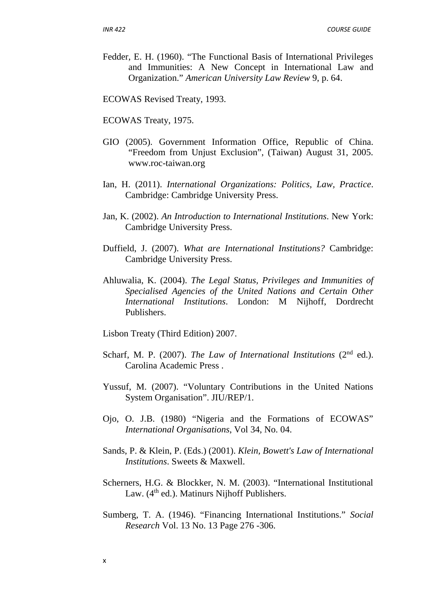Fedder, E. H. (1960). "The Functional Basis of International Privileges and Immunities: A New Concept in International Law and Organization." *American University Law Review* 9, p. 64.

ECOWAS Revised Treaty, 1993.

ECOWAS Treaty, 1975.

- GIO (2005). Government Information Office, Republic of China. "Freedom from Unjust Exclusion", (Taiwan) August 31, 2005. www.roc-taiwan.org
- Ian, H. (2011). *International Organizations: Politics, Law, Practice*. Cambridge: Cambridge University Press.
- Jan, K. (2002). *An Introduction to International Institutions*. New York: Cambridge University Press.
- Duffield, J. (2007). *What are International Institutions?* Cambridge: Cambridge University Press.
- Ahluwalia, K. (2004). *The Legal Status, Privileges and Immunities of Specialised Agencies of the United Nations and Certain Other International Institutions*. London: M Nijhoff, Dordrecht Publishers.

Lisbon Treaty (Third Edition) 2007.

- Scharf, M. P. (2007). *The Law of International Institutions* (2<sup>nd</sup> ed.). Carolina Academic Press .
- Yussuf, M. (2007). "Voluntary Contributions in the United Nations System Organisation". JIU/REP/1.
- Ojo, O. J.B. (1980) "Nigeria and the Formations of ECOWAS" *International Organisations*, Vol 34, No. 04.
- Sands, P. & Klein, P. (Eds.) (2001). *Klein, Bowett's Law of International Institutions*. Sweets & Maxwell.
- Scherners, H.G. & Blockker, N. M. (2003). "International Institutional Law. (4<sup>th</sup> ed.). Matinurs Nijhoff Publishers.
- Sumberg, T. A. (1946). "Financing International Institutions." *Social Research* Vol. 13 No. 13 Page 276 -306.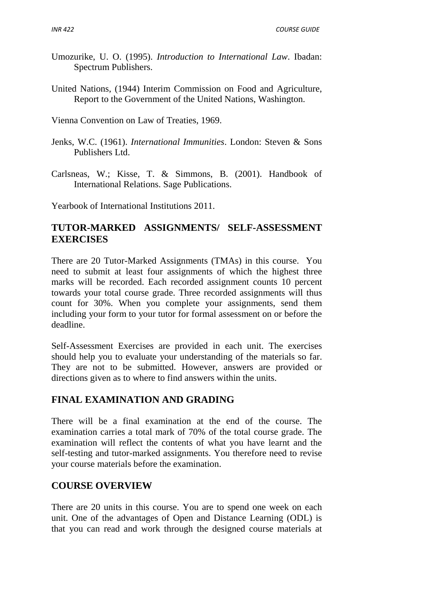- Umozurike, U. O. (1995). *Introduction to International Law*. Ibadan: Spectrum Publishers.
- United Nations, (1944) Interim Commission on Food and Agriculture, Report to the Government of the United Nations, Washington.

Vienna Convention on Law of Treaties, 1969.

- Jenks, W.C. (1961). *International Immunities*. London: Steven & Sons Publishers Ltd.
- Carlsneas, W.; Kisse, T. & Simmons, B. (2001). Handbook of International Relations. Sage Publications.

Yearbook of International Institutions 2011.

# **TUTOR-MARKED ASSIGNMENTS/ SELF-ASSESSMENT EXERCISES**

There are 20 Tutor-Marked Assignments (TMAs) in this course. You need to submit at least four assignments of which the highest three marks will be recorded. Each recorded assignment counts 10 percent towards your total course grade. Three recorded assignments will thus count for 30%. When you complete your assignments, send them including your form to your tutor for formal assessment on or before the deadline.

Self-Assessment Exercises are provided in each unit. The exercises should help you to evaluate your understanding of the materials so far. They are not to be submitted. However, answers are provided or directions given as to where to find answers within the units.

# **FINAL EXAMINATION AND GRADING**

There will be a final examination at the end of the course. The examination carries a total mark of 70% of the total course grade. The examination will reflect the contents of what you have learnt and the self-testing and tutor-marked assignments. You therefore need to revise your course materials before the examination.

# **COURSE OVERVIEW**

There are 20 units in this course. You are to spend one week on each unit. One of the advantages of Open and Distance Learning (ODL) is that you can read and work through the designed course materials at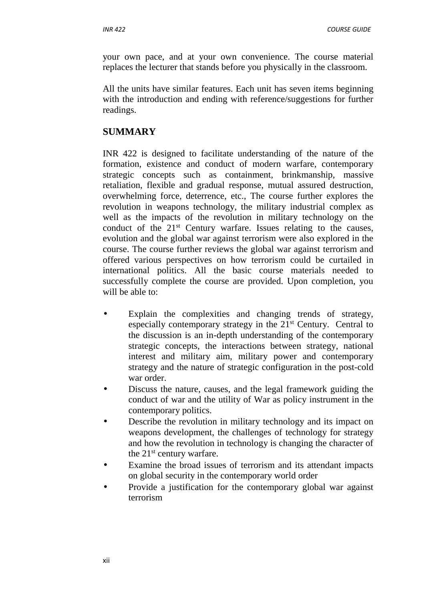your own pace, and at your own convenience. The course material replaces the lecturer that stands before you physically in the classroom.

All the units have similar features. Each unit has seven items beginning with the introduction and ending with reference/suggestions for further readings.

# **SUMMARY**

INR 422 is designed to facilitate understanding of the nature of the formation, existence and conduct of modern warfare, contemporary strategic concepts such as containment, brinkmanship, massive retaliation, flexible and gradual response, mutual assured destruction, overwhelming force, deterrence, etc., The course further explores the revolution in weapons technology, the military industrial complex as well as the impacts of the revolution in military technology on the conduct of the  $21<sup>st</sup>$  Century warfare. Issues relating to the causes, evolution and the global war against terrorism were also explored in the course. The course further reviews the global war against terrorism and offered various perspectives on how terrorism could be curtailed in international politics. All the basic course materials needed to successfully complete the course are provided. Upon completion, you will be able to:

- Explain the complexities and changing trends of strategy, especially contemporary strategy in the 21<sup>st</sup> Century. Central to the discussion is an in-depth understanding of the contemporary strategic concepts, the interactions between strategy, national interest and military aim, military power and contemporary strategy and the nature of strategic configuration in the post-cold war order.
- Discuss the nature, causes, and the legal framework guiding the conduct of war and the utility of War as policy instrument in the contemporary politics.
- Describe the revolution in military technology and its impact on weapons development, the challenges of technology for strategy and how the revolution in technology is changing the character of the  $21<sup>st</sup>$  century warfare.
- Examine the broad issues of terrorism and its attendant impacts on global security in the contemporary world order
- Provide a justification for the contemporary global war against terrorism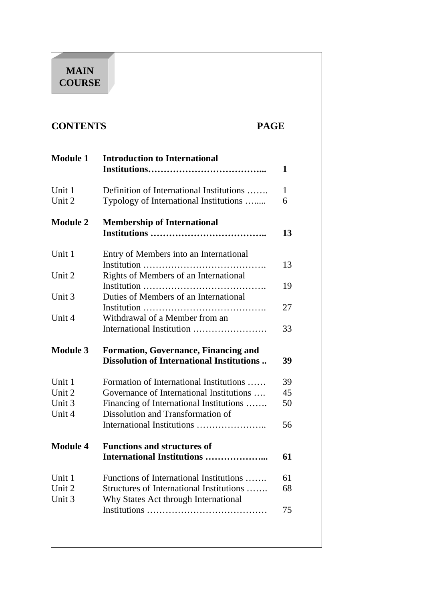# **MAIN COURSE**

# **CONTENTS PAGE**

|                            | <b>Module 1</b> Introduction to International                                            | 1  |
|----------------------------|------------------------------------------------------------------------------------------|----|
| Unit 1                     | Definition of International Institutions                                                 | 1  |
| Unit 2                     | Typology of International Institutions                                                   | 6  |
| Module 2                   | <b>Membership of International</b>                                                       | 13 |
|                            |                                                                                          |    |
| Unit 1                     | Entry of Members into an International<br>Institution                                    | 13 |
| Unit 2                     | Rights of Members of an International                                                    | 19 |
| Unit 3                     | Duties of Members of an International                                                    | 27 |
| Unit 4                     | Withdrawal of a Member from an                                                           | 33 |
| Module 3                   | <b>Formation, Governance, Financing and</b><br>Dissolution of International Institutions | 39 |
| Unit 1                     | Formation of International Institutions                                                  | 39 |
| Unit $2$                   | Governance of International Institutions                                                 | 45 |
| Unit $3$<br> Unit 4        | Financing of International Institutions<br>Dissolution and Transformation of             | 50 |
|                            |                                                                                          | 56 |
| Module 4                   | <b>Functions and structures of</b><br><b>International Institutions </b>                 | 61 |
|                            |                                                                                          |    |
|                            | Functions of International Institutions                                                  | 61 |
| Unit 1<br>Unit 2<br>Unit 3 | Structures of International Institutions<br>Why States Act through International         | 68 |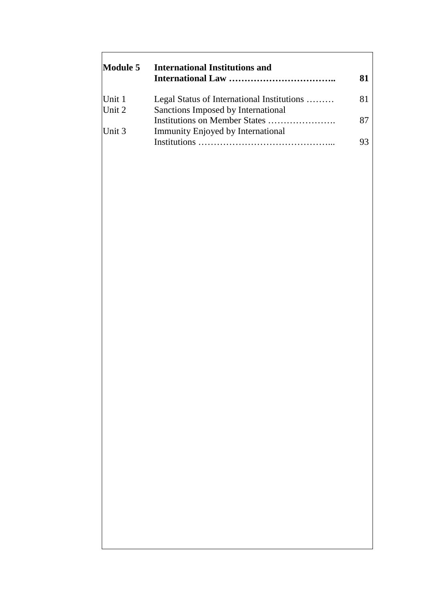| Module 5 | <b>International Institutions and</b>      |    |
|----------|--------------------------------------------|----|
|          |                                            |    |
| Unit 1   | Legal Status of International Institutions | 81 |
| Unit $2$ | Sanctions Imposed by International         |    |
|          |                                            |    |
| Unit 3   | Immunity Enjoyed by International          |    |
|          | Institutions                               |    |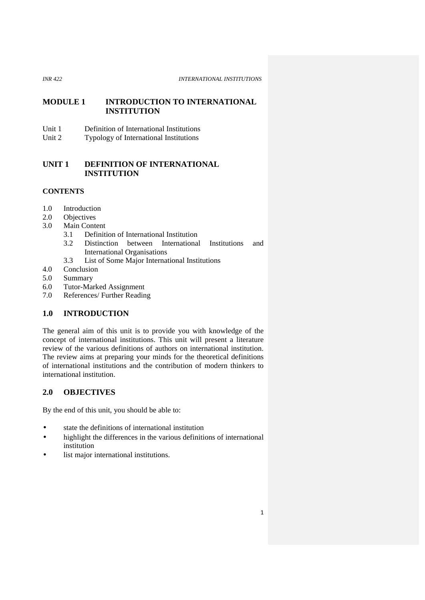### **MODULE 1 INTRODUCTION TO INTERNATIONAL INSTITUTION**

- Unit 1 Definition of International Institutions<br>Unit 2 Typology of International Institutions
- Typology of International Institutions

## **UNIT 1 DEFINITION OF INTERNATIONAL INSTITUTION**

## **CONTENTS**

- 1.0 Introduction<br>2.0 Objectives
- **Objectives**
- 3.0 Main Content
	- 3.1 Definition of International Institution
	- 3.2 Distinction between International Institutions and International Organisations
	- 3.3 List of Some Major International Institutions
- 4.0 Conclusion
- 5.0 Summary
- 6.0 Tutor-Marked Assignment
- 7.0 References/ Further Reading

## **1.0 INTRODUCTION**

The general aim of this unit is to provide you with knowledge of the concept of international institutions. This unit will present a literature review of the various definitions of authors on international institution. The review aims at preparing your minds for the theoretical definitions of international institutions and the contribution of modern thinkers to international institution.

### **2.0 OBJECTIVES**

By the end of this unit, you should be able to:

- state the definitions of international institution
- highlight the differences in the various definitions of international institution
- list major international institutions.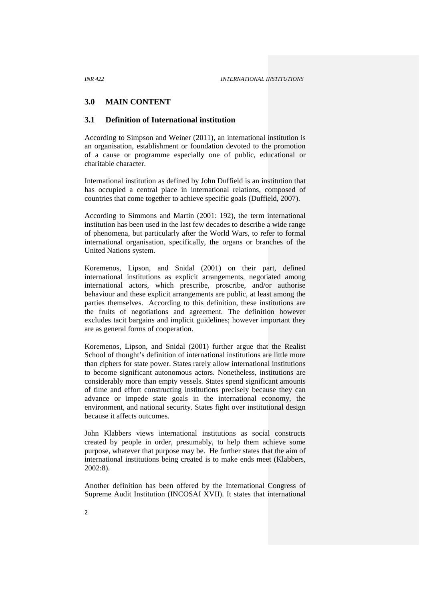#### **3.0 MAIN CONTENT**

#### **3.1 Definition of International institution**

According to Simpson and Weiner (2011), an international institution is an organisation, establishment or foundation devoted to the promotion of a cause or programme especially one of public, educational or charitable character.

International institution as defined by John Duffield is an institution that has occupied a central place in international relations, composed of countries that come together to achieve specific goals (Duffield, 2007).

According to Simmons and Martin (2001: 192), the term international institution has been used in the last few decades to describe a wide range of phenomena, but particularly after the World Wars, to refer to formal international organisation, specifically, the organs or branches of the United Nations system.

Koremenos, Lipson, and Snidal (2001) on their part, defined international institutions as explicit arrangements, negotiated among international actors, which prescribe, proscribe, and/or authorise behaviour and these explicit arrangements are public, at least among the parties themselves. According to this definition, these institutions are the fruits of negotiations and agreement. The definition however excludes tacit bargains and implicit guidelines; however important they are as general forms of cooperation.

Koremenos, Lipson, and Snidal (2001) further argue that the Realist School of thought's definition of international institutions are little more than ciphers for state power. States rarely allow international institutions to become significant autonomous actors. Nonetheless, institutions are considerably more than empty vessels. States spend significant amounts of time and effort constructing institutions precisely because they can advance or impede state goals in the international economy, the environment, and national security. States fight over institutional design because it affects outcomes.

John Klabbers views international institutions as social constructs created by people in order, presumably, to help them achieve some purpose, whatever that purpose may be. He further states that the aim of international institutions being created is to make ends meet (Klabbers, 2002:8).

Another definition has been offered by the International Congress of Supreme Audit Institution (INCOSAI XVII). It states that international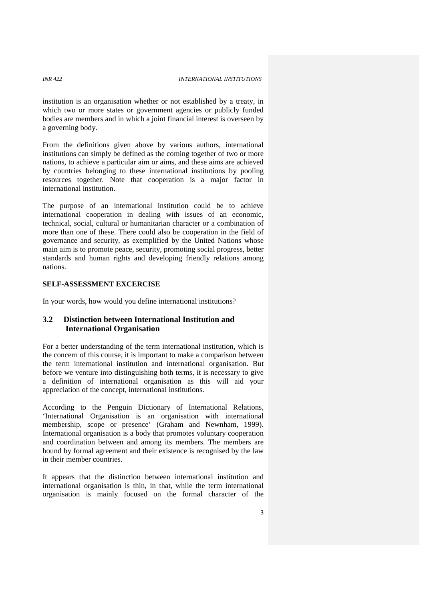institution is an organisation whether or not established by a treaty, in which two or more states or government agencies or publicly funded bodies are members and in which a joint financial interest is overseen by a governing body.

From the definitions given above by various authors, international institutions can simply be defined as the coming together of two or more nations, to achieve a particular aim or aims, and these aims are achieved by countries belonging to these international institutions by pooling resources together. Note that cooperation is a major factor in international institution.

The purpose of an international institution could be to achieve international cooperation in dealing with issues of an economic, technical, social, cultural or humanitarian character or a combination of more than one of these. There could also be cooperation in the field of governance and security, as exemplified by the United Nations whose main aim is to promote peace, security, promoting social progress, better standards and human rights and developing friendly relations among nations.

#### **SELF-ASSESSMENT EXCERCISE**

In your words, how would you define international institutions?

### **3.2 Distinction between International Institution and International Organisation**

For a better understanding of the term international institution, which is the concern of this course, it is important to make a comparison between the term international institution and international organisation. But before we venture into distinguishing both terms, it is necessary to give a definition of international organisation as this will aid your appreciation of the concept, international institutions.

According to the Penguin Dictionary of International Relations, 'International Organisation is an organisation with international membership, scope or presence' (Graham and Newnham, 1999). International organisation is a body that promotes voluntary cooperation and coordination between and among its members. The members are bound by formal agreement and their existence is recognised by the law in their member countries.

It appears that the distinction between international institution and international organisation is thin, in that, while the term international organisation is mainly focused on the formal character of the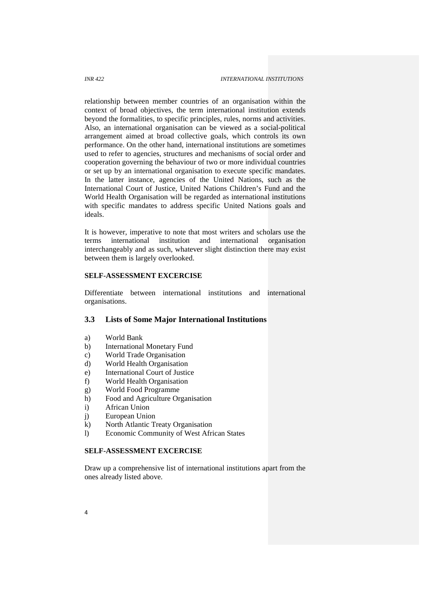relationship between member countries of an organisation within the context of broad objectives, the term international institution extends beyond the formalities, to specific principles, rules, norms and activities. Also, an international organisation can be viewed as a social-political arrangement aimed at broad collective goals, which controls its own performance. On the other hand, international institutions are sometimes used to refer to agencies, structures and mechanisms of social order and cooperation governing the behaviour of two or more individual countries or set up by an international organisation to execute specific mandates. In the latter instance, agencies of the United Nations, such as the International Court of Justice, United Nations Children's Fund and the World Health Organisation will be regarded as international institutions with specific mandates to address specific United Nations goals and ideals.

It is however, imperative to note that most writers and scholars use the terms international institution and international organisation interchangeably and as such, whatever slight distinction there may exist between them is largely overlooked.

#### **SELF-ASSESSMENT EXCERCISE**

Differentiate between international institutions and international organisations.

#### **3.3 Lists of Some Major International Institutions**

- a) World Bank
- b) International Monetary Fund
- c) World Trade Organisation
- d) World Health Organisation
- e) International Court of Justice
- f) World Health Organisation
- g) World Food Programme
- h) Food and Agriculture Organisation
- i) African Union
- j) European Union
- k) North Atlantic Treaty Organisation
- l) Economic Community of West African States

### **SELF-ASSESSMENT EXCERCISE**

Draw up a comprehensive list of international institutions apart from the ones already listed above.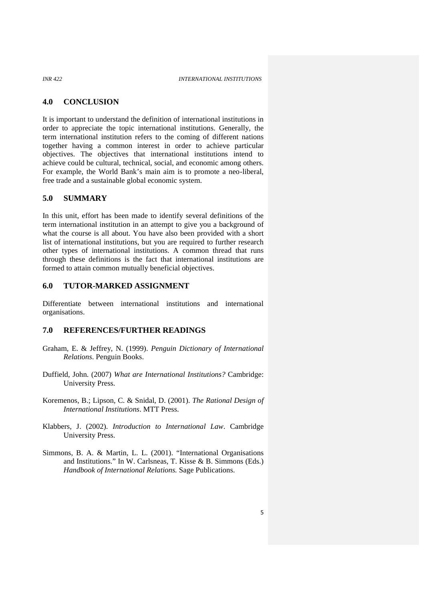#### **4.0 CONCLUSION**

It is important to understand the definition of international institutions in order to appreciate the topic international institutions. Generally, the term international institution refers to the coming of different nations together having a common interest in order to achieve particular objectives. The objectives that international institutions intend to achieve could be cultural, technical, social, and economic among others. For example, the World Bank's main aim is to promote a neo-liberal, free trade and a sustainable global economic system.

#### **5.0 SUMMARY**

In this unit, effort has been made to identify several definitions of the term international institution in an attempt to give you a background of what the course is all about. You have also been provided with a short list of international institutions, but you are required to further research other types of international institutions. A common thread that runs through these definitions is the fact that international institutions are formed to attain common mutually beneficial objectives.

#### **6.0 TUTOR-MARKED ASSIGNMENT**

Differentiate between international institutions and international organisations.

#### **7.0 REFERENCES/FURTHER READINGS**

- Graham, E. & Jeffrey, N. (1999). *Penguin Dictionary of International Relations*. Penguin Books.
- Duffield, John. (2007) *What are International Institutions?* Cambridge: University Press.
- Koremenos, B.; Lipson, C. & Snidal, D. (2001). *The Rational Design of International Institutions*. MTT Press.
- Klabbers, J. (2002). *Introduction to International Law*. Cambridge University Press.
- Simmons, B. A. & Martin, L. L. (2001). "International Organisations and Institutions." In W. Carlsneas, T. Kisse & B. Simmons (Eds.) *Handbook of International Relations.* Sage Publications.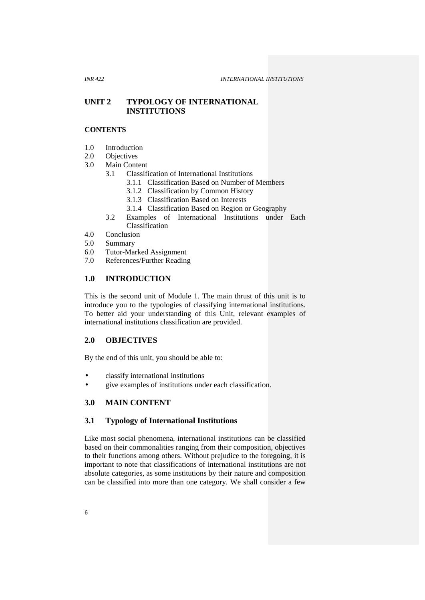### **UNIT 2 TYPOLOGY OF INTERNATIONAL INSTITUTIONS**

#### **CONTENTS**

- 1.0 Introduction
- 2.0 Objectives
- 3.0 Main Content
	- 3.1 Classification of International Institutions
		- 3.1.1 Classification Based on Number of Members
		- 3.1.2 Classification by Common History
		- 3.1.3 Classification Based on Interests
		- 3.1.4 Classification Based on Region or Geography
	- 3.2 Examples of International Institutions under Each Classification
- 4.0 Conclusion
- 5.0 Summary
- 6.0 Tutor-Marked Assignment
- 7.0 References/Further Reading

#### **1.0 INTRODUCTION**

This is the second unit of Module 1. The main thrust of this unit is to introduce you to the typologies of classifying international institutions. To better aid your understanding of this Unit, relevant examples of international institutions classification are provided.

#### **2.0 OBJECTIVES**

By the end of this unit, you should be able to:

- classify international institutions
- give examples of institutions under each classification.

## **3.0 MAIN CONTENT**

#### **3.1 Typology of International Institutions**

Like most social phenomena, international institutions can be classified based on their commonalities ranging from their composition, objectives to their functions among others. Without prejudice to the foregoing, it is important to note that classifications of international institutions are not absolute categories, as some institutions by their nature and composition can be classified into more than one category. We shall consider a few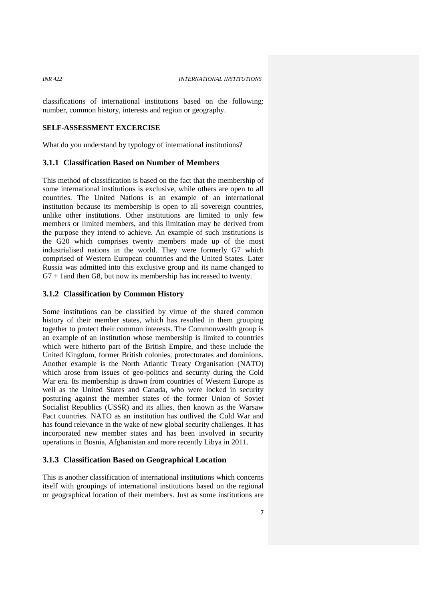classifications of international institutions based on the following: number, common history, interests and region or geography.

#### **SELF-ASSESSMENT EXCERCISE**

What do you understand by typology of international institutions?

#### **3.1.1 Classification Based on Number of Members**

This method of classification is based on the fact that the membership of some international institutions is exclusive, while others are open to all countries. The United Nations is an example of an international institution because its membership is open to all sovereign countries, unlike other institutions. Other institutions are limited to only few members or limited members, and this limitation may be derived from the purpose they intend to achieve. An example of such institutions is the G20 which comprises twenty members made up of the most industrialised nations in the world. They were formerly G7 which comprised of Western European countries and the United States. Later Russia was admitted into this exclusive group and its name changed to G7 + 1and then G8, but now its membership has increased to twenty.

#### **3.1.2 Classification by Common History**

Some institutions can be classified by virtue of the shared common history of their member states, which has resulted in them grouping together to protect their common interests. The Commonwealth group is an example of an institution whose membership is limited to countries which were hitherto part of the British Empire, and these include the United Kingdom, former British colonies, protectorates and dominions. Another example is the North Atlantic Treaty Organisation (NATO) which arose from issues of geo-politics and security during the Cold War era. Its membership is drawn from countries of Western Europe as well as the United States and Canada, who were locked in security posturing against the member states of the former Union of Soviet Socialist Republics (USSR) and its allies, then known as the Warsaw Pact countries. NATO as an institution has outlived the Cold War and has found relevance in the wake of new global security challenges. It has incorporated new member states and has been involved in security operations in Bosnia, Afghanistan and more recently Libya in 2011.

#### **3.1.3 Classification Based on Geographical Location**

This is another classification of international institutions which concerns itself with groupings of international institutions based on the regional or geographical location of their members. Just as some institutions are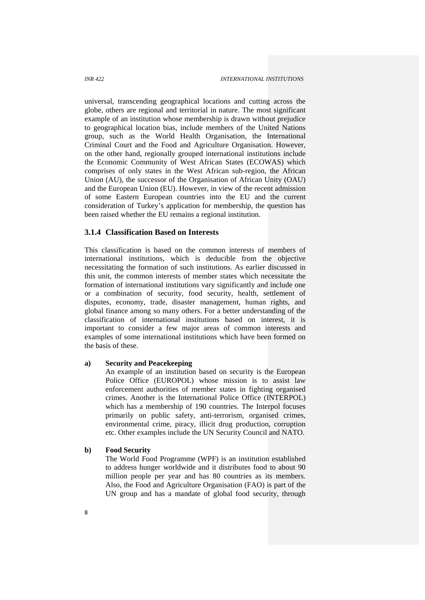universal, transcending geographical locations and cutting across the globe, others are regional and territorial in nature. The most significant example of an institution whose membership is drawn without prejudice to geographical location bias, include members of the United Nations group, such as the World Health Organisation, the International Criminal Court and the Food and Agriculture Organisation. However, on the other hand, regionally grouped international institutions include the Economic Community of West African States (ECOWAS) which comprises of only states in the West African sub-region, the African Union (AU), the successor of the Organisation of African Unity (OAU) and the European Union (EU). However, in view of the recent admission of some Eastern European countries into the EU and the current consideration of Turkey's application for membership, the question has been raised whether the EU remains a regional institution.

#### **3.1.4 Classification Based on Interests**

This classification is based on the common interests of members of international institutions, which is deducible from the objective necessitating the formation of such institutions. As earlier discussed in this unit, the common interests of member states which necessitate the formation of international institutions vary significantly and include one or a combination of security, food security, health, settlement of disputes, economy, trade, disaster management, human rights, and global finance among so many others. For a better understanding of the classification of international institutions based on interest, it is important to consider a few major areas of common interests and examples of some international institutions which have been formed on the basis of these.

#### **a) Security and Peacekeeping**

An example of an institution based on security is the European Police Office (EUROPOL) whose mission is to assist law enforcement authorities of member states in fighting organised crimes. Another is the International Police Office (INTERPOL) which has a membership of 190 countries. The Interpol focuses primarily on public safety, anti-terrorism, organised crimes, environmental crime, piracy, illicit drug production, corruption etc. Other examples include the UN Security Council and NATO.

#### **b) Food Security**

The World Food Programme (WPF) is an institution established to address hunger worldwide and it distributes food to about 90 million people per year and has 80 countries as its members. Also, the Food and Agriculture Organisation (FAO) is part of the UN group and has a mandate of global food security, through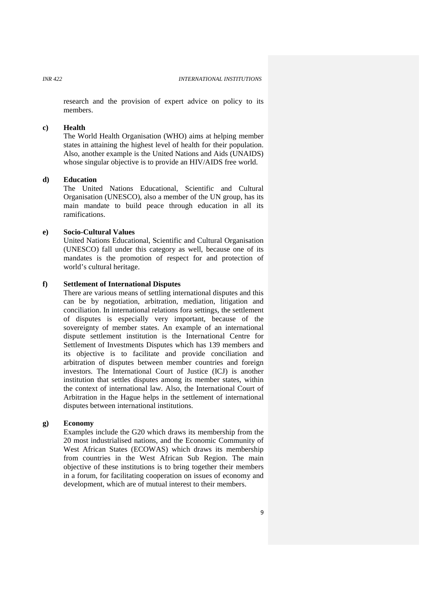research and the provision of expert advice on policy to its members.

#### **c) Health**

The World Health Organisation (WHO) aims at helping member states in attaining the highest level of health for their population. Also, another example is the United Nations and Aids (UNAIDS) whose singular objective is to provide an HIV/AIDS free world.

#### **d) Education**

The United Nations Educational, Scientific and Cultural Organisation (UNESCO), also a member of the UN group, has its main mandate to build peace through education in all its ramifications.

#### **e) Socio-Cultural Values**

United Nations Educational, Scientific and Cultural Organisation (UNESCO) fall under this category as well, because one of its mandates is the promotion of respect for and protection of world's cultural heritage.

#### **f) Settlement of International Disputes**

There are various means of settling international disputes and this can be by negotiation, arbitration, mediation, litigation and conciliation. In international relations fora settings, the settlement of disputes is especially very important, because of the sovereignty of member states. An example of an international dispute settlement institution is the International Centre for Settlement of Investments Disputes which has 139 members and its objective is to facilitate and provide conciliation and arbitration of disputes between member countries and foreign investors. The International Court of Justice (ICJ) is another institution that settles disputes among its member states, within the context of international law. Also, the International Court of Arbitration in the Hague helps in the settlement of international disputes between international institutions.

#### **g) Economy**

Examples include the G20 which draws its membership from the 20 most industrialised nations, and the Economic Community of West African States (ECOWAS) which draws its membership from countries in the West African Sub Region. The main objective of these institutions is to bring together their members in a forum, for facilitating cooperation on issues of economy and development, which are of mutual interest to their members.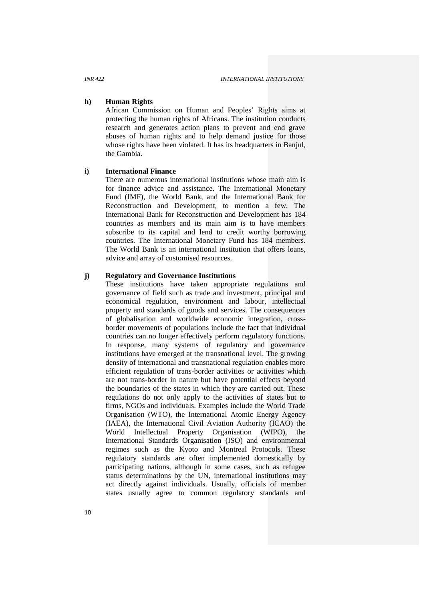#### **h) Human Rights**

African Commission on Human and Peoples' Rights aims at protecting the human rights of Africans. The institution conducts research and generates action plans to prevent and end grave abuses of human rights and to help demand justice for those whose rights have been violated. It has its headquarters in Banjul, the Gambia.

#### **i) International Finance**

There are numerous international institutions whose main aim is for finance advice and assistance. The International Monetary Fund (IMF), the World Bank, and the International Bank for Reconstruction and Development, to mention a few. The International Bank for Reconstruction and Development has 184 countries as members and its main aim is to have members subscribe to its capital and lend to credit worthy borrowing countries. The International Monetary Fund has 184 members. The World Bank is an international institution that offers loans, advice and array of customised resources.

#### **j) Regulatory and Governance Institutions**

These institutions have taken appropriate regulations and governance of field such as trade and investment, principal and economical regulation, environment and labour, intellectual property and standards of goods and services. The consequences of globalisation and worldwide economic integration, cross border movements of populations include the fact that individual countries can no longer effectively perform regulatory functions. In response, many systems of regulatory and governance institutions have emerged at the transnational level. The growing density of international and transnational regulation enables more efficient regulation of trans-border activities or activities which are not trans-border in nature but have potential effects beyond the boundaries of the states in which they are carried out. These regulations do not only apply to the activities of states but to firms, NGOs and individuals. Examples include the World Trade Organisation (WTO), the International Atomic Energy Agency (IAEA), the International Civil Aviation Authority (ICAO) the World Intellectual Property Organisation (WIPO), the International Standards Organisation (ISO) and environmental regimes such as the Kyoto and Montreal Protocols. These regulatory standards are often implemented domestically by participating nations, although in some cases, such as refugee status determinations by the UN, international institutions may act directly against individuals. Usually, officials of member states usually agree to common regulatory standards and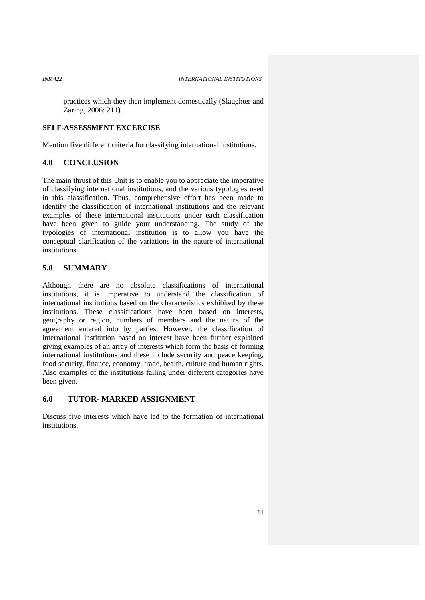practices which they then implement domestically (Slaughter and Zaring, 2006: 211).

#### **SELF-ASSESSMENT EXCERCISE**

Mention five different criteria for classifying international institutions.

#### **4.0 CONCLUSION**

The main thrust of this Unit is to enable you to appreciate the imperative of classifying international institutions, and the various typologies used in this classification. Thus, comprehensive effort has been made to identify the classification of international institutions and the relevant examples of these international institutions under each classification have been given to guide your understanding. The study of the typologies of international institution is to allow you have the conceptual clarification of the variations in the nature of international institutions.

#### **5.0 SUMMARY**

Although there are no absolute classifications of international institutions, it is imperative to understand the classification of international institutions based on the characteristics exhibited by these institutions. These classifications have been based on interests, geography or region, numbers of members and the nature of the agreement entered into by parties. However, the classification of international institution based on interest have been further explained giving examples of an array of interests which form the basis of forming international institutions and these include security and peace keeping, food security, finance, economy, trade, health, culture and human rights. Also examples of the institutions falling under different categories have been given.

#### **6.0 TUTOR- MARKED ASSIGNMENT**

Discuss five interests which have led to the formation of international institutions.

11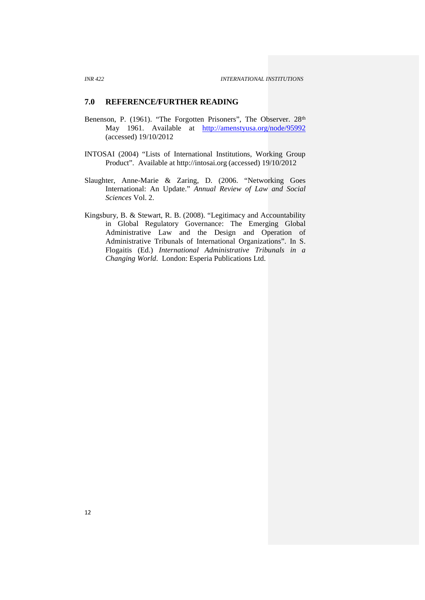#### **7.0 REFERENCE/FURTHER READING**

- Benenson, P. (1961). "The Forgotten Prisoners", The Observer. 28<sup>th</sup> May 1961. Available at http://amenstyusa.org/node/95992 (accessed) 19/10/2012
- INTOSAI (2004) "Lists of International Institutions, Working Group Product". Available at http://intosai.org (accessed) 19/10/2012
- Slaughter, Anne-Marie & Zaring, D. (2006. "Networking Goes International: An Update." *Annual Review of Law and Social Sciences* Vol. 2.
- Kingsbury, B. & Stewart, R. B. (2008). "Legitimacy and Accountability in Global Regulatory Governance: The Emerging Global Administrative Law and the Design and Operation of Administrative Tribunals of International Organizations". In S. Flogaitis (Ed.) *International Administrative Tribunals in a Changing World*. London: Esperia Publications Ltd.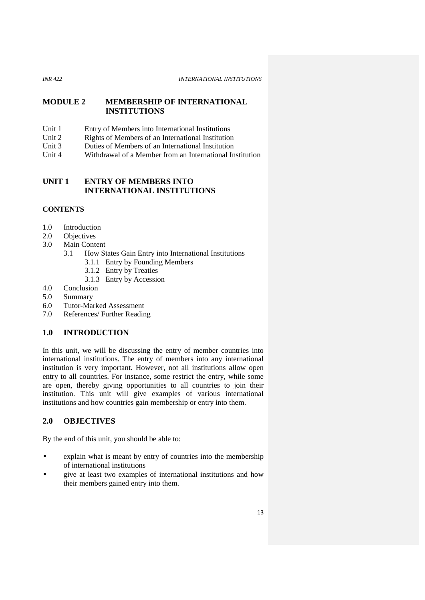#### *INR 422 INTERNATIONAL INSTITUTIONS*

### **MODULE 2 MEMBERSHIP OF INTERNATIONAL INSTITUTIONS**

- Unit 1 Entry of Members into International Institutions<br>Unit 2 Rights of Members of an International Institution
- Unit 2 Rights of Members of an International Institution<br>
Unit 3 Duties of Members of an International Institution
- Duties of Members of an International Institution
- Unit 4 Withdrawal of a Member from an International Institution

## **UNIT 1 ENTRY OF MEMBERS INTO INTERNATIONAL INSTITUTIONS**

### **CONTENTS**

- 1.0 Introduction
- 2.0 Objectives
- 3.0 Main Content
	- 3.1 How States Gain Entry into International Institutions
		- 3.1.1 Entry by Founding Members
		- 3.1.2 Entry by Treaties
		- 3.1.3 Entry by Accession
- 4.0 Conclusion
- 5.0 Summary
- 6.0 Tutor-Marked Assessment
- 7.0 References/ Further Reading

## **1.0 INTRODUCTION**

In this unit, we will be discussing the entry of member countries into international institutions. The entry of members into any international institution is very important. However, not all institutions allow open entry to all countries. For instance, some restrict the entry, while some are open, thereby giving opportunities to all countries to join their institution. This unit will give examples of various international institutions and how countries gain membership or entry into them.

## **2.0 OBJECTIVES**

By the end of this unit, you should be able to:

- explain what is meant by entry of countries into the membership of international institutions
- give at least two examples of international institutions and how their members gained entry into them.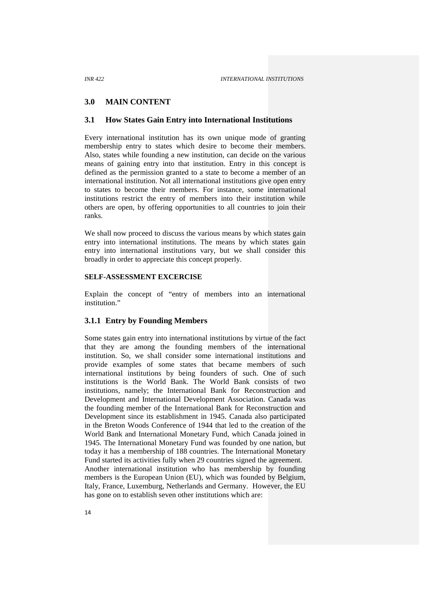#### **3.0 MAIN CONTENT**

#### **3.1 How States Gain Entry into International Institutions**

Every international institution has its own unique mode of granting membership entry to states which desire to become their members. Also, states while founding a new institution, can decide on the various means of gaining entry into that institution. Entry in this concept is defined as the permission granted to a state to become a member of an international institution. Not all international institutions give open entry to states to become their members. For instance, some international institutions restrict the entry of members into their institution while others are open, by offering opportunities to all countries to join their ranks.

We shall now proceed to discuss the various means by which states gain entry into international institutions. The means by which states gain entry into international institutions vary, but we shall consider this broadly in order to appreciate this concept properly.

#### **SELF-ASSESSMENT EXCERCISE**

Explain the concept of "entry of members into an international institution."

#### **3.1.1 Entry by Founding Members**

Some states gain entry into international institutions by virtue of the fact that they are among the founding members of the international institution. So, we shall consider some international institutions and provide examples of some states that became members of such international institutions by being founders of such. One of such institutions is the World Bank. The World Bank consists of two institutions, namely; the International Bank for Reconstruction and Development and International Development Association. Canada was the founding member of the International Bank for Reconstruction and Development since its establishment in 1945. Canada also participated in the Breton Woods Conference of 1944 that led to the creation of the World Bank and International Monetary Fund, which Canada joined in 1945. The International Monetary Fund was founded by one nation, but today it has a membership of 188 countries. The International Monetary Fund started its activities fully when 29 countries signed the agreement. Another international institution who has membership by founding members is the European Union (EU), which was founded by Belgium, Italy, France, Luxemburg, Netherlands and Germany. However, the EU has gone on to establish seven other institutions which are: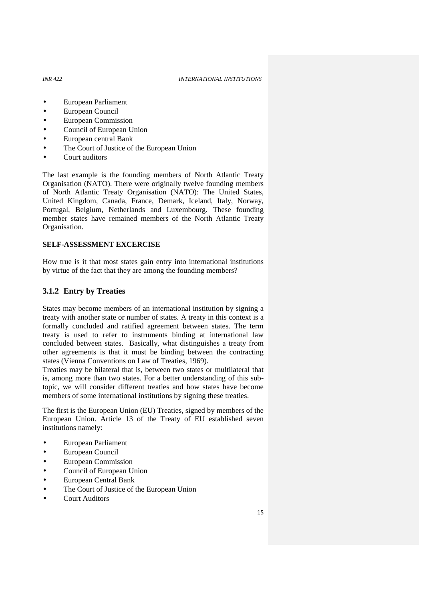#### *INR 422 INTERNATIONAL INSTITUTIONS*

- European Parliament
- European Council
- European Commission
- Council of European Union
- European central Bank
- The Court of Justice of the European Union
- Court auditors

The last example is the founding members of North Atlantic Treaty Organisation (NATO). There were originally twelve founding members of North Atlantic Treaty Organisation (NATO): The United States, United Kingdom, Canada, France, Demark, Iceland, Italy, Norway, Portugal, Belgium, Netherlands and Luxembourg. These founding member states have remained members of the North Atlantic Treaty Organisation.

#### **SELF-ASSESSMENT EXCERCISE**

How true is it that most states gain entry into international institutions by virtue of the fact that they are among the founding members?

#### **3.1.2 Entry by Treaties**

States may become members of an international institution by signing a treaty with another state or number of states. A treaty in this context is a formally concluded and ratified agreement between states. The term treaty is used to refer to instruments binding at international law concluded between states. Basically, what distinguishes a treaty from other agreements is that it must be binding between the contracting states (Vienna Conventions on Law of Treaties, 1969).

Treaties may be bilateral that is, between two states or multilateral that is, among more than two states. For a better understanding of this subtopic, we will consider different treaties and how states have become members of some international institutions by signing these treaties.

The first is the European Union (EU) Treaties, signed by members of the European Union. Article 13 of the Treaty of EU established seven institutions namely:

- European Parliament
- European Council
- European Commission
- Council of European Union
- European Central Bank
- The Court of Justice of the European Union
- Court Auditors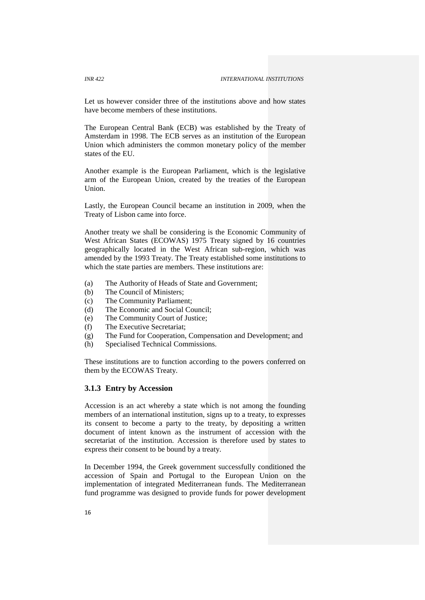Let us however consider three of the institutions above and how states have become members of these institutions.

The European Central Bank (ECB) was established by the Treaty of Amsterdam in 1998. The ECB serves as an institution of the European Union which administers the common monetary policy of the member states of the EU.

Another example is the European Parliament, which is the legislative arm of the European Union, created by the treaties of the European Union.

Lastly, the European Council became an institution in 2009, when the Treaty of Lisbon came into force.

Another treaty we shall be considering is the Economic Community of West African States (ECOWAS) 1975 Treaty signed by 16 countries geographically located in the West African sub-region, which was amended by the 1993 Treaty. The Treaty established some institutions to which the state parties are members. These institutions are:

- (a) The Authority of Heads of State and Government;
- (b) The Council of Ministers;
- (c) The Community Parliament;
- (d) The Economic and Social Council;
- (e) The Community Court of Justice;
- (f) The Executive Secretariat;
- (g) The Fund for Cooperation, Compensation and Development; and
- (h) Specialised Technical Commissions.

These institutions are to function according to the powers conferred on them by the ECOWAS Treaty.

### **3.1.3 Entry by Accession**

Accession is an act whereby a state which is not among the founding members of an international institution, signs up to a treaty, to expresses its consent to become a party to the treaty, by depositing a written document of intent known as the instrument of accession with the secretariat of the institution. Accession is therefore used by states to express their consent to be bound by a treaty.

In December 1994, the Greek government successfully conditioned the accession of Spain and Portugal to the European Union on the implementation of integrated Mediterranean funds. The Mediterranean fund programme was designed to provide funds for power development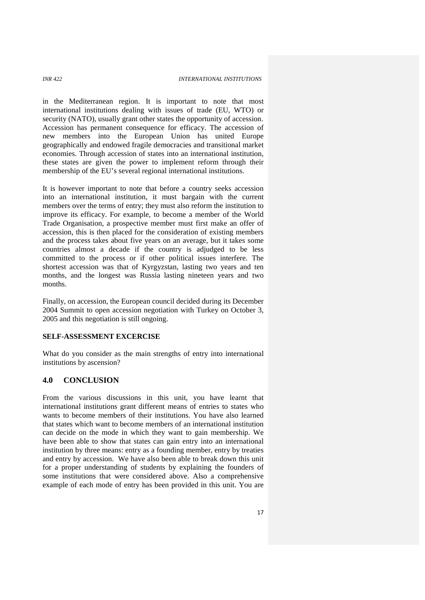in the Mediterranean region. It is important to note that most international institutions dealing with issues of trade (EU, WTO) or security (NATO), usually grant other states the opportunity of accession. Accession has permanent consequence for efficacy. The accession of new members into the European Union has united Europe geographically and endowed fragile democracies and transitional market economies. Through accession of states into an international institution, these states are given the power to implement reform through their membership of the EU's several regional international institutions.

It is however important to note that before a country seeks accession into an international institution, it must bargain with the current members over the terms of entry; they must also reform the institution to improve its efficacy. For example, to become a member of the World Trade Organisation, a prospective member must first make an offer of accession, this is then placed for the consideration of existing members and the process takes about five years on an average, but it takes some countries almost a decade if the country is adjudged to be less committed to the process or if other political issues interfere. The shortest accession was that of Kyrgyzstan, lasting two years and ten months, and the longest was Russia lasting nineteen years and two months.

Finally, on accession, the European council decided during its December 2004 Summit to open accession negotiation with Turkey on October 3, 2005 and this negotiation is still ongoing.

#### **SELF-ASSESSMENT EXCERCISE**

What do you consider as the main strengths of entry into international institutions by ascension?

#### **4.0 CONCLUSION**

From the various discussions in this unit, you have learnt that international institutions grant different means of entries to states who wants to become members of their institutions. You have also learned that states which want to become members of an international institution can decide on the mode in which they want to gain membership. We have been able to show that states can gain entry into an international institution by three means: entry as a founding member, entry by treaties and entry by accession. We have also been able to break down this unit for a proper understanding of students by explaining the founders of some institutions that were considered above. Also a comprehensive example of each mode of entry has been provided in this unit. You are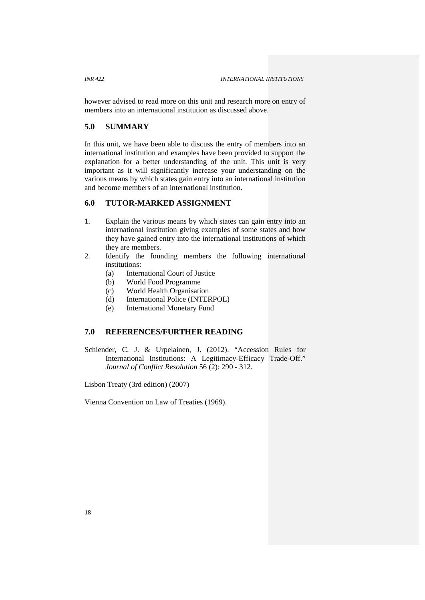however advised to read more on this unit and research more on entry of members into an international institution as discussed above.

## **5.0 SUMMARY**

In this unit, we have been able to discuss the entry of members into an international institution and examples have been provided to support the explanation for a better understanding of the unit. This unit is very important as it will significantly increase your understanding on the various means by which states gain entry into an international institution and become members of an international institution.

#### **6.0 TUTOR-MARKED ASSIGNMENT**

- 1. Explain the various means by which states can gain entry into an international institution giving examples of some states and how they have gained entry into the international institutions of which they are members.
- 2. Identify the founding members the following international institutions:
	- (a) International Court of Justice
	- (b) World Food Programme
	- (c) World Health Organisation
	- (d) International Police (INTERPOL)
	- (e) International Monetary Fund

## **7.0 REFERENCES/FURTHER READING**

Schiender, C. J. & Urpelainen, J. (2012). "Accession Rules for International Institutions: A Legitimacy-Efficacy Trade-Off." *Journal of Conflict Resolution* 56 (2): 290 - 312.

Lisbon Treaty (3rd edition) (2007)

Vienna Convention on Law of Treaties (1969).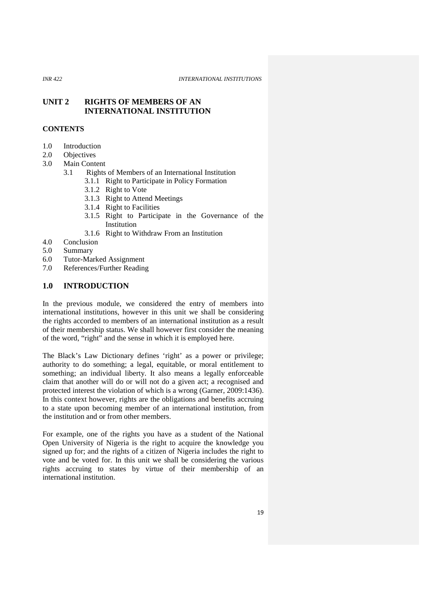#### **UNIT 2 RIGHTS OF MEMBERS OF AN INTERNATIONAL INSTITUTION**

#### **CONTENTS**

- 1.0 Introduction
- 2.0 Objectives
- 3.0 Main Content
	- 3.1 Rights of Members of an International Institution
		- 3.1.1 Right to Participate in Policy Formation
		- 3.1.2 Right to Vote
		- 3.1.3 Right to Attend Meetings
		- 3.1.4 Right to Facilities
		- 3.1.5 Right to Participate in the Governance of the **Institution**
		- 3.1.6 Right to Withdraw From an Institution
- 4.0 Conclusion
- 5.0 Summary
- 6.0 Tutor-Marked Assignment
- 7.0 References/Further Reading

#### **1.0 INTRODUCTION**

In the previous module, we considered the entry of members into international institutions, however in this unit we shall be considering the rights accorded to members of an international institution as a result of their membership status. We shall however first consider the meaning of the word, "right" and the sense in which it is employed here.

The Black's Law Dictionary defines 'right' as a power or privilege; authority to do something; a legal, equitable, or moral entitlement to something; an individual liberty. It also means a legally enforceable claim that another will do or will not do a given act; a recognised and protected interest the violation of which is a wrong (Garner, 2009:1436). In this context however, rights are the obligations and benefits accruing to a state upon becoming member of an international institution, from the institution and or from other members.

For example, one of the rights you have as a student of the National Open University of Nigeria is the right to acquire the knowledge you signed up for; and the rights of a citizen of Nigeria includes the right to vote and be voted for. In this unit we shall be considering the various rights accruing to states by virtue of their membership of an international institution.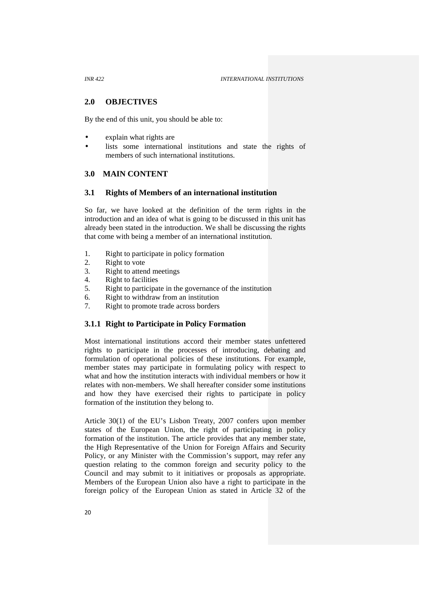#### **2.0 OBJECTIVES**

By the end of this unit, you should be able to:

- explain what rights are
- lists some international institutions and state the rights of members of such international institutions.

#### **3.0 MAIN CONTENT**

#### **3.1 Rights of Members of an international institution**

So far, we have looked at the definition of the term rights in the introduction and an idea of what is going to be discussed in this unit has already been stated in the introduction. We shall be discussing the rights that come with being a member of an international institution.

- 1. Right to participate in policy formation
- 2. Right to vote<br>3. Right to atten
- Right to attend meetings
- 4. Right to facilities
- 5. Right to participate in the governance of the institution
- 6. Right to withdraw from an institution
- 7. Right to promote trade across borders

#### **3.1.1 Right to Participate in Policy Formation**

Most international institutions accord their member states unfettered rights to participate in the processes of introducing, debating and formulation of operational policies of these institutions. For example, member states may participate in formulating policy with respect to what and how the institution interacts with individual members or how it relates with non-members. We shall hereafter consider some institutions and how they have exercised their rights to participate in policy formation of the institution they belong to.

Article 30(1) of the EU's Lisbon Treaty, 2007 confers upon member states of the European Union, the right of participating in policy formation of the institution. The article provides that any member state, the High Representative of the Union for Foreign Affairs and Security Policy, or any Minister with the Commission's support, may refer any question relating to the common foreign and security policy to the Council and may submit to it initiatives or proposals as appropriate. Members of the European Union also have a right to participate in the foreign policy of the European Union as stated in Article 32 of the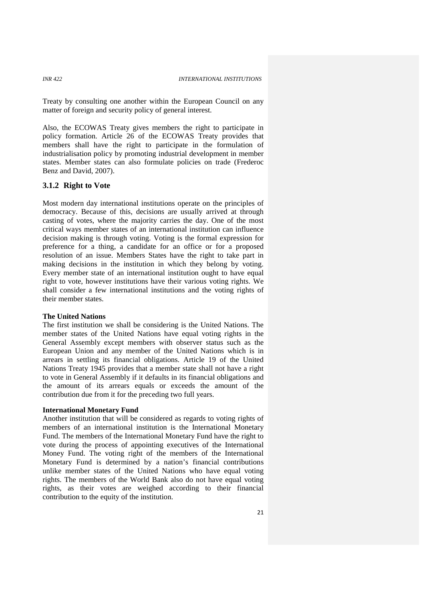Treaty by consulting one another within the European Council on any matter of foreign and security policy of general interest.

Also, the ECOWAS Treaty gives members the right to participate in policy formation. Article 26 of the ECOWAS Treaty provides that members shall have the right to participate in the formulation of industrialisation policy by promoting industrial development in member states. Member states can also formulate policies on trade (Frederoc Benz and David, 2007).

#### **3.1.2 Right to Vote**

Most modern day international institutions operate on the principles of democracy. Because of this, decisions are usually arrived at through casting of votes, where the majority carries the day. One of the most critical ways member states of an international institution can influence decision making is through voting. Voting is the formal expression for preference for a thing, a candidate for an office or for a proposed resolution of an issue. Members States have the right to take part in making decisions in the institution in which they belong by voting. Every member state of an international institution ought to have equal right to vote, however institutions have their various voting rights. We shall consider a few international institutions and the voting rights of their member states.

#### **The United Nations**

The first institution we shall be considering is the United Nations. The member states of the United Nations have equal voting rights in the General Assembly except members with observer status such as the European Union and any member of the United Nations which is in arrears in settling its financial obligations. Article 19 of the United Nations Treaty 1945 provides that a member state shall not have a right to vote in General Assembly if it defaults in its financial obligations and the amount of its arrears equals or exceeds the amount of the contribution due from it for the preceding two full years.

#### **International Monetary Fund**

Another institution that will be considered as regards to voting rights of members of an international institution is the International Monetary Fund. The members of the International Monetary Fund have the right to vote during the process of appointing executives of the International Money Fund. The voting right of the members of the International Monetary Fund is determined by a nation's financial contributions unlike member states of the United Nations who have equal voting rights. The members of the World Bank also do not have equal voting rights, as their votes are weighed according to their financial contribution to the equity of the institution.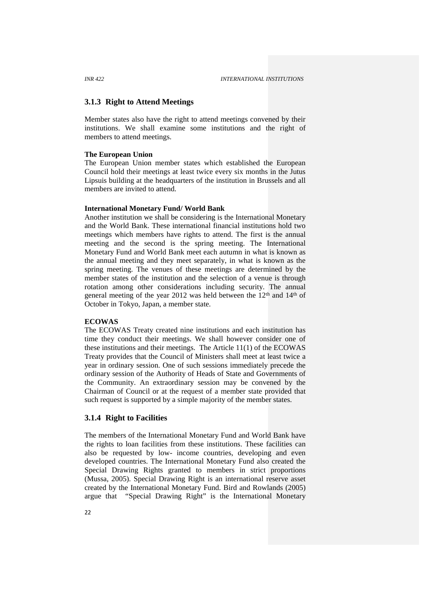#### **3.1.3 Right to Attend Meetings**

Member states also have the right to attend meetings convened by their institutions. We shall examine some institutions and the right of members to attend meetings.

#### **The European Union**

The European Union member states which established the European Council hold their meetings at least twice every six months in the Jutus Lipsuis building at the headquarters of the institution in Brussels and all members are invited to attend.

#### **International Monetary Fund/ World Bank**

Another institution we shall be considering is the International Monetary and the World Bank. These international financial institutions hold two meetings which members have rights to attend. The first is the annual meeting and the second is the spring meeting. The International Monetary Fund and World Bank meet each autumn in what is known as the annual meeting and they meet separately, in what is known as the spring meeting. The venues of these meetings are determined by the member states of the institution and the selection of a venue is through rotation among other considerations including security. The annual general meeting of the year 2012 was held between the  $12<sup>th</sup>$  and  $14<sup>th</sup>$  of October in Tokyo, Japan, a member state.

#### **ECOWAS**

The ECOWAS Treaty created nine institutions and each institution has time they conduct their meetings. We shall however consider one of these institutions and their meetings. The Article 11(1) of the ECOWAS Treaty provides that the Council of Ministers shall meet at least twice a year in ordinary session. One of such sessions immediately precede the ordinary session of the Authority of Heads of State and Governments of the Community. An extraordinary session may be convened by the Chairman of Council or at the request of a member state provided that such request is supported by a simple majority of the member states.

#### **3.1.4 Right to Facilities**

The members of the International Monetary Fund and World Bank have the rights to loan facilities from these institutions. These facilities can also be requested by low- income countries, developing and even developed countries. The International Monetary Fund also created the Special Drawing Rights granted to members in strict proportions (Mussa, 2005). Special Drawing Right is an international reserve asset created by the International Monetary Fund. Bird and Rowlands (2005) argue that "Special Drawing Right" is the International Monetary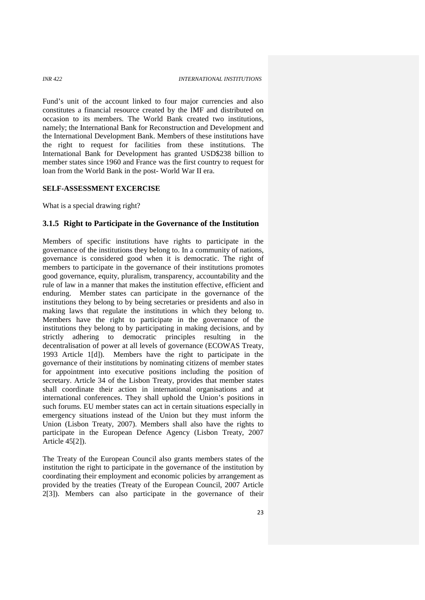Fund's unit of the account linked to four major currencies and also constitutes a financial resource created by the IMF and distributed on occasion to its members. The World Bank created two institutions, namely; the International Bank for Reconstruction and Development and the International Development Bank. Members of these institutions have the right to request for facilities from these institutions. The International Bank for Development has granted USD\$238 billion to member states since 1960 and France was the first country to request for loan from the World Bank in the post- World War II era.

### **SELF-ASSESSMENT EXCERCISE**

What is a special drawing right?

### **3.1.5 Right to Participate in the Governance of the Institution**

Members of specific institutions have rights to participate in the governance of the institutions they belong to. In a community of nations, governance is considered good when it is democratic. The right of members to participate in the governance of their institutions promotes good governance, equity, pluralism, transparency, accountability and the rule of law in a manner that makes the institution effective, efficient and enduring. Member states can participate in the governance of the institutions they belong to by being secretaries or presidents and also in making laws that regulate the institutions in which they belong to. Members have the right to participate in the governance of the institutions they belong to by participating in making decisions, and by strictly adhering to democratic principles resulting in the decentralisation of power at all levels of governance (ECOWAS Treaty, 1993 Article 1[d]). Members have the right to participate in the governance of their institutions by nominating citizens of member states for appointment into executive positions including the position of secretary. Article 34 of the Lisbon Treaty, provides that member states shall coordinate their action in international organisations and at international conferences. They shall uphold the Union's positions in such forums. EU member states can act in certain situations especially in emergency situations instead of the Union but they must inform the Union (Lisbon Treaty, 2007). Members shall also have the rights to participate in the European Defence Agency (Lisbon Treaty, 2007 Article 45[2]).

The Treaty of the European Council also grants members states of the institution the right to participate in the governance of the institution by coordinating their employment and economic policies by arrangement as provided by the treaties (Treaty of the European Council, 2007 Article 2[3]). Members can also participate in the governance of their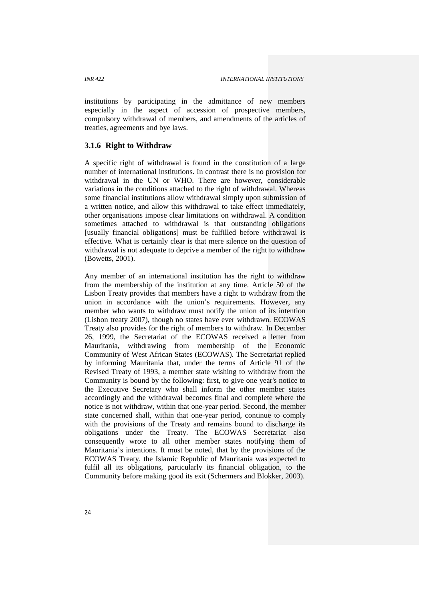institutions by participating in the admittance of new members especially in the aspect of accession of prospective members, compulsory withdrawal of members, and amendments of the articles of treaties, agreements and bye laws.

# **3.1.6 Right to Withdraw**

A specific right of withdrawal is found in the constitution of a large number of international institutions. In contrast there is no provision for withdrawal in the UN or WHO. There are however, considerable variations in the conditions attached to the right of withdrawal. Whereas some financial institutions allow withdrawal simply upon submission of a written notice, and allow this withdrawal to take effect immediately, other organisations impose clear limitations on withdrawal. A condition sometimes attached to withdrawal is that outstanding obligations [usually financial obligations] must be fulfilled before withdrawal is effective. What is certainly clear is that mere silence on the question of withdrawal is not adequate to deprive a member of the right to withdraw (Bowetts, 2001).

Any member of an international institution has the right to withdraw from the membership of the institution at any time. Article 50 of the Lisbon Treaty provides that members have a right to withdraw from the union in accordance with the union's requirements. However, any member who wants to withdraw must notify the union of its intention (Lisbon treaty 2007), though no states have ever withdrawn. ECOWAS Treaty also provides for the right of members to withdraw. In December 26, 1999, the Secretariat of the ECOWAS received a letter from Mauritania, withdrawing from membership of the Economic Community of West African States (ECOWAS). The Secretariat replied by informing Mauritania that, under the terms of Article 91 of the Revised Treaty of 1993, a member state wishing to withdraw from the Community is bound by the following: first, to give one year's notice to the Executive Secretary who shall inform the other member states accordingly and the withdrawal becomes final and complete where the notice is not withdraw, within that one-year period. Second, the member state concerned shall, within that one-year period, continue to comply with the provisions of the Treaty and remains bound to discharge its obligations under the Treaty. The ECOWAS Secretariat also consequently wrote to all other member states notifying them of Mauritania's intentions. It must be noted, that by the provisions of the ECOWAS Treaty, the Islamic Republic of Mauritania was expected to fulfil all its obligations, particularly its financial obligation, to the Community before making good its exit (Schermers and Blokker, 2003).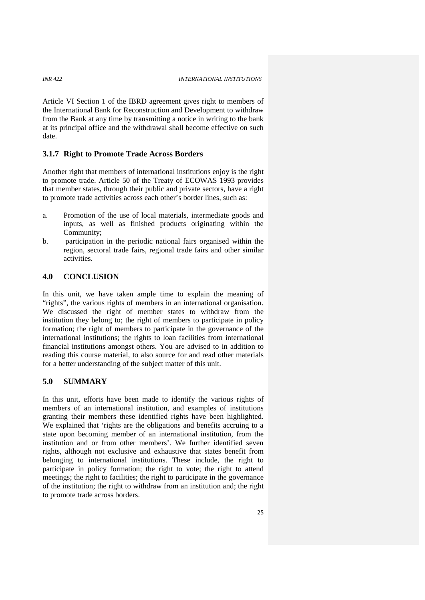Article VI Section 1 of the IBRD agreement gives right to members of the International Bank for Reconstruction and Development to withdraw from the Bank at any time by transmitting a notice in writing to the bank at its principal office and the withdrawal shall become effective on such date.

### **3.1.7 Right to Promote Trade Across Borders**

Another right that members of international institutions enjoy is the right to promote trade. Article 50 of the Treaty of ECOWAS 1993 provides that member states, through their public and private sectors, have a right to promote trade activities across each other's border lines, such as:

- a. Promotion of the use of local materials, intermediate goods and inputs, as well as finished products originating within the Community;
- b. participation in the periodic national fairs organised within the region, sectoral trade fairs, regional trade fairs and other similar activities.

# **4.0 CONCLUSION**

In this unit, we have taken ample time to explain the meaning of "rights", the various rights of members in an international organisation. We discussed the right of member states to withdraw from the institution they belong to; the right of members to participate in policy formation; the right of members to participate in the governance of the international institutions; the rights to loan facilities from international financial institutions amongst others. You are advised to in addition to reading this course material, to also source for and read other materials for a better understanding of the subject matter of this unit.

# **5.0 SUMMARY**

In this unit, efforts have been made to identify the various rights of members of an international institution, and examples of institutions granting their members these identified rights have been highlighted. We explained that 'rights are the obligations and benefits accruing to a state upon becoming member of an international institution, from the institution and or from other members'. We further identified seven rights, although not exclusive and exhaustive that states benefit from belonging to international institutions. These include, the right to participate in policy formation; the right to vote; the right to attend meetings; the right to facilities; the right to participate in the governance of the institution; the right to withdraw from an institution and; the right to promote trade across borders.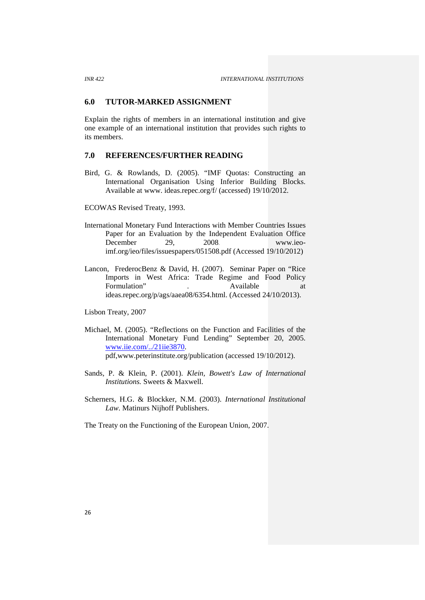### **6.0 TUTOR-MARKED ASSIGNMENT**

Explain the rights of members in an international institution and give one example of an international institution that provides such rights to its members.

# **7.0 REFERENCES/FURTHER READING**

Bird, G. & Rowlands, D. (2005). "IMF Quotas: Constructing an International Organisation Using Inferior Building Blocks. Available at www. ideas.repec.org/f/ (accessed) 19/10/2012.

ECOWAS Revised Treaty, 1993.

- International Monetary Fund Interactions with Member Countries Issues Paper for an Evaluation by the Independent Evaluation Office December 29, 2008. www.ieoimf.org/ieo/files/issuespapers/051508.pdf (Accessed 19/10/2012)
- Lancon, FrederocBenz & David, H. (2007). Seminar Paper on "Rice Imports in West Africa: Trade Regime and Food Policy Formulation" . Available at a state at  $\overline{a}$ ideas.repec.org/p/ags/aaea08/6354.html. (Accessed 24/10/2013).

Lisbon Treaty, 2007

- Michael, M. (2005). "Reflections on the Function and Facilities of the International Monetary Fund Lending" September 20, 2005. www.iie.com/../21iie3870. pdf,www.peterinstitute.org/publication (accessed 19/10/2012).
- Sands, P. & Klein, P. (2001). *Klein, Bowett's Law of International Institutions.* Sweets & Maxwell.
- Scherners, H.G. & Blockker, N.M. (2003). *International Institutional Law*. Matinurs Nijhoff Publishers.

The Treaty on the Functioning of the European Union, 2007.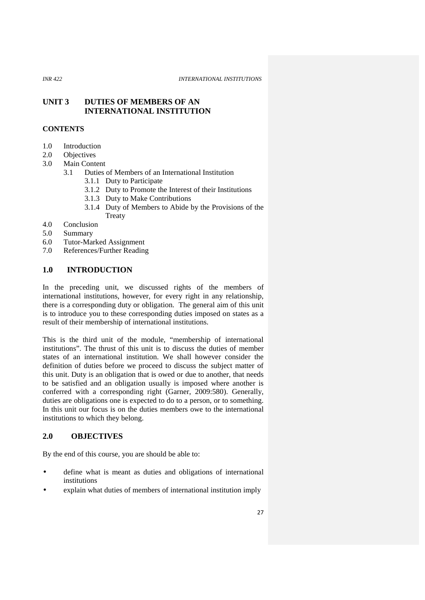# **UNIT 3 DUTIES OF MEMBERS OF AN INTERNATIONAL INSTITUTION**

# **CONTENTS**

- 1.0 Introduction
- 2.0 Objectives
- 3.0 Main Content
	- 3.1 Duties of Members of an International Institution
		- 3.1.1 Duty to Participate
		- 3.1.2 Duty to Promote the Interest of their Institutions
		- 3.1.3 Duty to Make Contributions
		- 3.1.4 Duty of Members to Abide by the Provisions of the **Treaty**
- 4.0 Conclusion
- 5.0 Summary
- 6.0 Tutor-Marked Assignment
- 7.0 References/Further Reading

# **1.0 INTRODUCTION**

In the preceding unit, we discussed rights of the members of international institutions, however, for every right in any relationship, there is a corresponding duty or obligation. The general aim of this unit is to introduce you to these corresponding duties imposed on states as a result of their membership of international institutions.

This is the third unit of the module, "membership of international institutions". The thrust of this unit is to discuss the duties of member states of an international institution. We shall however consider the definition of duties before we proceed to discuss the subject matter of this unit. Duty is an obligation that is owed or due to another, that needs to be satisfied and an obligation usually is imposed where another is conferred with a corresponding right (Garner, 2009:580). Generally, duties are obligations one is expected to do to a person, or to something. In this unit our focus is on the duties members owe to the international institutions to which they belong.

# **2.0 OBJECTIVES**

By the end of this course, you are should be able to:

- define what is meant as duties and obligations of international institutions
- explain what duties of members of international institution imply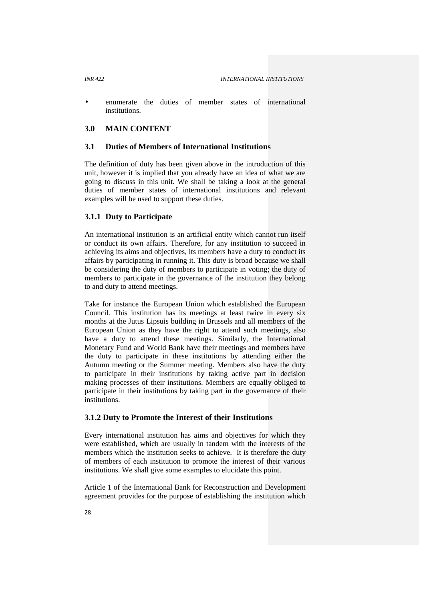enumerate the duties of member states of international institutions.

# **3.0 MAIN CONTENT**

### **3.1 Duties of Members of International Institutions**

The definition of duty has been given above in the introduction of this unit, however it is implied that you already have an idea of what we are going to discuss in this unit. We shall be taking a look at the general duties of member states of international institutions and relevant examples will be used to support these duties.

# **3.1.1 Duty to Participate**

An international institution is an artificial entity which cannot run itself or conduct its own affairs. Therefore, for any institution to succeed in achieving its aims and objectives, its members have a duty to conduct its affairs by participating in running it. This duty is broad because we shall be considering the duty of members to participate in voting; the duty of members to participate in the governance of the institution they belong to and duty to attend meetings.

Take for instance the European Union which established the European Council. This institution has its meetings at least twice in every six months at the Jutus Lipsuis building in Brussels and all members of the European Union as they have the right to attend such meetings, also have a duty to attend these meetings. Similarly, the International Monetary Fund and World Bank have their meetings and members have the duty to participate in these institutions by attending either the Autumn meeting or the Summer meeting. Members also have the duty to participate in their institutions by taking active part in decision making processes of their institutions. Members are equally obliged to participate in their institutions by taking part in the governance of their institutions.

### **3.1.2 Duty to Promote the Interest of their Institutions**

Every international institution has aims and objectives for which they were established, which are usually in tandem with the interests of the members which the institution seeks to achieve. It is therefore the duty of members of each institution to promote the interest of their various institutions. We shall give some examples to elucidate this point.

Article 1 of the International Bank for Reconstruction and Development agreement provides for the purpose of establishing the institution which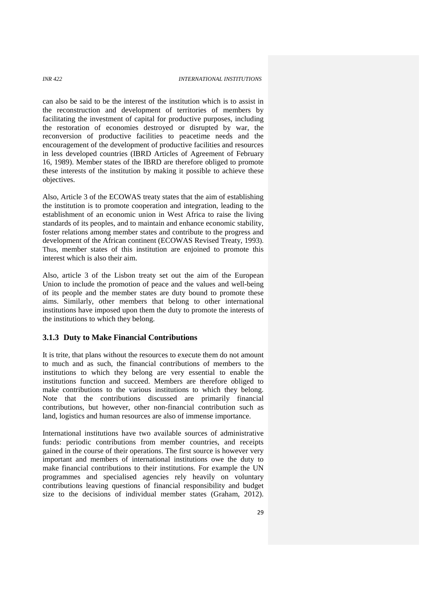can also be said to be the interest of the institution which is to assist in the reconstruction and development of territories of members by facilitating the investment of capital for productive purposes, including the restoration of economies destroyed or disrupted by war, the reconversion of productive facilities to peacetime needs and the encouragement of the development of productive facilities and resources in less developed countries (IBRD Articles of Agreement of February 16, 1989). Member states of the IBRD are therefore obliged to promote these interests of the institution by making it possible to achieve these objectives.

Also, Article 3 of the ECOWAS treaty states that the aim of establishing the institution is to promote cooperation and integration, leading to the establishment of an economic union in West Africa to raise the living standards of its peoples, and to maintain and enhance economic stability, foster relations among member states and contribute to the progress and development of the African continent (ECOWAS Revised Treaty, 1993). Thus, member states of this institution are enjoined to promote this interest which is also their aim.

Also, article 3 of the Lisbon treaty set out the aim of the European Union to include the promotion of peace and the values and well-being of its people and the member states are duty bound to promote these aims. Similarly, other members that belong to other international institutions have imposed upon them the duty to promote the interests of the institutions to which they belong.

### **3.1.3 Duty to Make Financial Contributions**

It is trite, that plans without the resources to execute them do not amount to much and as such, the financial contributions of members to the institutions to which they belong are very essential to enable the institutions function and succeed. Members are therefore obliged to make contributions to the various institutions to which they belong. Note that the contributions discussed are primarily financial contributions, but however, other non-financial contribution such as land, logistics and human resources are also of immense importance.

International institutions have two available sources of administrative funds: periodic contributions from member countries, and receipts gained in the course of their operations. The first source is however very important and members of international institutions owe the duty to make financial contributions to their institutions. For example the UN programmes and specialised agencies rely heavily on voluntary contributions leaving questions of financial responsibility and budget size to the decisions of individual member states (Graham, 2012).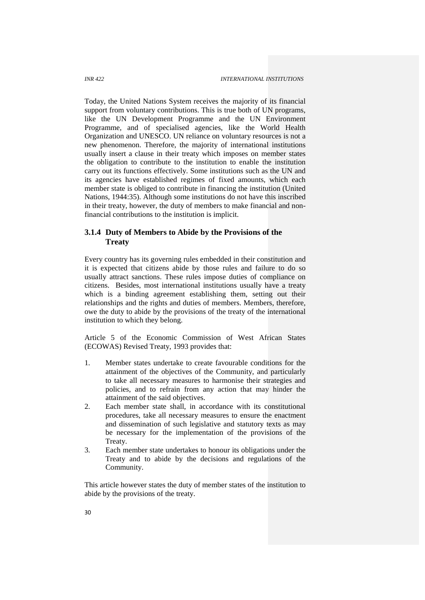Today, the United Nations System receives the majority of its financial support from voluntary contributions. This is true both of UN programs, like the UN Development Programme and the UN Environment Programme, and of specialised agencies, like the World Health Organization and UNESCO. UN reliance on voluntary resources is not a new phenomenon. Therefore, the majority of international institutions usually insert a clause in their treaty which imposes on member states the obligation to contribute to the institution to enable the institution carry out its functions effectively. Some institutions such as the UN and its agencies have established regimes of fixed amounts, which each member state is obliged to contribute in financing the institution (United Nations, 1944:35). Although some institutions do not have this inscribed in their treaty, however, the duty of members to make financial and nonfinancial contributions to the institution is implicit.

# **3.1.4 Duty of Members to Abide by the Provisions of the Treaty**

Every country has its governing rules embedded in their constitution and it is expected that citizens abide by those rules and failure to do so usually attract sanctions. These rules impose duties of compliance on citizens. Besides, most international institutions usually have a treaty which is a binding agreement establishing them, setting out their relationships and the rights and duties of members. Members, therefore, owe the duty to abide by the provisions of the treaty of the international institution to which they belong.

Article 5 of the Economic Commission of West African States (ECOWAS) Revised Treaty, 1993 provides that:

- 1. Member states undertake to create favourable conditions for the attainment of the objectives of the Community, and particularly to take all necessary measures to harmonise their strategies and policies, and to refrain from any action that may hinder the attainment of the said objectives.
- 2. Each member state shall, in accordance with its constitutional procedures, take all necessary measures to ensure the enactment and dissemination of such legislative and statutory texts as may be necessary for the implementation of the provisions of the Treaty.
- 3. Each member state undertakes to honour its obligations under the Treaty and to abide by the decisions and regulations of the Community.

This article however states the duty of member states of the institution to abide by the provisions of the treaty.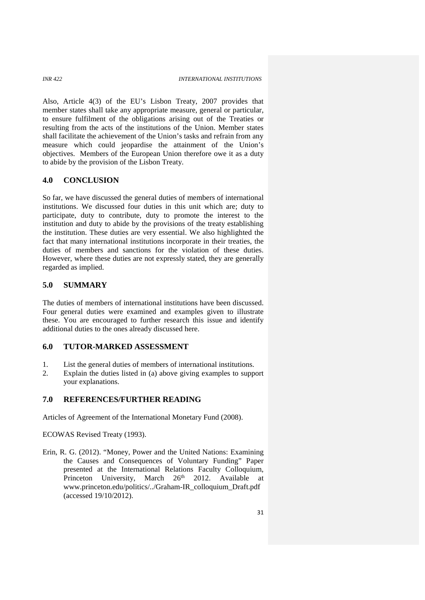Also, Article 4(3) of the EU's Lisbon Treaty, 2007 provides that member states shall take any appropriate measure, general or particular, to ensure fulfilment of the obligations arising out of the Treaties or resulting from the acts of the institutions of the Union. Member states shall facilitate the achievement of the Union's tasks and refrain from any measure which could jeopardise the attainment of the Union's objectives. Members of the European Union therefore owe it as a duty to abide by the provision of the Lisbon Treaty.

### **4.0 CONCLUSION**

So far, we have discussed the general duties of members of international institutions. We discussed four duties in this unit which are; duty to participate, duty to contribute, duty to promote the interest to the institution and duty to abide by the provisions of the treaty establishing the institution. These duties are very essential. We also highlighted the fact that many international institutions incorporate in their treaties, the duties of members and sanctions for the violation of these duties. However, where these duties are not expressly stated, they are generally regarded as implied.

# **5.0 SUMMARY**

The duties of members of international institutions have been discussed. Four general duties were examined and examples given to illustrate these. You are encouraged to further research this issue and identify additional duties to the ones already discussed here.

# **6.0 TUTOR-MARKED ASSESSMENT**

- 1. List the general duties of members of international institutions.
- 2. Explain the duties listed in (a) above giving examples to support your explanations.

# **7.0 REFERENCES/FURTHER READING**

Articles of Agreement of the International Monetary Fund (2008).

ECOWAS Revised Treaty (1993).

Erin, R. G. (2012). "Money, Power and the United Nations: Examining the Causes and Consequences of Voluntary Funding" Paper presented at the International Relations Faculty Colloquium, Princeton University, March 26<sup>th</sup> 2012. Available at www.princeton.edu/politics/../Graham-IR\_colloquium\_Draft.pdf (accessed 19/10/2012).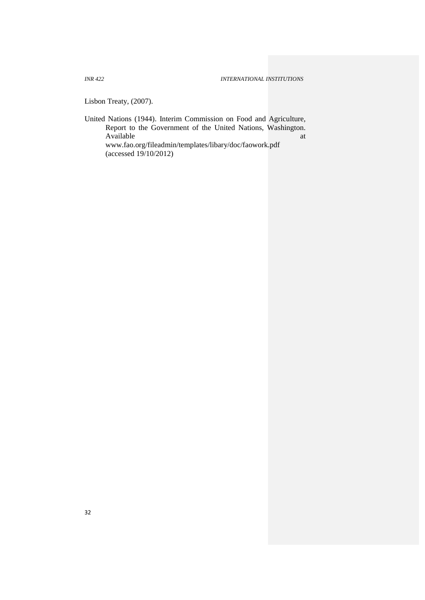Lisbon Treaty, (2007).

United Nations (1944). Interim Commission on Food and Agriculture, Report to the Government of the United Nations, Washington. Available at a state of  $\overline{a}$  at a state of  $\overline{a}$  at a state of  $\overline{a}$  at a state of  $\overline{a}$  at a state of  $\overline{a}$  at a state of  $\overline{a}$  at a state of  $\overline{a}$  at a state of  $\overline{a}$  at a state of  $\overline{a}$  at a www.fao.org/fileadmin/templates/libary/doc/faowork.pdf (accessed 19/10/2012)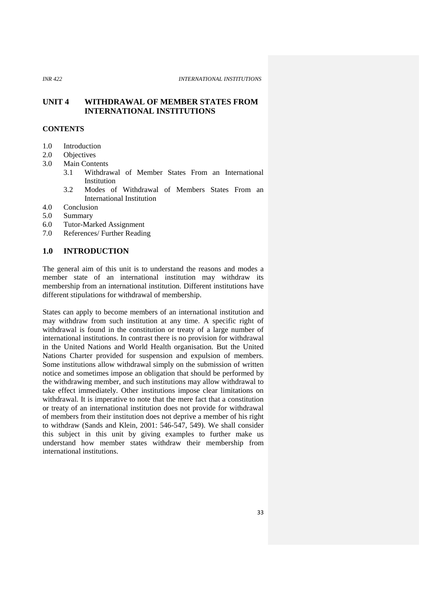# **UNIT 4 WITHDRAWAL OF MEMBER STATES FROM INTERNATIONAL INSTITUTIONS**

# **CONTENTS**

- 1.0 Introduction
- 2.0 Objectives
- 3.0 Main Contents
	- 3.1 Withdrawal of Member States From an International Institution
	- 3.2 Modes of Withdrawal of Members States From an International Institution
- 4.0 Conclusion
- 5.0 Summary
- 6.0 Tutor-Marked Assignment
- 7.0 References/ Further Reading

# **1.0 INTRODUCTION**

The general aim of this unit is to understand the reasons and modes a member state of an international institution may withdraw its membership from an international institution. Different institutions have different stipulations for withdrawal of membership.

States can apply to become members of an international institution and may withdraw from such institution at any time. A specific right of withdrawal is found in the constitution or treaty of a large number of international institutions. In contrast there is no provision for withdrawal in the United Nations and World Health organisation. But the United Nations Charter provided for suspension and expulsion of members. Some institutions allow withdrawal simply on the submission of written notice and sometimes impose an obligation that should be performed by the withdrawing member, and such institutions may allow withdrawal to take effect immediately. Other institutions impose clear limitations on withdrawal. It is imperative to note that the mere fact that a constitution or treaty of an international institution does not provide for withdrawal of members from their institution does not deprive a member of his right to withdraw (Sands and Klein, 2001: 546-547, 549). We shall consider this subject in this unit by giving examples to further make us understand how member states withdraw their membership from international institutions.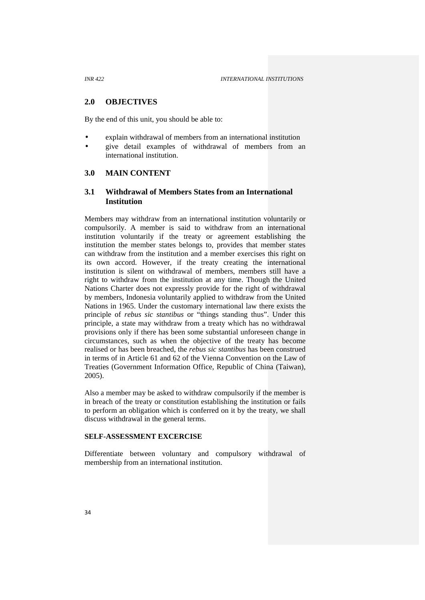# **2.0 OBJECTIVES**

By the end of this unit, you should be able to:

- explain withdrawal of members from an international institution
- give detail examples of withdrawal of members from an international institution.

# **3.0 MAIN CONTENT**

# **3.1 Withdrawal of Members States from an International Institution**

Members may withdraw from an international institution voluntarily or compulsorily. A member is said to withdraw from an international institution voluntarily if the treaty or agreement establishing the institution the member states belongs to, provides that member states can withdraw from the institution and a member exercises this right on its own accord. However, if the treaty creating the international institution is silent on withdrawal of members, members still have a right to withdraw from the institution at any time. Though the United Nations Charter does not expressly provide for the right of withdrawal by members, Indonesia voluntarily applied to withdraw from the United Nations in 1965. Under the customary international law there exists the principle of *rebus sic stantibus* or "things standing thus". Under this principle, a state may withdraw from a treaty which has no withdrawal provisions only if there has been some substantial unforeseen change in circumstances, such as when the objective of the treaty has become realised or has been breached, the *rebus sic stantibus* has been construed in terms of in Article 61 and 62 of the Vienna Convention on the Law of Treaties (Government Information Office, Republic of China (Taiwan), 2005).

Also a member may be asked to withdraw compulsorily if the member is in breach of the treaty or constitution establishing the institution or fails to perform an obligation which is conferred on it by the treaty, we shall discuss withdrawal in the general terms.

# **SELF-ASSESSMENT EXCERCISE**

Differentiate between voluntary and compulsory withdrawal of membership from an international institution.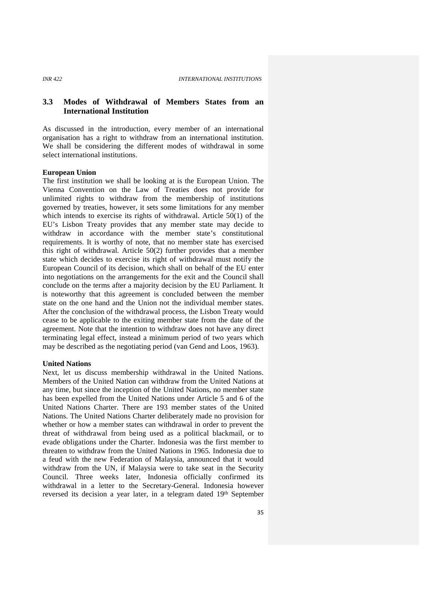# **3.3 Modes of Withdrawal of Members States from an International Institution**

As discussed in the introduction, every member of an international organisation has a right to withdraw from an international institution. We shall be considering the different modes of withdrawal in some select international institutions.

### **European Union**

The first institution we shall be looking at is the European Union. The Vienna Convention on the Law of Treaties does not provide for unlimited rights to withdraw from the membership of institutions governed by treaties, however, it sets some limitations for any member which intends to exercise its rights of withdrawal. Article 50(1) of the EU's Lisbon Treaty provides that any member state may decide to withdraw in accordance with the member state's constitutional requirements. It is worthy of note, that no member state has exercised this right of withdrawal. Article 50(2) further provides that a member state which decides to exercise its right of withdrawal must notify the European Council of its decision, which shall on behalf of the EU enter into negotiations on the arrangements for the exit and the Council shall conclude on the terms after a majority decision by the EU Parliament. It is noteworthy that this agreement is concluded between the member state on the one hand and the Union not the individual member states. After the conclusion of the withdrawal process, the Lisbon Treaty would cease to be applicable to the exiting member state from the date of the agreement. Note that the intention to withdraw does not have any direct terminating legal effect, instead a minimum period of two years which may be described as the negotiating period (van Gend and Loos, 1963).

### **United Nations**

Next, let us discuss membership withdrawal in the United Nations. Members of the United Nation can withdraw from the United Nations at any time, but since the inception of the United Nations, no member state has been expelled from the United Nations under Article 5 and 6 of the United Nations Charter. There are 193 member states of the United Nations. The United Nations Charter deliberately made no provision for whether or how a member states can withdrawal in order to prevent the threat of withdrawal from being used as a political blackmail, or to evade obligations under the Charter. Indonesia was the first member to threaten to withdraw from the United Nations in 1965. Indonesia due to a feud with the new Federation of Malaysia, announced that it would withdraw from the UN, if Malaysia were to take seat in the Security Council. Three weeks later, Indonesia officially confirmed its withdrawal in a letter to the Secretary-General. Indonesia however reversed its decision a year later, in a telegram dated 19th September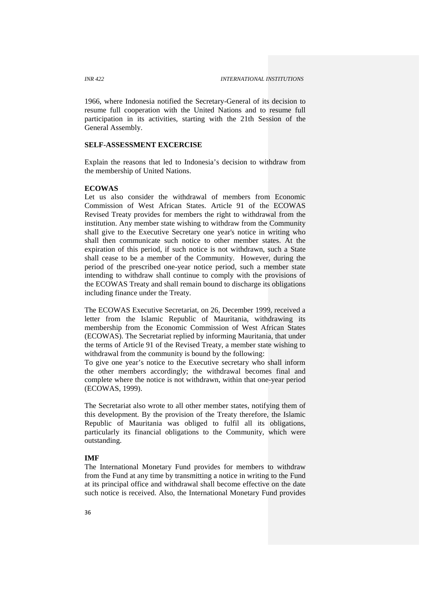1966, where Indonesia notified the Secretary-General of its decision to resume full cooperation with the United Nations and to resume full participation in its activities, starting with the 21th Session of the General Assembly.

# **SELF-ASSESSMENT EXCERCISE**

Explain the reasons that led to Indonesia's decision to withdraw from the membership of United Nations.

### **ECOWAS**

Let us also consider the withdrawal of members from Economic Commission of West African States. Article 91 of the ECOWAS Revised Treaty provides for members the right to withdrawal from the institution. Any member state wishing to withdraw from the Community shall give to the Executive Secretary one year's notice in writing who shall then communicate such notice to other member states. At the expiration of this period, if such notice is not withdrawn, such a State shall cease to be a member of the Community. However, during the period of the prescribed one-year notice period, such a member state intending to withdraw shall continue to comply with the provisions of the ECOWAS Treaty and shall remain bound to discharge its obligations including finance under the Treaty.

The ECOWAS Executive Secretariat, on 26, December 1999, received a letter from the Islamic Republic of Mauritania, withdrawing its membership from the Economic Commission of West African States (ECOWAS). The Secretariat replied by informing Mauritania, that under the terms of Article 91 of the Revised Treaty, a member state wishing to withdrawal from the community is bound by the following:

To give one year's notice to the Executive secretary who shall inform the other members accordingly; the withdrawal becomes final and complete where the notice is not withdrawn, within that one-year period (ECOWAS, 1999).

The Secretariat also wrote to all other member states, notifying them of this development. By the provision of the Treaty therefore, the Islamic Republic of Mauritania was obliged to fulfil all its obligations, particularly its financial obligations to the Community, which were outstanding.

### **IMF**

The International Monetary Fund provides for members to withdraw from the Fund at any time by transmitting a notice in writing to the Fund at its principal office and withdrawal shall become effective on the date such notice is received. Also, the International Monetary Fund provides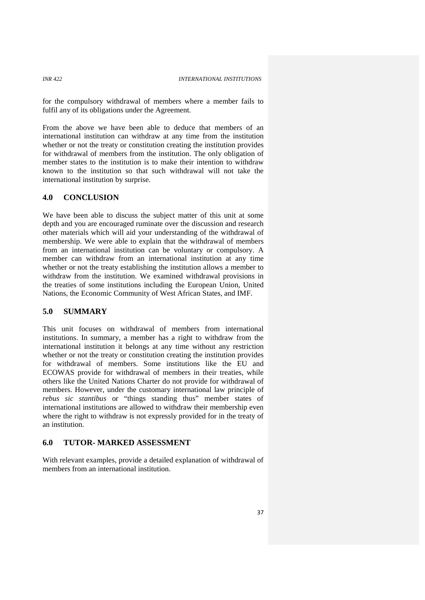for the compulsory withdrawal of members where a member fails to fulfil any of its obligations under the Agreement.

From the above we have been able to deduce that members of an international institution can withdraw at any time from the institution whether or not the treaty or constitution creating the institution provides for withdrawal of members from the institution. The only obligation of member states to the institution is to make their intention to withdraw known to the institution so that such withdrawal will not take the international institution by surprise.

### **4.0 CONCLUSION**

We have been able to discuss the subject matter of this unit at some depth and you are encouraged ruminate over the discussion and research other materials which will aid your understanding of the withdrawal of membership. We were able to explain that the withdrawal of members from an international institution can be voluntary or compulsory. A member can withdraw from an international institution at any time whether or not the treaty establishing the institution allows a member to withdraw from the institution. We examined withdrawal provisions in the treaties of some institutions including the European Union, United Nations, the Economic Community of West African States, and IMF.

# **5.0 SUMMARY**

This unit focuses on withdrawal of members from international institutions. In summary, a member has a right to withdraw from the international institution it belongs at any time without any restriction whether or not the treaty or constitution creating the institution provides for withdrawal of members. Some institutions like the EU and ECOWAS provide for withdrawal of members in their treaties, while others like the United Nations Charter do not provide for withdrawal of members. However, under the customary international law principle of *rebus sic stantibus* or "things standing thus" member states of international institutions are allowed to withdraw their membership even where the right to withdraw is not expressly provided for in the treaty of an institution.

# **6.0 TUTOR- MARKED ASSESSMENT**

With relevant examples, provide a detailed explanation of withdrawal of members from an international institution.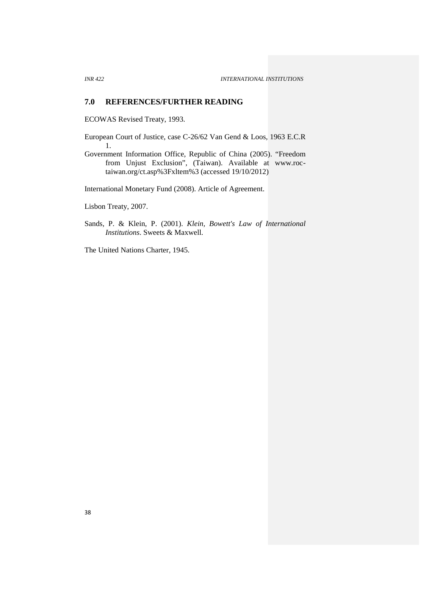### **7.0 REFERENCES/FURTHER READING**

ECOWAS Revised Treaty, 1993.

- European Court of Justice, case C-26/62 Van Gend & Loos, 1963 E.C.R 1.
- Government Information Office, Republic of China (2005). "Freedom from Unjust Exclusion", (Taiwan). Available at www.roctaiwan.org/ct.asp%3Fxltem%3 (accessed 19/10/2012)

International Monetary Fund (2008). Article of Agreement.

Lisbon Treaty, 2007.

Sands, P. & Klein, P. (2001). *Klein, Bowett's Law of International Institutions*. Sweets & Maxwell.

The United Nations Charter, 1945.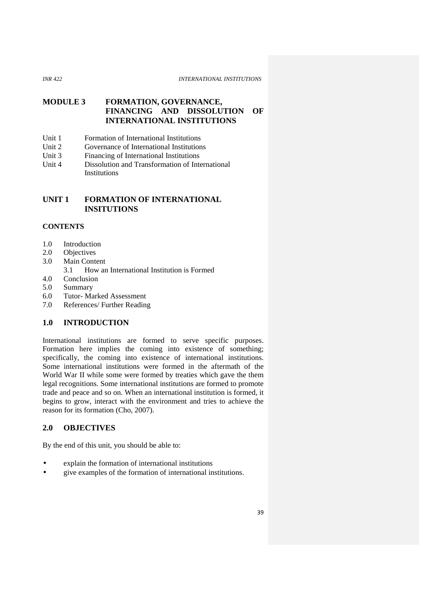### *INR 422 INTERNATIONAL INSTITUTIONS*

# **MODULE 3 FORMATION, GOVERNANCE, FINANCING AND DISSOLUTION OF INTERNATIONAL INSTITUTIONS**

- Unit 1 Formation of International Institutions
- Unit 2 Governance of International Institutions
- Unit 3 Financing of International Institutions
- Unit 4 Dissolution and Transformation of International Institutions

# **UNIT 1 FORMATION OF INTERNATIONAL INSITUTIONS**

# **CONTENTS**

- 1.0 Introduction
- 2.0 Objectives
- 3.0 Main Content
	- 3.1 How an International Institution is Formed
- 4.0 Conclusion
- 5.0 Summary
- 6.0 Tutor- Marked Assessment
- 7.0 References/ Further Reading

# **1.0 INTRODUCTION**

International institutions are formed to serve specific purposes. Formation here implies the coming into existence of something; specifically, the coming into existence of international institutions. Some international institutions were formed in the aftermath of the World War II while some were formed by treaties which gave the them legal recognitions. Some international institutions are formed to promote trade and peace and so on. When an international institution is formed, it begins to grow, interact with the environment and tries to achieve the reason for its formation (Cho, 2007).

# **2.0 OBJECTIVES**

By the end of this unit, you should be able to:

- explain the formation of international institutions
- give examples of the formation of international institutions.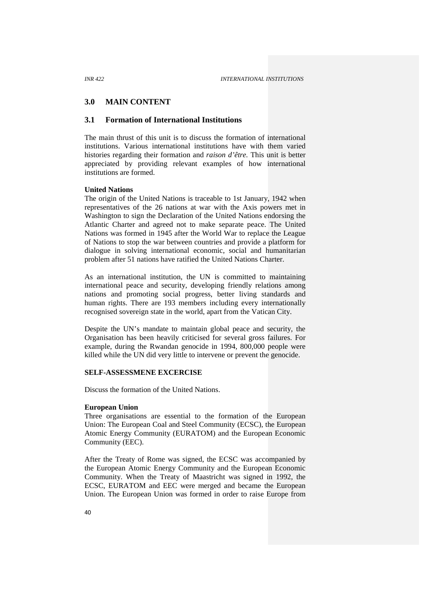### **3.0 MAIN CONTENT**

# **3.1 Formation of International Institutions**

The main thrust of this unit is to discuss the formation of international institutions. Various international institutions have with them varied histories regarding their formation and *raison d'être.* This unit is better appreciated by providing relevant examples of how international institutions are formed.

### **United Nations**

The origin of the United Nations is traceable to 1st January, 1942 when representatives of the 26 nations at war with the Axis powers met in Washington to sign the Declaration of the United Nations endorsing the Atlantic Charter and agreed not to make separate peace. The United Nations was formed in 1945 after the World War to replace the League of Nations to stop the war between countries and provide a platform for dialogue in solving international economic, social and humanitarian problem after 51 nations have ratified the United Nations Charter.

As an international institution, the UN is committed to maintaining international peace and security, developing friendly relations among nations and promoting social progress, better living standards and human rights. There are 193 members including every internationally recognised sovereign state in the world, apart from the Vatican City.

Despite the UN's mandate to maintain global peace and security, the Organisation has been heavily criticised for several gross failures. For example, during the Rwandan genocide in 1994, 800,000 people were killed while the UN did very little to intervene or prevent the genocide.

### **SELF-ASSESSMENE EXCERCISE**

Discuss the formation of the United Nations.

### **European Union**

Three organisations are essential to the formation of the European Union: The European Coal and Steel Community (ECSC), the European Atomic Energy Community (EURATOM) and the European Economic Community (EEC).

After the Treaty of Rome was signed, the ECSC was accompanied by the European Atomic Energy Community and the European Economic Community. When the Treaty of Maastricht was signed in 1992, the ECSC, EURATOM and EEC were merged and became the European Union. The European Union was formed in order to raise Europe from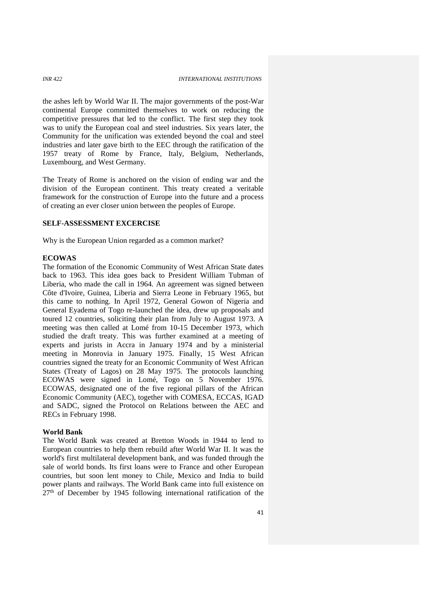the ashes left by World War II. The major governments of the post-War continental Europe committed themselves to work on reducing the competitive pressures that led to the conflict. The first step they took was to unify the European coal and steel industries. Six years later, the Community for the unification was extended beyond the coal and steel industries and later gave birth to the EEC through the ratification of the 1957 treaty of Rome by France, Italy, Belgium, Netherlands, Luxembourg, and West Germany.

The Treaty of Rome is anchored on the vision of ending war and the division of the European continent. This treaty created a veritable framework for the construction of Europe into the future and a process of creating an ever closer union between the peoples of Europe.

# **SELF-ASSESSMENT EXCERCISE**

Why is the European Union regarded as a common market?

### **ECOWAS**

The formation of the Economic Community of West African State dates back to 1963. This idea goes back to President William Tubman of Liberia, who made the call in 1964. An agreement was signed between Côte d'Ivoire, Guinea, Liberia and Sierra Leone in February 1965, but this came to nothing. In April 1972, General Gowon of Nigeria and General Eyadema of Togo re-launched the idea, drew up proposals and toured 12 countries, soliciting their plan from July to August 1973. A meeting was then called at Lomé from 10-15 December 1973, which studied the draft treaty. This was further examined at a meeting of experts and jurists in Accra in January 1974 and by a ministerial meeting in Monrovia in January 1975. Finally, 15 West African countries signed the treaty for an Economic Community of West African States (Treaty of Lagos) on 28 May 1975. The protocols launching ECOWAS were signed in Lomé, Togo on 5 November 1976. ECOWAS, designated one of the five regional pillars of the African Economic Community (AEC), together with COMESA, ECCAS, IGAD and SADC, signed the Protocol on Relations between the AEC and RECs in February 1998.

### **World Bank**

The World Bank was created at Bretton Woods in 1944 to lend to European countries to help them rebuild after World War II. It was the world's first multilateral development bank, and was funded through the sale of world bonds. Its first loans were to France and other European countries, but soon lent money to Chile, Mexico and India to build power plants and railways. The World Bank came into full existence on  $27<sup>th</sup>$  of December by 1945 following international ratification of the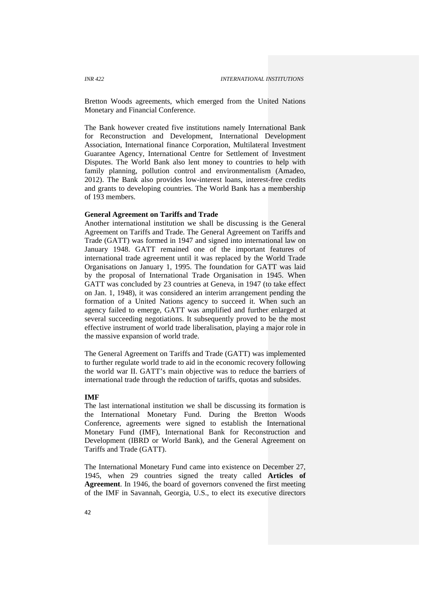Bretton Woods agreements, which emerged from the United Nations Monetary and Financial Conference.

The Bank however created five institutions namely International Bank for Reconstruction and Development, International Development Association, International finance Corporation, Multilateral Investment Guarantee Agency, International Centre for Settlement of Investment Disputes. The World Bank also lent money to countries to help with family planning, pollution control and environmentalism (Amadeo, 2012). The Bank also provides low-interest loans, interest-free credits and grants to developing countries. The World Bank has a membership of 193 members.

# **General Agreement on Tariffs and Trade**

Another international institution we shall be discussing is the General Agreement on Tariffs and Trade. The General Agreement on Tariffs and Trade (GATT) was formed in 1947 and signed into international law on January 1948. GATT remained one of the important features of international trade agreement until it was replaced by the World Trade Organisations on January 1, 1995. The foundation for GATT was laid by the proposal of International Trade Organisation in 1945. When GATT was concluded by 23 countries at Geneva, in 1947 (to take effect on Jan. 1, 1948), it was considered an interim arrangement pending the formation of a United Nations agency to succeed it. When such an agency failed to emerge, GATT was amplified and further enlarged at several succeeding negotiations. It subsequently proved to be the most effective instrument of world trade liberalisation, playing a major role in the massive expansion of world trade.

The General Agreement on Tariffs and Trade (GATT) was implemented to further regulate world trade to aid in the economic recovery following the world war II. GATT's main objective was to reduce the barriers of international trade through the reduction of tariffs, quotas and subsides.

### **IMF**

The last international institution we shall be discussing its formation is the International Monetary Fund. During the Bretton Woods Conference, agreements were signed to establish the International Monetary Fund (IMF), International Bank for Reconstruction and Development (IBRD or World Bank), and the General Agreement on Tariffs and Trade (GATT).

The International Monetary Fund came into existence on December 27, 1945, when 29 countries signed the treaty called **Articles of Agreement**. In 1946, the board of governors convened the first meeting of the IMF in Savannah, Georgia, U.S., to elect its executive directors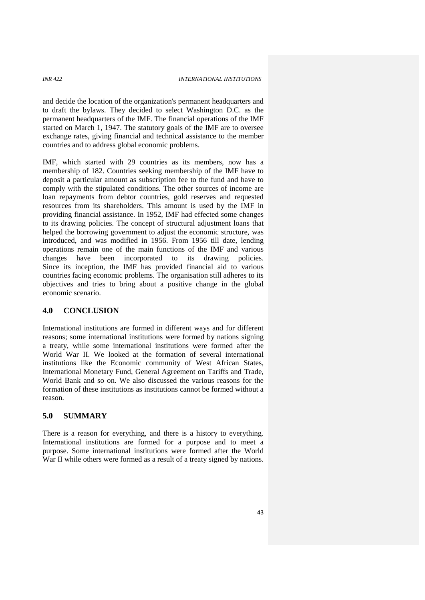and decide the location of the organization's permanent headquarters and to draft the bylaws. They decided to select Washington D.C. as the permanent headquarters of the IMF. The financial operations of the IMF started on March 1, 1947. The statutory goals of the IMF are to oversee exchange rates, giving financial and technical assistance to the member countries and to address global economic problems.

IMF, which started with 29 countries as its members, now has a membership of 182. Countries seeking membership of the IMF have to deposit a particular amount as subscription fee to the fund and have to comply with the stipulated conditions. The other sources of income are loan repayments from debtor countries, gold reserves and requested resources from its shareholders. This amount is used by the IMF in providing financial assistance. In 1952, IMF had effected some changes to its drawing policies. The concept of structural adjustment loans that helped the borrowing government to adjust the economic structure, was introduced, and was modified in 1956. From 1956 till date, lending operations remain one of the main functions of the IMF and various changes have been incorporated to its drawing policies. Since its inception, the IMF has provided financial aid to various countries facing economic problems. The organisation still adheres to its objectives and tries to bring about a positive change in the global economic scenario.

# **4.0 CONCLUSION**

International institutions are formed in different ways and for different reasons; some international institutions were formed by nations signing a treaty, while some international institutions were formed after the World War II. We looked at the formation of several international institutions like the Economic community of West African States, International Monetary Fund, General Agreement on Tariffs and Trade, World Bank and so on. We also discussed the various reasons for the formation of these institutions as institutions cannot be formed without a reason.

# **5.0 SUMMARY**

There is a reason for everything, and there is a history to everything. International institutions are formed for a purpose and to meet a purpose. Some international institutions were formed after the World War II while others were formed as a result of a treaty signed by nations.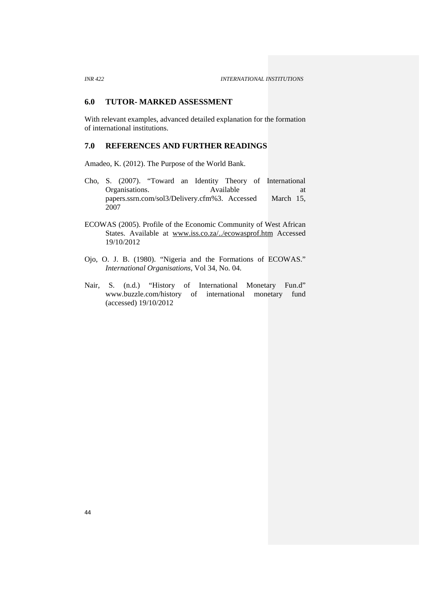### **6.0 TUTOR- MARKED ASSESSMENT**

With relevant examples, advanced detailed explanation for the formation of international institutions.

# **7.0 REFERENCES AND FURTHER READINGS**

Amadeo, K. (2012). The Purpose of the World Bank.

- Cho, S. (2007). "Toward an Identity Theory of International Organisations. Available at<br>papers.ssrn.com/sol3/Delivery.cfm%3. Accessed March 15. papers.ssrn.com/sol3/Delivery.cfm%3. Accessed 2007
- ECOWAS (2005). Profile of the Economic Community of West African States. Available at www.iss.co.za/../ecowasprof.htm Accessed 19/10/2012
- Ojo, O. J. B. (1980). "Nigeria and the Formations of ECOWAS." *International Organisations*, Vol 34, No. 04.
- Nair, S. (n.d.) "History of International Monetary Fun.d" www.buzzle.com/history of international monetary fund (accessed) 19/10/2012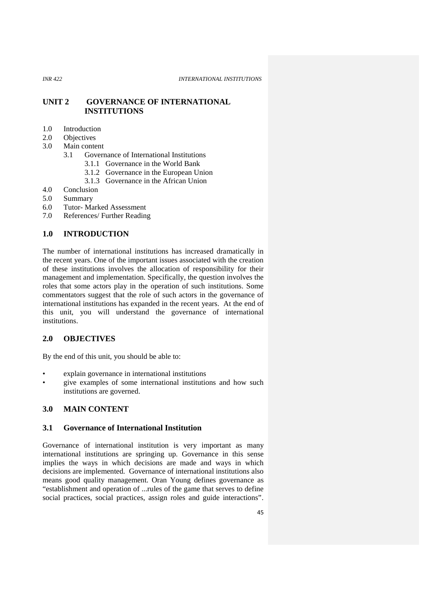*INR 422 INTERNATIONAL INSTITUTIONS*

**UNIT 2 GOVERNANCE OF INTERNATIONAL INSTITUTIONS**

- 1.0 Introduction<br>2.0 Objectives
- **Objectives**
- 3.0 Main content
	- 3.1 Governance of International Institutions
		- 3.1.1 Governance in the World Bank
		- 3.1.2 Governance in the European Union
		- 3.1.3 Governance in the African Union
- 4.0 Conclusion
- 5.0 Summary<br>6.0 Tutor-Ma
- Tutor- Marked Assessment
- 7.0 References/ Further Reading

# **1.0 INTRODUCTION**

The number of international institutions has increased dramatically in the recent years. One of the important issues associated with the creation of these institutions involves the allocation of responsibility for their management and implementation. Specifically, the question involves the roles that some actors play in the operation of such institutions. Some commentators suggest that the role of such actors in the governance of international institutions has expanded in the recent years. At the end of this unit, you will understand the governance of international institutions.

# **2.0 OBJECTIVES**

By the end of this unit, you should be able to:

- explain governance in international institutions
- give examples of some international institutions and how such institutions are governed.

# **3.0 MAIN CONTENT**

# **3.1 Governance of International Institution**

Governance of international institution is very important as many international institutions are springing up. Governance in this sense implies the ways in which decisions are made and ways in which decisions are implemented. Governance of international institutions also means good quality management. Oran Young defines governance as "establishment and operation of ...rules of the game that serves to define social practices, social practices, assign roles and guide interactions".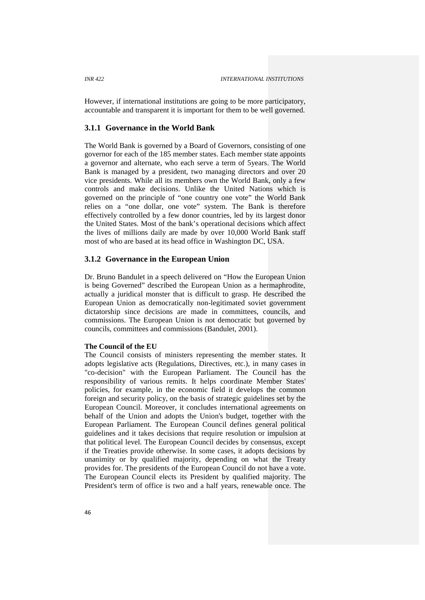However, if international institutions are going to be more participatory, accountable and transparent it is important for them to be well governed.

# **3.1.1 Governance in the World Bank**

The World Bank is governed by a Board of Governors, consisting of one governor for each of the 185 member states. Each member state appoints a governor and alternate, who each serve a term of 5years. The World Bank is managed by a president, two managing directors and over 20 vice presidents. While all its members own the World Bank, only a few controls and make decisions. Unlike the United Nations which is governed on the principle of "one country one vote" the World Bank relies on a "one dollar, one vote" system. The Bank is therefore effectively controlled by a few donor countries, led by its largest donor the United States. Most of the bank's operational decisions which affect the lives of millions daily are made by over 10,000 World Bank staff most of who are based at its head office in Washington DC, USA.

### **3.1.2 Governance in the European Union**

Dr. Bruno Bandulet in a speech delivered on "How the European Union is being Governed" described the European Union as a hermaphrodite, actually a juridical monster that is difficult to grasp. He described the European Union as democratically non-legitimated soviet government dictatorship since decisions are made in committees, councils, and commissions. The European Union is not democratic but governed by councils, committees and commissions (Bandulet, 2001).

### **The Council of the EU**

The Council consists of ministers representing the member states. It adopts legislative acts (Regulations, Directives, etc.), in many cases in "co-decision" with the European Parliament. The Council has the responsibility of various remits. It helps coordinate Member States' policies, for example, in the economic field it develops the common foreign and security policy, on the basis of strategic guidelines set by the European Council. Moreover, it concludes international agreements on behalf of the Union and adopts the Union's budget, together with the European Parliament. The European Council defines general political guidelines and it takes decisions that require resolution or impulsion at that political level. The European Council decides by consensus, except if the Treaties provide otherwise. In some cases, it adopts decisions by unanimity or by qualified majority, depending on what the Treaty provides for. The presidents of the European Council do not have a vote. The European Council elects its President by qualified majority. The President's term of office is two and a half years, renewable once. The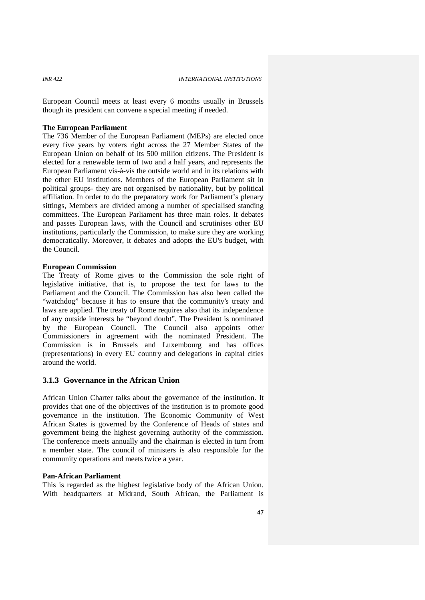European Council meets at least every 6 months usually in Brussels though its president can convene a special meeting if needed.

### **The European Parliament**

The 736 Member of the European Parliament (MEPs) are elected once every five years by voters right across the 27 Member States of the European Union on behalf of its 500 million citizens. The President is elected for a renewable term of two and a half years, and represents the European Parliament vis-à-vis the outside world and in its relations with the other EU institutions. Members of the European Parliament sit in political groups- they are not organised by nationality, but by political affiliation. In order to do the preparatory work for Parliament's plenary sittings, Members are divided among a number of specialised standing committees. The European Parliament has three main roles. It debates and passes European laws, with the Council and scrutinises other EU institutions, particularly the Commission, to make sure they are working democratically. Moreover, it debates and adopts the EU's budget, with the Council.

### **European Commission**

The Treaty of Rome gives to the Commission the sole right of legislative initiative, that is, to propose the text for laws to the Parliament and the Council. The Commission has also been called the "watchdog" because it has to ensure that the community's treaty and laws are applied. The treaty of Rome requires also that its independence of any outside interests be "beyond doubt". The President is nominated by the European Council. The Council also appoints other Commissioners in agreement with the nominated President. The Commission is in Brussels and Luxembourg and has offices (representations) in every EU country and delegations in capital cities around the world.

# **3.1.3 Governance in the African Union**

African Union Charter talks about the governance of the institution. It provides that one of the objectives of the institution is to promote good governance in the institution. The Economic Community of West African States is governed by the Conference of Heads of states and government being the highest governing authority of the commission. The conference meets annually and the chairman is elected in turn from a member state. The council of ministers is also responsible for the community operations and meets twice a year.

### **Pan-African Parliament**

This is regarded as the highest legislative body of the African Union. With headquarters at Midrand, South African, the Parliament is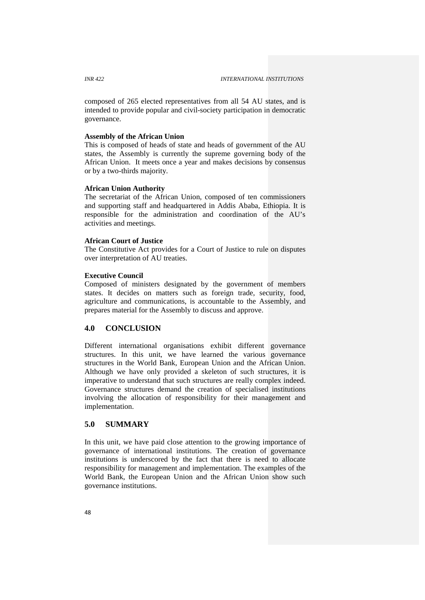composed of 265 elected representatives from all 54 AU states, and is intended to provide popular and civil-society participation in democratic governance.

# **Assembly of the African Union**

This is composed of heads of state and heads of government of the AU states, the Assembly is currently the supreme governing body of the African Union. It meets once a year and makes decisions by consensus or by a two-thirds majority.

### **African Union Authority**

The secretariat of the African Union, composed of ten commissioners and supporting staff and headquartered in Addis Ababa, Ethiopia. It is responsible for the administration and coordination of the AU's activities and meetings.

### **African Court of Justice**

The Constitutive Act provides for a Court of Justice to rule on disputes over interpretation of AU treaties.

### **Executive Council**

Composed of ministers designated by the government of members states. It decides on matters such as foreign trade, security, food, agriculture and communications, is accountable to the Assembly, and prepares material for the Assembly to discuss and approve.

### **4.0 CONCLUSION**

Different international organisations exhibit different governance structures. In this unit, we have learned the various governance structures in the World Bank, European Union and the African Union. Although we have only provided a skeleton of such structures, it is imperative to understand that such structures are really complex indeed. Governance structures demand the creation of specialised institutions involving the allocation of responsibility for their management and implementation.

# **5.0 SUMMARY**

In this unit, we have paid close attention to the growing importance of governance of international institutions. The creation of governance institutions is underscored by the fact that there is need to allocate responsibility for management and implementation. The examples of the World Bank, the European Union and the African Union show such governance institutions.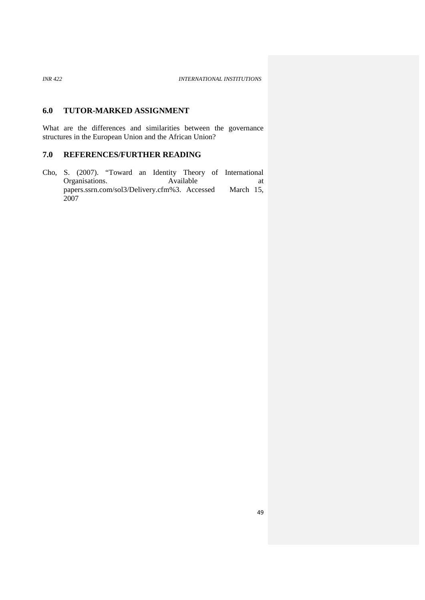# **6.0 TUTOR-MARKED ASSIGNMENT**

What are the differences and similarities between the governance structures in the European Union and the African Union?

# **7.0 REFERENCES/FURTHER READING**

Cho, S. (2007). "Toward an Identity Theory of International Organisations. Available at papers.ssrn.com/sol3/Delivery.cfm%3. Accessed March 15, 2007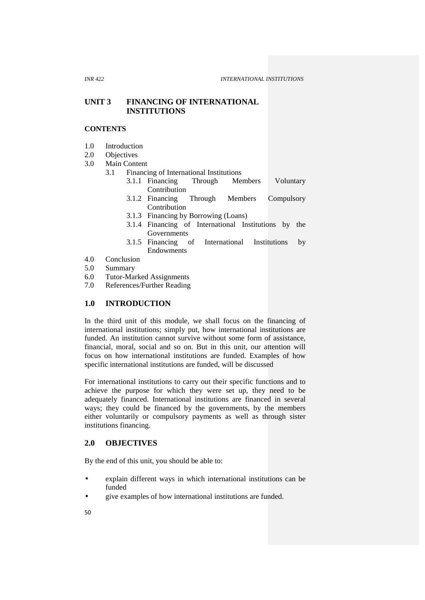# **UNIT 3 FINANCING OF INTERNATIONAL INSTITUTIONS**

### **CONTENTS**

- 1.0 Introduction
- 2.0 Objectives<br>3.0 Main Conte

### Main Content

# 3.1 Financing of International Institutions<br>3.1.1 Financing Through Members

- 3.1.1 Financing Through Members Voluntary Contribution
- 3.1.2 Financing Through Members Compulsory Contribution
- 3.1.3 Financing by Borrowing (Loans)
- 3.1.4 Financing of International Institutions by the Governments
- 3.1.5 Financing of International Institutions by Endowments
- 4.0 Conclusion
- 5.0 Summary
- 6.0 Tutor-Marked Assignments
- 7.0 References/Further Reading

# **1.0 INTRODUCTION**

In the third unit of this module, we shall focus on the financing of international institutions; simply put, how international institutions are funded. An institution cannot survive without some form of assistance, financial, moral, social and so on. But in this unit, our attention will focus on how international institutions are funded. Examples of how specific international institutions are funded, will be discussed

For international institutions to carry out their specific functions and to achieve the purpose for which they were set up, they need to be adequately financed. International institutions are financed in several ways; they could be financed by the governments, by the members either voluntarily or compulsory payments as well as through sister institutions financing.

# **2.0 OBJECTIVES**

By the end of this unit, you should be able to:

- explain different ways in which international institutions can be funded
- give examples of how international institutions are funded.
- 50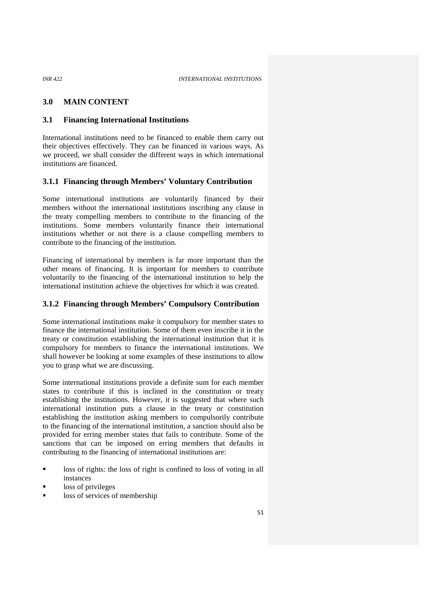# **3.0 MAIN CONTENT**

### **3.1 Financing International Institutions**

International institutions need to be financed to enable them carry out their objectives effectively. They can be financed in various ways. As we proceed, we shall consider the different ways in which international institutions are financed.

### **3.1.1 Financing through Members' Voluntary Contribution**

Some international institutions are voluntarily financed by their members without the international institutions inscribing any clause in the treaty compelling members to contribute to the financing of the institutions. Some members voluntarily finance their international institutions whether or not there is a clause compelling members to contribute to the financing of the institution.

Financing of international by members is far more important than the other means of financing. It is important for members to contribute voluntarily to the financing of the international institution to help the international institution achieve the objectives for which it was created.

### **3.1.2 Financing through Members' Compulsory Contribution**

Some international institutions make it compulsory for member states to finance the international institution. Some of them even inscribe it in the treaty or constitution establishing the international institution that it is compulsory for members to finance the international institutions. We shall however be looking at some examples of these institutions to allow you to grasp what we are discussing.

Some international institutions provide a definite sum for each member states to contribute if this is inclined in the constitution or treaty establishing the institutions. However, it is suggested that where such international institution puts a clause in the treaty or constitution establishing the institution asking members to compulsorily contribute to the financing of the international institution, a sanction should also be provided for erring member states that fails to contribute. Some of the sanctions that can be imposed on erring members that defaults in contributing to the financing of international institutions are:

- loss of rights: the loss of right is confined to loss of voting in all instances
- loss of privileges
- loss of services of membership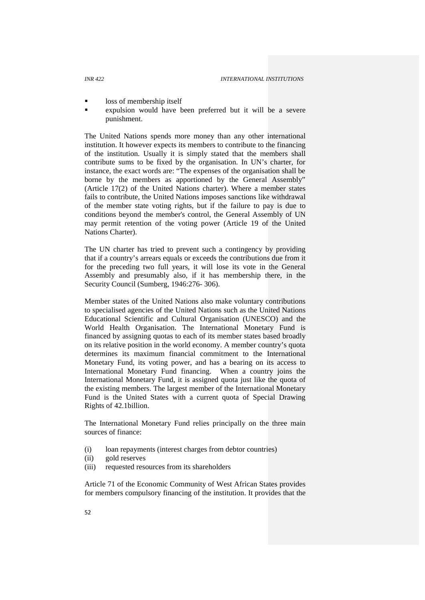- loss of membership itself
- expulsion would have been preferred but it will be a severe punishment.

The United Nations spends more money than any other international institution. It however expects its members to contribute to the financing of the institution. Usually it is simply stated that the members shall contribute sums to be fixed by the organisation. In UN's charter, for instance, the exact words are: "The expenses of the organisation shall be borne by the members as apportioned by the General Assembly" (Article 17(2) of the United Nations charter). Where a member states fails to contribute, the United Nations imposes sanctions like withdrawal of the member state voting rights, but if the failure to pay is due to conditions beyond the member's control, the General Assembly of UN may permit retention of the voting power (Article 19 of the United Nations Charter).

The UN charter has tried to prevent such a contingency by providing that if a country's arrears equals or exceeds the contributions due from it for the preceding two full years, it will lose its vote in the General Assembly and presumably also, if it has membership there, in the Security Council (Sumberg, 1946:276- 306).

Member states of the United Nations also make voluntary contributions to specialised agencies of the United Nations such as the United Nations Educational Scientific and Cultural Organisation (UNESCO) and the World Health Organisation. The International Monetary Fund is financed by assigning quotas to each of its member states based broadly on its relative position in the world economy. A member country's quota determines its maximum financial commitment to the International Monetary Fund, its voting power, and has a bearing on its access to International Monetary Fund financing. When a country joins the International Monetary Fund, it is assigned quota just like the quota of the existing members. The largest member of the International Monetary Fund is the United States with a current quota of Special Drawing Rights of 42.1billion.

The International Monetary Fund relies principally on the three main sources of finance:

- (i) loan repayments (interest charges from debtor countries)
- (ii) gold reserves
- (iii) requested resources from its shareholders

Article 71 of the Economic Community of West African States provides for members compulsory financing of the institution. It provides that the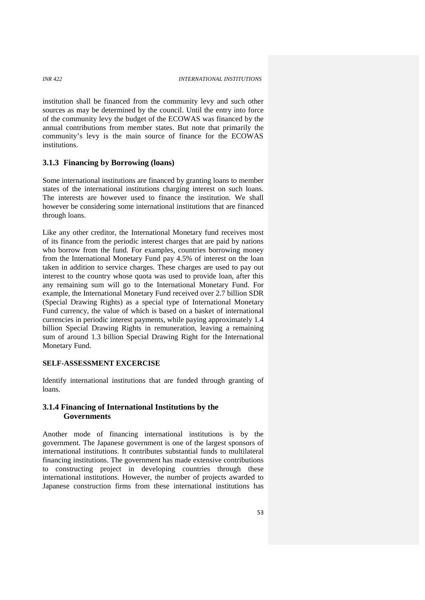institution shall be financed from the community levy and such other sources as may be determined by the council. Until the entry into force of the community levy the budget of the ECOWAS was financed by the annual contributions from member states. But note that primarily the community's levy is the main source of finance for the ECOWAS institutions.

# **3.1.3 Financing by Borrowing (loans)**

Some international institutions are financed by granting loans to member states of the international institutions charging interest on such loans. The interests are however used to finance the institution. We shall however be considering some international institutions that are financed through loans.

Like any other creditor, the International Monetary fund receives most of its finance from the periodic interest charges that are paid by nations who borrow from the fund. For examples, countries borrowing money from the International Monetary Fund pay 4.5% of interest on the loan taken in addition to service charges. These charges are used to pay out interest to the country whose quota was used to provide loan, after this any remaining sum will go to the International Monetary Fund. For example, the International Monetary Fund received over 2.7 billion SDR (Special Drawing Rights) as a special type of International Monetary Fund currency, the value of which is based on a basket of international currencies in periodic interest payments, while paying approximately 1.4 billion Special Drawing Rights in remuneration, leaving a remaining sum of around 1.3 billion Special Drawing Right for the International Monetary Fund.

### **SELF-ASSESSMENT EXCERCISE**

Identify international institutions that are funded through granting of loans.

# **3.1.4 Financing of International Institutions by the Governments**

Another mode of financing international institutions is by the government. The Japanese government is one of the largest sponsors of international institutions. It contributes substantial funds to multilateral financing institutions. The government has made extensive contributions to constructing project in developing countries through these international institutions. However, the number of projects awarded to Japanese construction firms from these international institutions has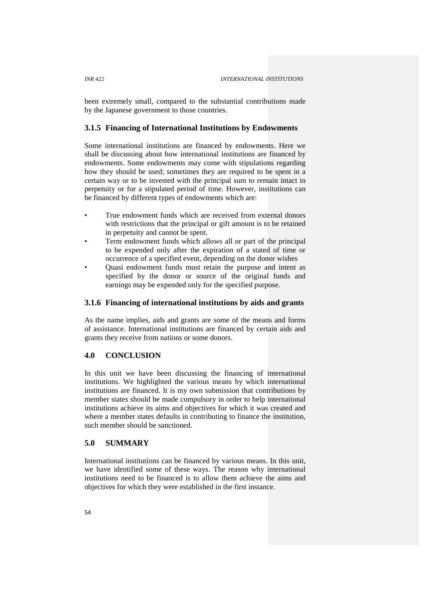been extremely small, compared to the substantial contributions made by the Japanese government to those countries.

# **3.1.5 Financing of International Institutions by Endowments**

Some international institutions are financed by endowments. Here we shall be discussing about how international institutions are financed by endowments. Some endowments may come with stipulations regarding how they should be used; sometimes they are required to be spent in a certain way or to be invested with the principal sum to remain intact in perpetuity or for a stipulated period of time. However, institutions can be financed by different types of endowments which are:

- True endowment funds which are received from external donors with restrictions that the principal or gift amount is to be retained in perpetuity and cannot be spent.
- Term endowment funds which allows all or part of the principal to be expended only after the expiration of a stated of time or occurrence of a specified event, depending on the donor wishes
- Quasi endowment funds must retain the purpose and intent as specified by the donor or source of the original funds and earnings may be expended only for the specified purpose.

# **3.1.6 Financing of international institutions by aids and grants**

As the name implies, aids and grants are some of the means and forms of assistance. International institutions are financed by certain aids and grants they receive from nations or some donors.

# **4.0 CONCLUSION**

In this unit we have been discussing the financing of international institutions. We highlighted the various means by which international institutions are financed. It is my own submission that contributions by member states should be made compulsory in order to help international institutions achieve its aims and objectives for which it was created and where a member states defaults in contributing to finance the institution, such member should be sanctioned.

# **5.0 SUMMARY**

International institutions can be financed by various means. In this unit, we have identified some of these ways. The reason why international institutions need to be financed is to allow them achieve the aims and objectives for which they were established in the first instance.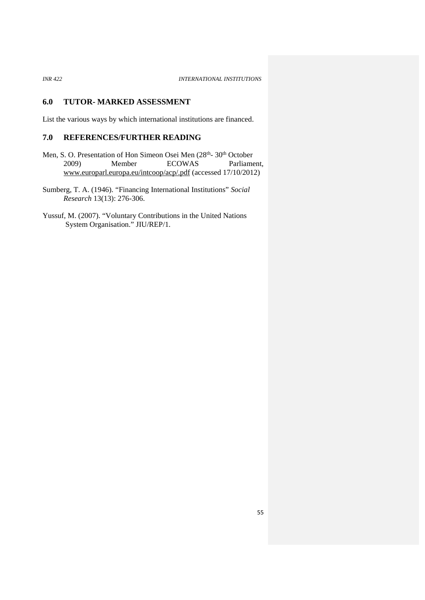*INR 422 INTERNATIONAL INSTITUTIONS*

# **6.0 TUTOR- MARKED ASSESSMENT**

List the various ways by which international institutions are financed.

# **7.0 REFERENCES/FURTHER READING**

Men, S. O. Presentation of Hon Simeon Osei Men (28<sup>th</sup>-30<sup>th</sup> October 2009) Member ECOWAS Parliament, www.europarl.europa.eu/intcoop/acp/.pdf (accessed 17/10/2012)

Sumberg, T. A. (1946). "Financing International Institutions" *Social Research* 13(13): 276-306.

Yussuf, M. (2007). "Voluntary Contributions in the United Nations System Organisation." JIU/REP/1.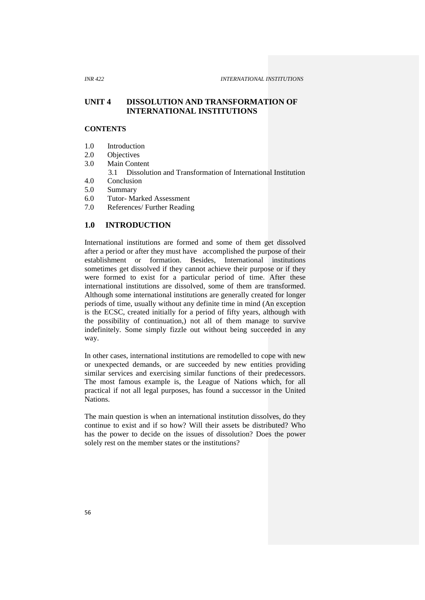# **UNIT 4 DISSOLUTION AND TRANSFORMATION OF INTERNATIONAL INSTITUTIONS**

# **CONTENTS**

- 1.0 Introduction
- 2.0 Objectives<br>3.0 Main Cont
- Main Content
	- 3.1 Dissolution and Transformation of International Institution
- 4.0 Conclusion
- 5.0 Summary
- 6.0 Tutor-Marked Assessment<br>7.0 References/Further Reading
- References/ Further Reading

# **1.0 INTRODUCTION**

International institutions are formed and some of them get dissolved after a period or after they must have accomplished the purpose of their establishment or formation. Besides, International institutions sometimes get dissolved if they cannot achieve their purpose or if they were formed to exist for a particular period of time. After these international institutions are dissolved, some of them are transformed. Although some international institutions are generally created for longer periods of time, usually without any definite time in mind (An exception is the ECSC, created initially for a period of fifty years, although with the possibility of continuation,) not all of them manage to survive indefinitely. Some simply fizzle out without being succeeded in any way.

In other cases, international institutions are remodelled to cope with new or unexpected demands, or are succeeded by new entities providing similar services and exercising similar functions of their predecessors. The most famous example is, the League of Nations which, for all practical if not all legal purposes, has found a successor in the United Nations.

The main question is when an international institution dissolves, do they continue to exist and if so how? Will their assets be distributed? Who has the power to decide on the issues of dissolution? Does the power solely rest on the member states or the institutions?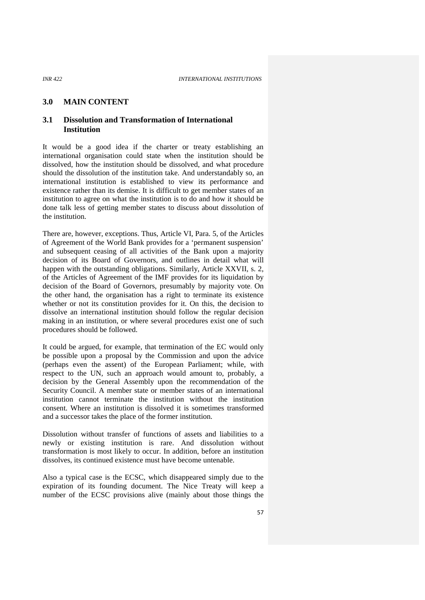### **3.0 MAIN CONTENT**

# **3.1 Dissolution and Transformation of International Institution**

It would be a good idea if the charter or treaty establishing an international organisation could state when the institution should be dissolved, how the institution should be dissolved, and what procedure should the dissolution of the institution take. And understandably so, an international institution is established to view its performance and existence rather than its demise. It is difficult to get member states of an institution to agree on what the institution is to do and how it should be done talk less of getting member states to discuss about dissolution of the institution.

There are, however, exceptions. Thus, Article VI, Para. 5, of the Articles of Agreement of the World Bank provides for a 'permanent suspension' and subsequent ceasing of all activities of the Bank upon a majority decision of its Board of Governors, and outlines in detail what will happen with the outstanding obligations. Similarly, Article XXVII, s. 2, of the Articles of Agreement of the IMF provides for its liquidation by decision of the Board of Governors, presumably by majority vote. On the other hand, the organisation has a right to terminate its existence whether or not its constitution provides for it. On this, the decision to dissolve an international institution should follow the regular decision making in an institution, or where several procedures exist one of such procedures should be followed.

It could be argued, for example, that termination of the EC would only be possible upon a proposal by the Commission and upon the advice (perhaps even the assent) of the European Parliament; while, with respect to the UN, such an approach would amount to, probably, a decision by the General Assembly upon the recommendation of the Security Council. A member state or member states of an international institution cannot terminate the institution without the institution consent. Where an institution is dissolved it is sometimes transformed and a successor takes the place of the former institution.

Dissolution without transfer of functions of assets and liabilities to a newly or existing institution is rare. And dissolution without transformation is most likely to occur. In addition, before an institution dissolves, its continued existence must have become untenable.

Also a typical case is the ECSC, which disappeared simply due to the expiration of its founding document. The Nice Treaty will keep a number of the ECSC provisions alive (mainly about those things the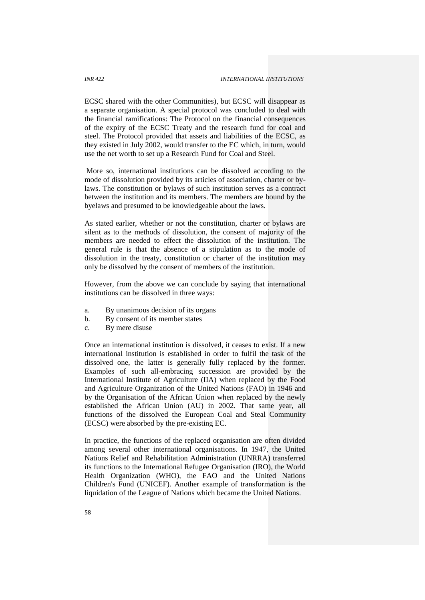ECSC shared with the other Communities), but ECSC will disappear as a separate organisation. A special protocol was concluded to deal with the financial ramifications: The Protocol on the financial consequences of the expiry of the ECSC Treaty and the research fund for coal and steel. The Protocol provided that assets and liabilities of the ECSC, as they existed in July 2002, would transfer to the EC which, in turn, would use the net worth to set up a Research Fund for Coal and Steel.

More so, international institutions can be dissolved according to the mode of dissolution provided by its articles of association, charter or bylaws. The constitution or bylaws of such institution serves as a contract between the institution and its members. The members are bound by the byelaws and presumed to be knowledgeable about the laws.

As stated earlier, whether or not the constitution, charter or bylaws are silent as to the methods of dissolution, the consent of majority of the members are needed to effect the dissolution of the institution. The general rule is that the absence of a stipulation as to the mode of dissolution in the treaty, constitution or charter of the institution may only be dissolved by the consent of members of the institution.

However, from the above we can conclude by saying that international institutions can be dissolved in three ways:

- a. By unanimous decision of its organs
- b. By consent of its member states
- c. By mere disuse

Once an international institution is dissolved, it ceases to exist. If a new international institution is established in order to fulfil the task of the dissolved one, the latter is generally fully replaced by the former. Examples of such all-embracing succession are provided by the International Institute of Agriculture (IIA) when replaced by the Food and Agriculture Organization of the United Nations (FAO) in 1946 and by the Organisation of the African Union when replaced by the newly established the African Union (AU) in 2002. That same year, all functions of the dissolved the European Coal and Steal Community (ECSC) were absorbed by the pre-existing EC.

In practice, the functions of the replaced organisation are often divided among several other international organisations. In 1947, the United Nations Relief and Rehabilitation Administration (UNRRA) transferred its functions to the International Refugee Organisation (IRO), the World Health Organization (WHO), the FAO and the United Nations Children's Fund (UNICEF). Another example of transformation is the liquidation of the League of Nations which became the United Nations.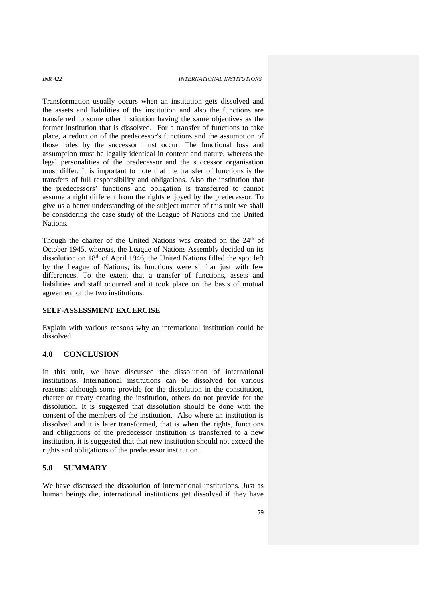Transformation usually occurs when an institution gets dissolved and the assets and liabilities of the institution and also the functions are transferred to some other institution having the same objectives as the former institution that is dissolved. For a transfer of functions to take place, a reduction of the predecessor's functions and the assumption of those roles by the successor must occur. The functional loss and assumption must be legally identical in content and nature, whereas the legal personalities of the predecessor and the successor organisation must differ. It is important to note that the transfer of functions is the transfers of full responsibility and obligations. Also the institution that the predecessors' functions and obligation is transferred to cannot assume a right different from the rights enjoyed by the predecessor. To give us a better understanding of the subject matter of this unit we shall be considering the case study of the League of Nations and the United Nations.

Though the charter of the United Nations was created on the 24<sup>th</sup> of October 1945, whereas, the League of Nations Assembly decided on its dissolution on 18th of April 1946, the United Nations filled the spot left by the League of Nations; its functions were similar just with few differences. To the extent that a transfer of functions, assets and liabilities and staff occurred and it took place on the basis of mutual agreement of the two institutions.

## **SELF-ASSESSMENT EXCERCISE**

Explain with various reasons why an international institution could be dissolved.

# **4.0 CONCLUSION**

In this unit, we have discussed the dissolution of international institutions. International institutions can be dissolved for various reasons: although some provide for the dissolution in the constitution, charter or treaty creating the institution, others do not provide for the dissolution. It is suggested that dissolution should be done with the consent of the members of the institution. Also where an institution is dissolved and it is later transformed, that is when the rights, functions and obligations of the predecessor institution is transferred to a new institution, it is suggested that that new institution should not exceed the rights and obligations of the predecessor institution.

## **5.0 SUMMARY**

We have discussed the dissolution of international institutions. Just as human beings die, international institutions get dissolved if they have

59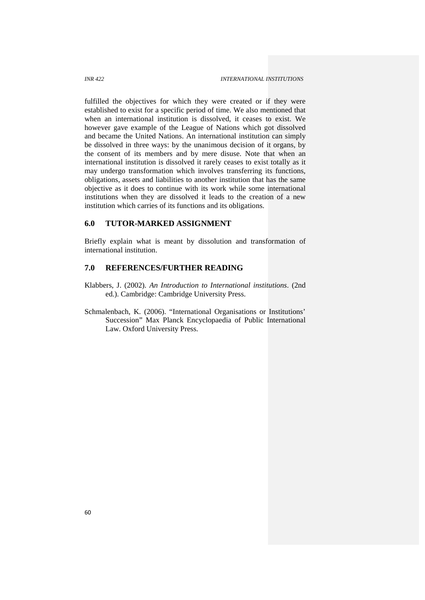fulfilled the objectives for which they were created or if they were established to exist for a specific period of time. We also mentioned that when an international institution is dissolved, it ceases to exist. We however gave example of the League of Nations which got dissolved and became the United Nations. An international institution can simply be dissolved in three ways: by the unanimous decision of it organs, by the consent of its members and by mere disuse. Note that when an international institution is dissolved it rarely ceases to exist totally as it may undergo transformation which involves transferring its functions, obligations, assets and liabilities to another institution that has the same objective as it does to continue with its work while some international institutions when they are dissolved it leads to the creation of a new institution which carries of its functions and its obligations.

## **6.0 TUTOR-MARKED ASSIGNMENT**

Briefly explain what is meant by dissolution and transformation of international institution.

## **7.0 REFERENCES/FURTHER READING**

- Klabbers, J. (2002). *An Introduction to International institutions*. (2nd ed.). Cambridge: Cambridge University Press.
- Schmalenbach, K. (2006). "International Organisations or Institutions' Succession" Max Planck Encyclopaedia of Public International Law. Oxford University Press.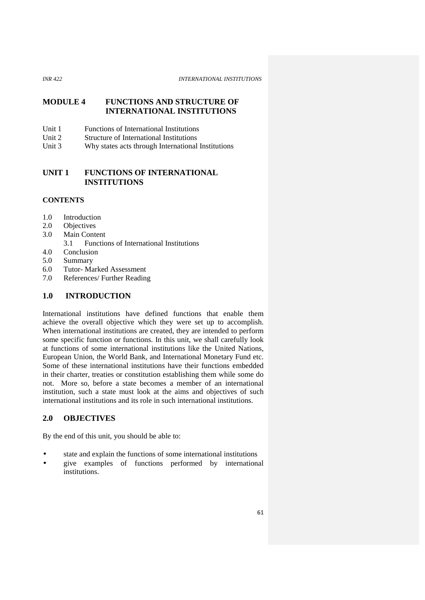# **MODULE 4 FUNCTIONS AND STRUCTURE OF INTERNATIONAL INSTITUTIONS**

- Unit 1 Functions of International Institutions<br>Unit 2 Structure of International Institutions
- Structure of International Institutions
- Unit 3 Why states acts through International Institutions

# **UNIT 1 FUNCTIONS OF INTERNATIONAL INSTITUTIONS**

# **CONTENTS**

- 1.0 Introduction
- 2.0 Objectives
- 3.0 Main Content
	- 3.1 Functions of International Institutions
- 4.0 Conclusion
- 5.0 Summary
- 6.0 Tutor- Marked Assessment
- 7.0 References/ Further Reading

## **1.0 INTRODUCTION**

International institutions have defined functions that enable them achieve the overall objective which they were set up to accomplish. When international institutions are created, they are intended to perform some specific function or functions. In this unit, we shall carefully look at functions of some international institutions like the United Nations, European Union, the World Bank, and International Monetary Fund etc. Some of these international institutions have their functions embedded in their charter, treaties or constitution establishing them while some do not. More so, before a state becomes a member of an international institution, such a state must look at the aims and objectives of such international institutions and its role in such international institutions.

# **2.0 OBJECTIVES**

By the end of this unit, you should be able to:

- state and explain the functions of some international institutions
- give examples of functions performed by international institutions.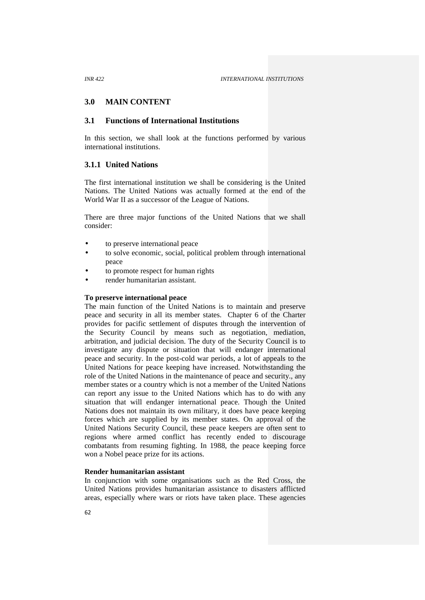## **3.0 MAIN CONTENT**

# **3.1 Functions of International Institutions**

In this section, we shall look at the functions performed by various international institutions.

## **3.1.1 United Nations**

The first international institution we shall be considering is the United Nations. The United Nations was actually formed at the end of the World War II as a successor of the League of Nations.

There are three major functions of the United Nations that we shall consider:

- to preserve international peace
- to solve economic, social, political problem through international peace
- to promote respect for human rights
- render humanitarian assistant.

#### **To preserve international peace**

The main function of the United Nations is to maintain and preserve peace and security in all its member states. Chapter 6 of the Charter provides for pacific settlement of disputes through the intervention of the Security Council by means such as negotiation, mediation, arbitration, and judicial decision. The duty of the Security Council is to investigate any dispute or situation that will endanger international peace and security. In the post-cold war periods, a lot of appeals to the United Nations for peace keeping have increased. Notwithstanding the role of the United Nations in the maintenance of peace and security., any member states or a country which is not a member of the United Nations can report any issue to the United Nations which has to do with any situation that will endanger international peace. Though the United Nations does not maintain its own military, it does have peace keeping forces which are supplied by its member states. On approval of the United Nations Security Council, these peace keepers are often sent to regions where armed conflict has recently ended to discourage combatants from resuming fighting. In 1988, the peace keeping force won a Nobel peace prize for its actions.

#### **Render humanitarian assistant**

In conjunction with some organisations such as the Red Cross, the United Nations provides humanitarian assistance to disasters afflicted areas, especially where wars or riots have taken place. These agencies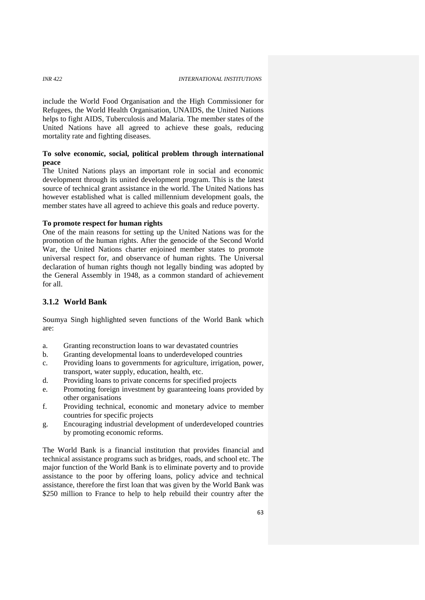include the World Food Organisation and the High Commissioner for Refugees, the World Health Organisation, UNAIDS, the United Nations helps to fight AIDS, Tuberculosis and Malaria. The member states of the United Nations have all agreed to achieve these goals, reducing mortality rate and fighting diseases.

## **To solve economic, social, political problem through international peace**

The United Nations plays an important role in social and economic development through its united development program. This is the latest source of technical grant assistance in the world. The United Nations has however established what is called millennium development goals, the member states have all agreed to achieve this goals and reduce poverty.

#### **To promote respect for human rights**

One of the main reasons for setting up the United Nations was for the promotion of the human rights. After the genocide of the Second World War, the United Nations charter enjoined member states to promote universal respect for, and observance of human rights. The Universal declaration of human rights though not legally binding was adopted by the General Assembly in 1948, as a common standard of achievement for all.

# **3.1.2 World Bank**

Soumya Singh highlighted seven functions of the World Bank which are:

- a. Granting reconstruction loans to war devastated countries
- b. Granting developmental loans to underdeveloped countries
- c. Providing loans to governments for agriculture, irrigation, power, transport, water supply, education, health, etc.
- d. Providing loans to private concerns for specified projects
- e. Promoting foreign investment by guaranteeing loans provided by other organisations
- f. Providing technical, economic and monetary advice to member countries for specific projects
- g. Encouraging industrial development of underdeveloped countries by promoting economic reforms.

The World Bank is a financial institution that provides financial and technical assistance programs such as bridges, roads, and school etc. The major function of the World Bank is to eliminate poverty and to provide assistance to the poor by offering loans, policy advice and technical assistance, therefore the first loan that was given by the World Bank was \$250 million to France to help to help rebuild their country after the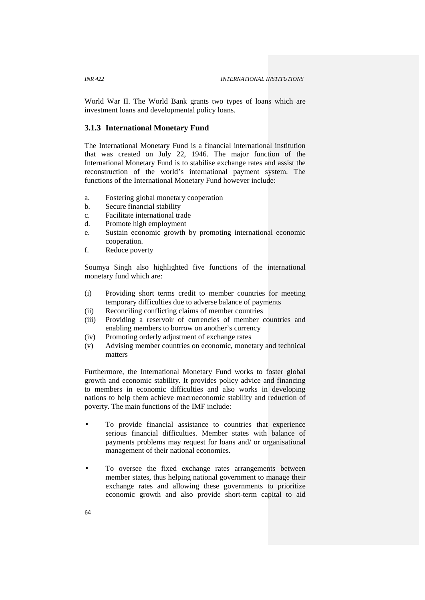World War II. The World Bank grants two types of loans which are investment loans and developmental policy loans.

## **3.1.3 International Monetary Fund**

The International Monetary Fund is a financial international institution that was created on July 22, 1946. The major function of the International Monetary Fund is to stabilise exchange rates and assist the reconstruction of the world's international payment system. The functions of the International Monetary Fund however include:

- a. Fostering global monetary cooperation
- b. Secure financial stability
- c. Facilitate international trade
- d. Promote high employment
- e. Sustain economic growth by promoting international economic cooperation.
- f. Reduce poverty

Soumya Singh also highlighted five functions of the international monetary fund which are:

- (i) Providing short terms credit to member countries for meeting temporary difficulties due to adverse balance of payments
- (ii) Reconciling conflicting claims of member countries
- (iii) Providing a reservoir of currencies of member countries and enabling members to borrow on another's currency
- (iv) Promoting orderly adjustment of exchange rates
- (v) Advising member countries on economic, monetary and technical matters

Furthermore, the International Monetary Fund works to foster global growth and economic stability. It provides policy advice and financing to members in economic difficulties and also works in developing nations to help them achieve macroeconomic stability and reduction of poverty. The main functions of the IMF include:

- To provide financial assistance to countries that experience serious financial difficulties. Member states with balance of payments problems may request for loans and/ or organisational management of their national economies.
- To oversee the fixed exchange rates arrangements between member states, thus helping national government to manage their exchange rates and allowing these governments to prioritize economic growth and also provide short-term capital to aid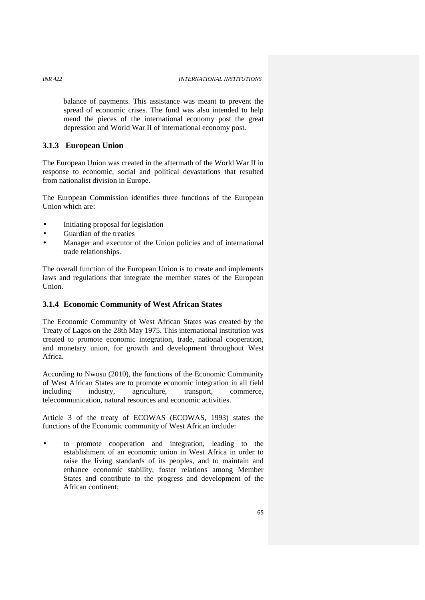balance of payments. This assistance was meant to prevent the spread of economic crises. The fund was also intended to help mend the pieces of the international economy post the great depression and World War II of international economy post.

# **3.1.3 European Union**

The European Union was created in the aftermath of the World War II in response to economic, social and political devastations that resulted from nationalist division in Europe.

The European Commission identifies three functions of the European Union which are:

- Initiating proposal for legislation
- Guardian of the treaties
- Manager and executor of the Union policies and of international trade relationships.

The overall function of the European Union is to create and implements laws and regulations that integrate the member states of the European Union.

## **3.1.4 Economic Community of West African States**

The Economic Community of West African States was created by the Treaty of Lagos on the 28th May 1975. This international institution was created to promote economic integration, trade, national cooperation, and monetary union, for growth and development throughout West Africa.

According to Nwosu (2010), the functions of the Economic Community of West African States are to promote economic integration in all field including industry, agriculture, transport, commerce, telecommunication, natural resources and economic activities.

Article 3 of the treaty of ECOWAS (ECOWAS, 1993) states the functions of the Economic community of West African include:

 to promote cooperation and integration, leading to the establishment of an economic union in West Africa in order to raise the living standards of its peoples, and to maintain and enhance economic stability, foster relations among Member States and contribute to the progress and development of the African continent;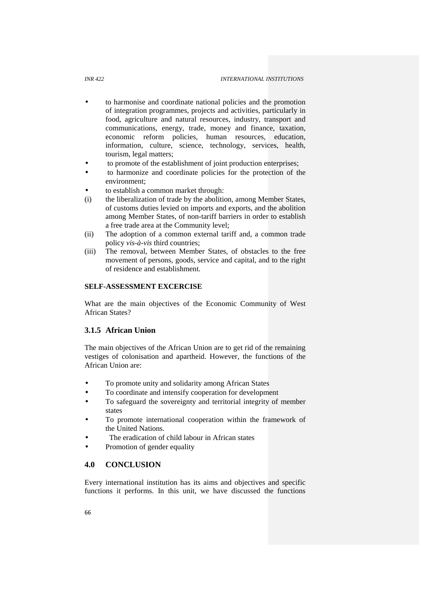#### *INR 422 INTERNATIONAL INSTITUTIONS*

- to harmonise and coordinate national policies and the promotion of integration programmes, projects and activities, particularly in food, agriculture and natural resources, industry, transport and communications, energy, trade, money and finance, taxation, economic reform policies, human resources, education, information, culture, science, technology, services, health, tourism, legal matters;
- to promote of the establishment of joint production enterprises;
- to harmonize and coordinate policies for the protection of the environment;
- to establish a common market through:
- (i) the liberalization of trade by the abolition, among Member States, of customs duties levied on imports and exports, and the abolition among Member States, of non-tariff barriers in order to establish a free trade area at the Community level;
- (ii) The adoption of a common external tariff and, a common trade policy *vis-à-vis* third countries;
- (iii) The removal, between Member States, of obstacles to the free movement of persons, goods, service and capital, and to the right of residence and establishment.

## **SELF-ASSESSMENT EXCERCISE**

What are the main objectives of the Economic Community of West African States?

# **3.1.5 African Union**

The main objectives of the African Union are to get rid of the remaining vestiges of colonisation and apartheid. However, the functions of the African Union are:

- To promote unity and solidarity among African States
- To coordinate and intensify cooperation for development
- To safeguard the sovereignty and territorial integrity of member states
- To promote international cooperation within the framework of the United Nations.
- The eradication of child labour in African states
- Promotion of gender equality

# **4.0 CONCLUSION**

Every international institution has its aims and objectives and specific functions it performs. In this unit, we have discussed the functions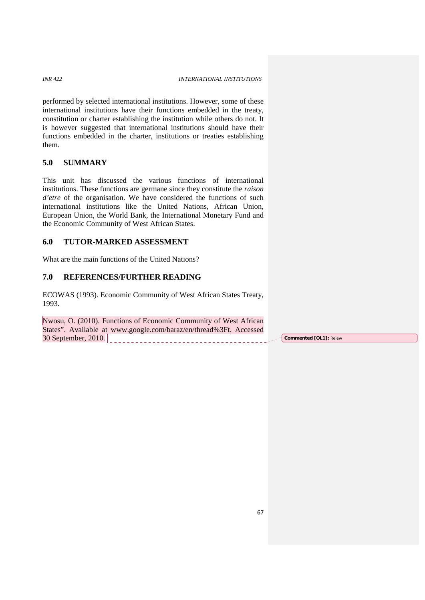performed by selected international institutions. However, some of these international institutions have their functions embedded in the treaty, constitution or charter establishing the institution while others do not. It is however suggested that international institutions should have their functions embedded in the charter, institutions or treaties establishing them.

# **5.0 SUMMARY**

This unit has discussed the various functions of international institutions. These functions are germane since they constitute the *raison d'etre* of the organisation. We have considered the functions of such international institutions like the United Nations, African Union, European Union, the World Bank, the International Monetary Fund and the Economic Community of West African States.

# **6.0 TUTOR-MARKED ASSESSMENT**

What are the main functions of the United Nations?

# **7.0 REFERENCES/FURTHER READING**

ECOWAS (1993). Economic Community of West African States Treaty, 1993.

Nwosu, O. (2010). Functions of Economic Community of West African States". Available at www.google.com/baraz/en/thread%3Ft. Accessed 30 September, 2010. **Commented [OL1]:** Reiew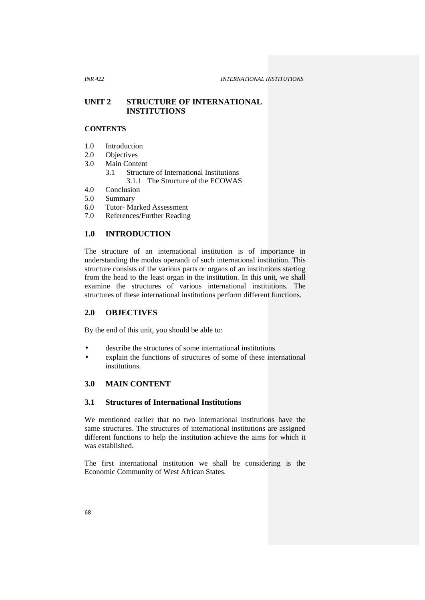# **UNIT 2 STRUCTURE OF INTERNATIONAL INSTITUTIONS**

## **CONTENTS**

- 1.0 Introduction
- 2.0 Objectives<br>3.0 Main Conte
- Main Content
	- 3.1 Structure of International Institutions
		- 3.1.1 The Structure of the ECOWAS
- 4.0 Conclusion
- 5.0 Summary<br>6.0 Tutor-Ma
- Tutor- Marked Assessment
- 7.0 References/Further Reading

## **1.0 INTRODUCTION**

The structure of an international institution is of importance in understanding the modus operandi of such international institution. This structure consists of the various parts or organs of an institutions starting from the head to the least organ in the institution. In this unit, we shall examine the structures of various international institutions. The structures of these international institutions perform different functions.

## **2.0 OBJECTIVES**

By the end of this unit, you should be able to:

- describe the structures of some international institutions
- explain the functions of structures of some of these international institutions.

## **3.0 MAIN CONTENT**

## **3.1 Structures of International Institutions**

We mentioned earlier that no two international institutions have the same structures. The structures of international institutions are assigned different functions to help the institution achieve the aims for which it was established.

The first international institution we shall be considering is the Economic Community of West African States.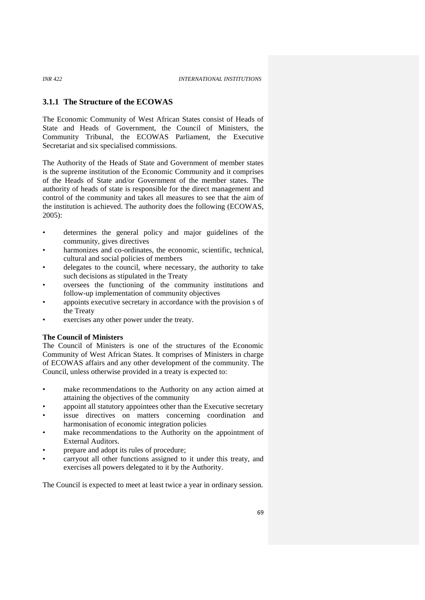## **3.1.1 The Structure of the ECOWAS**

The Economic Community of West African States consist of Heads of State and Heads of Government, the Council of Ministers, the Community Tribunal, the ECOWAS Parliament, the Executive Secretariat and six specialised commissions.

The Authority of the Heads of State and Government of member states is the supreme institution of the Economic Community and it comprises of the Heads of State and/or Government of the member states. The authority of heads of state is responsible for the direct management and control of the community and takes all measures to see that the aim of the institution is achieved. The authority does the following (ECOWAS, 2005):

- determines the general policy and major guidelines of the community, gives directives
- harmonizes and co-ordinates, the economic, scientific, technical, cultural and social policies of members
- delegates to the council, where necessary, the authority to take such decisions as stipulated in the Treaty
- oversees the functioning of the community institutions and follow-up implementation of community objectives
- appoints executive secretary in accordance with the provision s of the Treaty
- exercises any other power under the treaty.

## **The Council of Ministers**

The Council of Ministers is one of the structures of the Economic Community of West African States. It comprises of Ministers in charge of ECOWAS affairs and any other development of the community. The Council, unless otherwise provided in a treaty is expected to:

- make recommendations to the Authority on any action aimed at attaining the objectives of the community
- appoint all statutory appointees other than the Executive secretary
- issue directives on matters concerning coordination and harmonisation of economic integration policies
- make recommendations to the Authority on the appointment of External Auditors.
- prepare and adopt its rules of procedure;
- carryout all other functions assigned to it under this treaty, and exercises all powers delegated to it by the Authority.

The Council is expected to meet at least twice a year in ordinary session.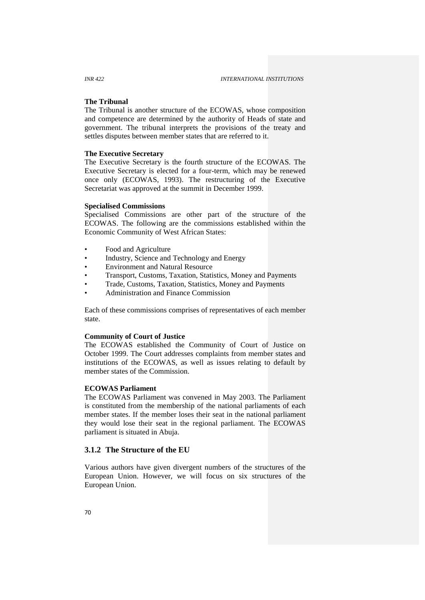### **The Tribunal**

The Tribunal is another structure of the ECOWAS, whose composition and competence are determined by the authority of Heads of state and government. The tribunal interprets the provisions of the treaty and settles disputes between member states that are referred to it.

#### **The Executive Secretary**

The Executive Secretary is the fourth structure of the ECOWAS. The Executive Secretary is elected for a four-term, which may be renewed once only (ECOWAS, 1993). The restructuring of the Executive Secretariat was approved at the summit in December 1999.

#### **Specialised Commissions**

Specialised Commissions are other part of the structure of the ECOWAS. The following are the commissions established within the Economic Community of West African States:

- Food and Agriculture
- Industry, Science and Technology and Energy
- Environment and Natural Resource
- Transport, Customs, Taxation, Statistics, Money and Payments
- Trade, Customs, Taxation, Statistics, Money and Payments
- Administration and Finance Commission

Each of these commissions comprises of representatives of each member state.

## **Community of Court of Justice**

The ECOWAS established the Community of Court of Justice on October 1999. The Court addresses complaints from member states and institutions of the ECOWAS, as well as issues relating to default by member states of the Commission.

# **ECOWAS Parliament**

The ECOWAS Parliament was convened in May 2003. The Parliament is constituted from the membership of the national parliaments of each member states. If the member loses their seat in the national parliament they would lose their seat in the regional parliament. The ECOWAS parliament is situated in Abuja.

## **3.1.2 The Structure of the EU**

Various authors have given divergent numbers of the structures of the European Union. However, we will focus on six structures of the European Union.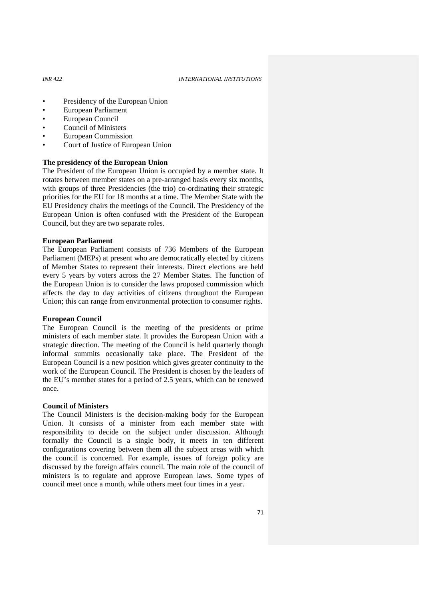*INR 422 INTERNATIONAL INSTITUTIONS*

- Presidency of the European Union
- European Parliament
- European Council
- Council of Ministers
- European Commission
- Court of Justice of European Union

### **The presidency of the European Union**

The President of the European Union is occupied by a member state. It rotates between member states on a pre-arranged basis every six months, with groups of three Presidencies (the trio) co-ordinating their strategic priorities for the EU for 18 months at a time. The Member State with the EU Presidency chairs the meetings of the Council. The Presidency of the European Union is often confused with the President of the European Council, but they are two separate roles.

### **European Parliament**

The European Parliament consists of 736 Members of the European Parliament (MEPs) at present who are democratically elected by citizens of Member States to represent their interests. Direct elections are held every 5 years by voters across the 27 Member States. The function of the European Union is to consider the laws proposed commission which affects the day to day activities of citizens throughout the European Union; this can range from environmental protection to consumer rights.

## **European Council**

The European Council is the meeting of the presidents or prime ministers of each member state. It provides the European Union with a strategic direction. The meeting of the Council is held quarterly though informal summits occasionally take place. The President of the European Council is a new position which gives greater continuity to the work of the European Council. The President is chosen by the leaders of the EU's member states for a period of 2.5 years, which can be renewed once.

#### **Council of Ministers**

The Council Ministers is the decision-making body for the European Union. It consists of a minister from each member state with responsibility to decide on the subject under discussion. Although formally the Council is a single body, it meets in ten different configurations covering between them all the subject areas with which the council is concerned. For example, issues of foreign policy are discussed by the foreign affairs council. The main role of the council of ministers is to regulate and approve European laws. Some types of council meet once a month, while others meet four times in a year.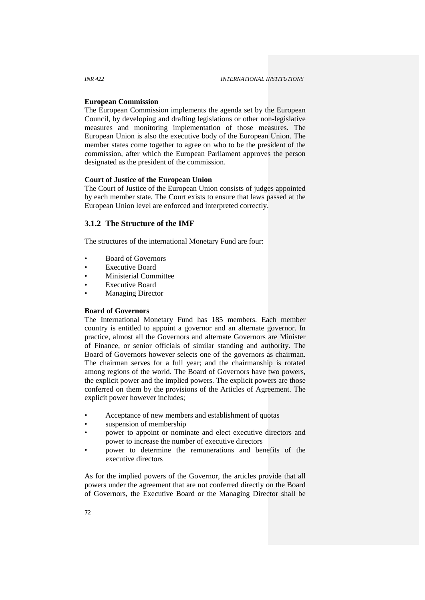## **European Commission**

The European Commission implements the agenda set by the European Council, by developing and drafting legislations or other non-legislative measures and monitoring implementation of those measures. The European Union is also the executive body of the European Union. The member states come together to agree on who to be the president of the commission, after which the European Parliament approves the person designated as the president of the commission.

## **Court of Justice of the European Union**

The Court of Justice of the European Union consists of judges appointed by each member state. The Court exists to ensure that laws passed at the European Union level are enforced and interpreted correctly.

## **3.1.2 The Structure of the IMF**

The structures of the international Monetary Fund are four:

- Board of Governors
- **Executive Board**
- Ministerial Committee
- **Executive Board**
- **Managing Director**

## **Board of Governors**

The International Monetary Fund has 185 members. Each member country is entitled to appoint a governor and an alternate governor. In practice, almost all the Governors and alternate Governors are Minister of Finance, or senior officials of similar standing and authority. The Board of Governors however selects one of the governors as chairman. The chairman serves for a full year; and the chairmanship is rotated among regions of the world. The Board of Governors have two powers, the explicit power and the implied powers. The explicit powers are those conferred on them by the provisions of the Articles of Agreement. The explicit power however includes;

- Acceptance of new members and establishment of quotas
- suspension of membership
- power to appoint or nominate and elect executive directors and power to increase the number of executive directors
- power to determine the remunerations and benefits of the executive directors

As for the implied powers of the Governor, the articles provide that all powers under the agreement that are not conferred directly on the Board of Governors, the Executive Board or the Managing Director shall be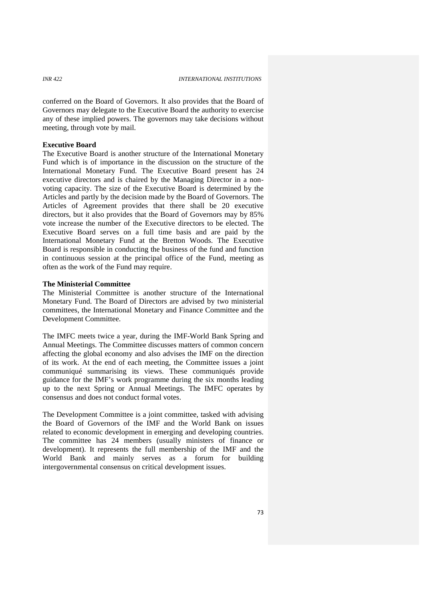conferred on the Board of Governors. It also provides that the Board of Governors may delegate to the Executive Board the authority to exercise any of these implied powers. The governors may take decisions without meeting, through vote by mail.

## **Executive Board**

The Executive Board is another structure of the International Monetary Fund which is of importance in the discussion on the structure of the International Monetary Fund. The Executive Board present has 24 executive directors and is chaired by the Managing Director in a non voting capacity. The size of the Executive Board is determined by the Articles and partly by the decision made by the Board of Governors. The Articles of Agreement provides that there shall be 20 executive directors, but it also provides that the Board of Governors may by 85% vote increase the number of the Executive directors to be elected. The Executive Board serves on a full time basis and are paid by the International Monetary Fund at the Bretton Woods. The Executive Board is responsible in conducting the business of the fund and function in continuous session at the principal office of the Fund, meeting as often as the work of the Fund may require.

## **The Ministerial Committee**

The Ministerial Committee is another structure of the International Monetary Fund. The Board of Directors are advised by two ministerial committees, the International Monetary and Finance Committee and the Development Committee.

The IMFC meets twice a year, during the IMF-World Bank Spring and Annual Meetings. The Committee discusses matters of common concern affecting the global economy and also advises the IMF on the direction of its work. At the end of each meeting, the Committee issues a joint communiqué summarising its views. These communiqués provide guidance for the IMF's work programme during the six months leading up to the next Spring or Annual Meetings. The IMFC operates by consensus and does not conduct formal votes.

The Development Committee is a joint committee, tasked with advising the Board of Governors of the IMF and the World Bank on issues related to economic development in emerging and developing countries. The committee has 24 members (usually ministers of finance or development). It represents the full membership of the IMF and the World Bank and mainly serves as a forum for building intergovernmental consensus on critical development issues.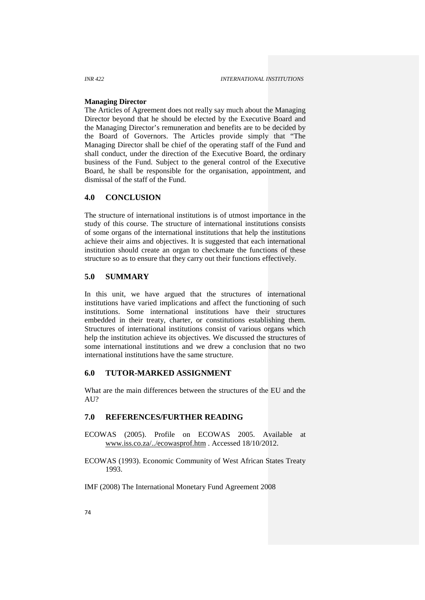#### **Managing Director**

The Articles of Agreement does not really say much about the Managing Director beyond that he should be elected by the Executive Board and the Managing Director's remuneration and benefits are to be decided by the Board of Governors. The Articles provide simply that "The Managing Director shall be chief of the operating staff of the Fund and shall conduct, under the direction of the Executive Board, the ordinary business of the Fund. Subject to the general control of the Executive Board, he shall be responsible for the organisation, appointment, and dismissal of the staff of the Fund.

### **4.0 CONCLUSION**

The structure of international institutions is of utmost importance in the study of this course. The structure of international institutions consists of some organs of the international institutions that help the institutions achieve their aims and objectives. It is suggested that each international institution should create an organ to checkmate the functions of these structure so as to ensure that they carry out their functions effectively.

## **5.0 SUMMARY**

In this unit, we have argued that the structures of international institutions have varied implications and affect the functioning of such institutions. Some international institutions have their structures embedded in their treaty, charter, or constitutions establishing them. Structures of international institutions consist of various organs which help the institution achieve its objectives. We discussed the structures of some international institutions and we drew a conclusion that no two international institutions have the same structure.

## **6.0 TUTOR-MARKED ASSIGNMENT**

What are the main differences between the structures of the EU and the AU?

## **7.0 REFERENCES/FURTHER READING**

- ECOWAS (2005). Profile on ECOWAS 2005. Available at www.iss.co.za/../ecowasprof.htm . Accessed 18/10/2012.
- ECOWAS (1993). Economic Community of West African States Treaty 1993.
- IMF (2008) The International Monetary Fund Agreement 2008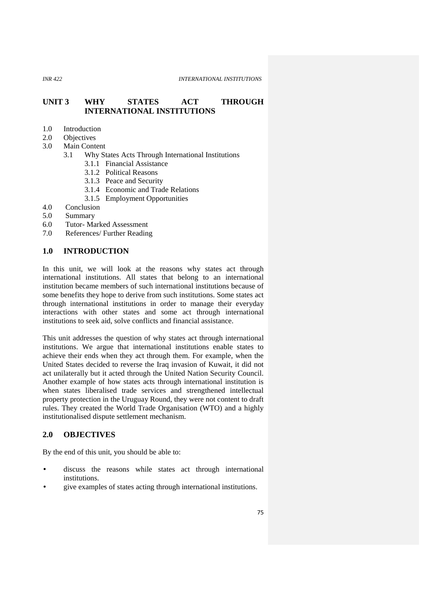# **UNIT 3 WHY STATES ACT THROUGH INTERNATIONAL INSTITUTIONS**

- 1.0 Introduction<br>2.0 Objectives
- **Objectives**
- 3.0 Main Content
	- 3.1 Why States Acts Through International Institutions
		- 3.1.1 Financial Assistance
		- 3.1.2 Political Reasons
		- 3.1.3 Peace and Security
		- 3.1.4 Economic and Trade Relations
		- 3.1.5 Employment Opportunities
- 4.0 Conclusion
- 5.0 Summary
- 6.0 Tutor- Marked Assessment
- 7.0 References/ Further Reading

## **1.0 INTRODUCTION**

In this unit, we will look at the reasons why states act through international institutions. All states that belong to an international institution became members of such international institutions because of some benefits they hope to derive from such institutions. Some states act through international institutions in order to manage their everyday interactions with other states and some act through international institutions to seek aid, solve conflicts and financial assistance.

This unit addresses the question of why states act through international institutions. We argue that international institutions enable states to achieve their ends when they act through them. For example, when the United States decided to reverse the Iraq invasion of Kuwait, it did not act unilaterally but it acted through the United Nation Security Council. Another example of how states acts through international institution is when states liberalised trade services and strengthened intellectual property protection in the Uruguay Round, they were not content to draft rules. They created the World Trade Organisation (WTO) and a highly institutionalised dispute settlement mechanism.

# **2.0 OBJECTIVES**

By the end of this unit, you should be able to:

- discuss the reasons while states act through international institutions.
- give examples of states acting through international institutions.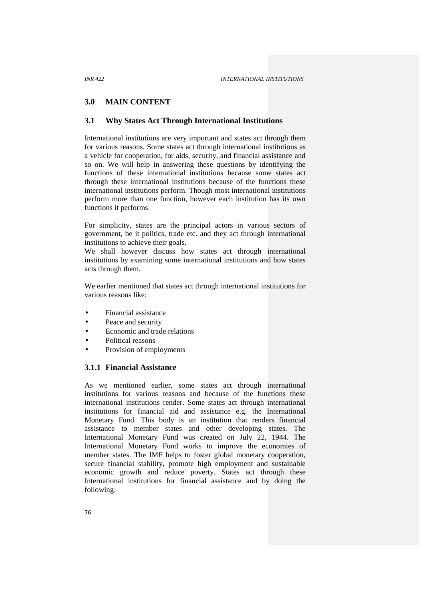# **3.0 MAIN CONTENT**

## **3.1 Why States Act Through International Institutions**

International institutions are very important and states act through them for various reasons. Some states act through international institutions as a vehicle for cooperation, for aids, security, and financial assistance and so on. We will help in answering these questions by identifying the functions of these international institutions because some states act through these international institutions because of the functions these international institutions perform. Though most international institutions perform more than one function, however each institution has its own functions it performs.

For simplicity, states are the principal actors in various sectors of government, be it politics, trade etc.and they act through international institutions to achieve their goals.

We shall however discuss how states act through international institutions by examining some international institutions and how states acts through them.

We earlier mentioned that states act through international institutions for various reasons like:

- Financial assistance
- Peace and security
- Economic and trade relations
- Political reasons
- Provision of employments

## **3.1.1 Financial Assistance**

As we mentioned earlier, some states act through international institutions for various reasons and because of the functions these international institutions render. Some states act through international institutions for financial aid and assistance e.g. the International Monetary Fund. This body is an institution that renders financial assistance to member states and other developing states. The International Monetary Fund was created on July 22, 1944. The International Monetary Fund works to improve the economies of member states. The IMF helps to foster global monetary cooperation, secure financial stability, promote high employment and sustainable economic growth and reduce poverty. States act through these International institutions for financial assistance and by doing the following: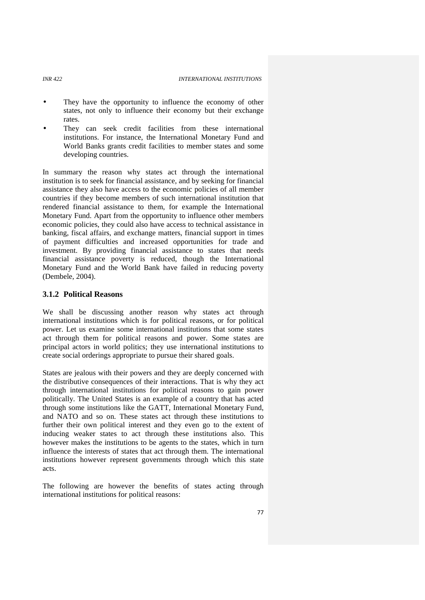#### *INR 422 INTERNATIONAL INSTITUTIONS*

- They have the opportunity to influence the economy of other states, not only to influence their economy but their exchange rates.
- They can seek credit facilities from these international institutions. For instance, the International Monetary Fund and World Banks grants credit facilities to member states and some developing countries.

In summary the reason why states act through the international institution is to seek for financial assistance, and by seeking for financial assistance they also have access to the economic policies of all member countries if they become members of such international institution that rendered financial assistance to them, for example the International Monetary Fund. Apart from the opportunity to influence other members economic policies, they could also have access to technical assistance in banking, fiscal affairs, and exchange matters, financial support in times of payment difficulties and increased opportunities for trade and investment. By providing financial assistance to states that needs financial assistance poverty is reduced, though the International Monetary Fund and the World Bank have failed in reducing poverty (Dembele, 2004).

## **3.1.2 Political Reasons**

We shall be discussing another reason why states act through international institutions which is for political reasons, or for political power. Let us examine some international institutions that some states act through them for political reasons and power. Some states are principal actors in world politics; they use international institutions to create social orderings appropriate to pursue their shared goals.

States are jealous with their powers and they are deeply concerned with the distributive consequences of their interactions. That is why they act through international institutions for political reasons to gain power politically. The United States is an example of a country that has acted through some institutions like the GATT, International Monetary Fund, and NATO and so on. These states act through these institutions to further their own political interest and they even go to the extent of inducing weaker states to act through these institutions also. This however makes the institutions to be agents to the states, which in turn influence the interests of states that act through them. The international institutions however represent governments through which this state acts.

The following are however the benefits of states acting through international institutions for political reasons:

77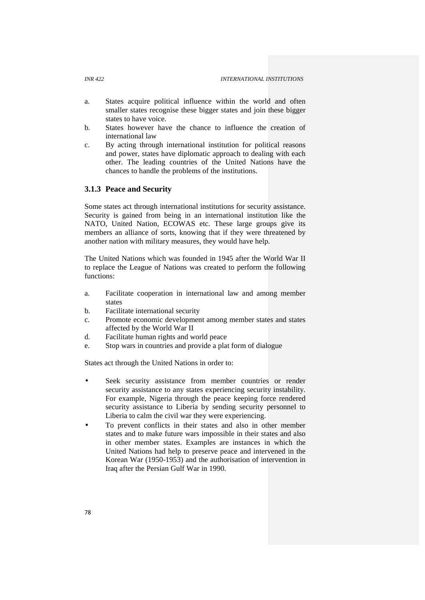- a. States acquire political influence within the world and often smaller states recognise these bigger states and join these bigger states to have voice.
- b. States however have the chance to influence the creation of international law
- c. By acting through international institution for political reasons and power, states have diplomatic approach to dealing with each other. The leading countries of the United Nations have the chances to handle the problems of the institutions.

## **3.1.3 Peace and Security**

Some states act through international institutions for security assistance. Security is gained from being in an international institution like the NATO, United Nation, ECOWAS etc. These large groups give its members an alliance of sorts, knowing that if they were threatened by another nation with military measures, they would have help.

The United Nations which was founded in 1945 after the World War II to replace the League of Nations was created to perform the following functions:

- a. Facilitate cooperation in international law and among member states
- b. Facilitate international security
- c. Promote economic development among member states and states affected by the World War II
- d. Facilitate human rights and world peace
- e. Stop wars in countries and provide a plat form of dialogue

States act through the United Nations in order to:

- Seek security assistance from member countries or render security assistance to any states experiencing security instability. For example, Nigeria through the peace keeping force rendered security assistance to Liberia by sending security personnel to Liberia to calm the civil war they were experiencing.
- To prevent conflicts in their states and also in other member states and to make future wars impossible in their states and also in other member states. Examples are instances in which the United Nations had help to preserve peace and intervened in the Korean War (1950-1953) and the authorisation of intervention in Iraq after the Persian Gulf War in 1990.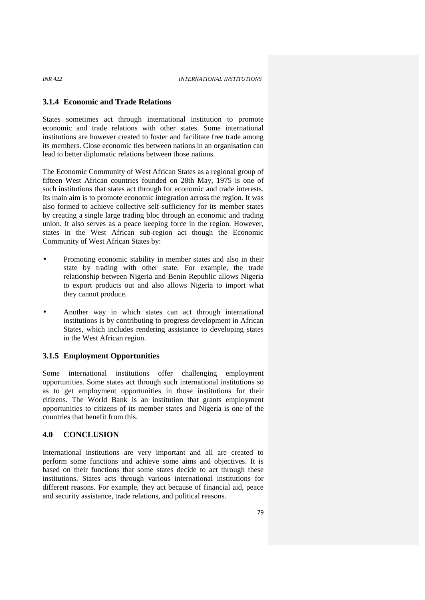# **3.1.4 Economic and Trade Relations**

States sometimes act through international institution to promote economic and trade relations with other states. Some international institutions are however created to foster and facilitate free trade among its members. Close economic ties between nations in an organisation can lead to better diplomatic relations between those nations.

The Economic Community of West African States as a regional group of fifteen West African countries founded on 28th May, 1975 is one of such institutions that states act through for economic and trade interests. Its main aim is to promote economic integration across the region. It was also formed to achieve collective self-sufficiency for its member states by creating a single large trading bloc through an economic and trading union. It also serves as a peace keeping force in the region. However, states in the West African sub-region act though the Economic Community of West African States by:

- Promoting economic stability in member states and also in their state by trading with other state. For example, the trade relationship between Nigeria and Benin Republic allows Nigeria to export products out and also allows Nigeria to import what they cannot produce.
- Another way in which states can act through international institutions is by contributing to progress development in African States, which includes rendering assistance to developing states in the West African region.

### **3.1.5 Employment Opportunities**

Some international institutions offer challenging employment opportunities. Some states act through such international institutions so as to get employment opportunities in those institutions for their citizens. The World Bank is an institution that grants employment opportunities to citizens of its member states and Nigeria is one of the countries that benefit from this.

## **4.0 CONCLUSION**

International institutions are very important and all are created to perform some functions and achieve some aims and objectives. It is based on their functions that some states decide to act through these institutions. States acts through various international institutions for different reasons. For example, they act because of financial aid, peace and security assistance, trade relations, and political reasons.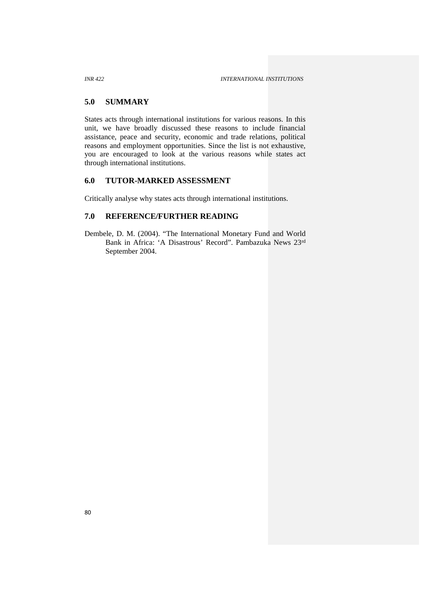## **5.0 SUMMARY**

States acts through international institutions for various reasons. In this unit, we have broadly discussed these reasons to include financial assistance, peace and security, economic and trade relations, political reasons and employment opportunities. Since the list is not exhaustive, you are encouraged to look at the various reasons while states act through international institutions.

# **6.0 TUTOR-MARKED ASSESSMENT**

Critically analyse why states acts through international institutions.

# **7.0 REFERENCE/FURTHER READING**

Dembele, D. M. (2004). "The International Monetary Fund and World Bank in Africa: 'A Disastrous' Record". Pambazuka News 23rd September 2004.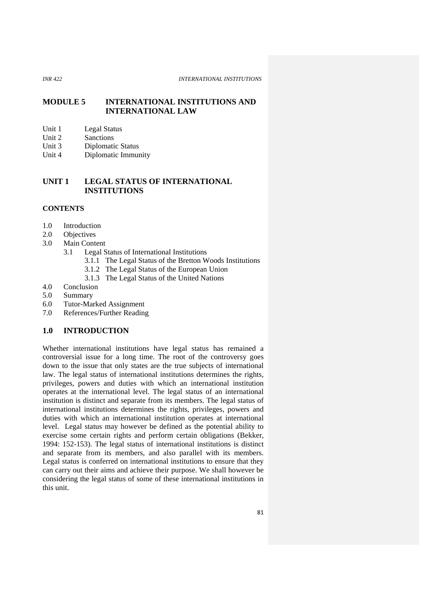## **MODULE 5 INTERNATIONAL INSTITUTIONS AND INTERNATIONAL LAW**

- Unit 1 Legal Status<br>Unit 2 Sanctions
- Sanctions
- Unit 3 Diplomatic Status
- Unit 4 Diplomatic Immunity

# **UNIT 1 LEGAL STATUS OF INTERNATIONAL INSTITUTIONS**

## **CONTENTS**

- 1.0 Introduction
- 2.0 Objectives
- 3.0 Main Content
	- 3.1 Legal Status of International Institutions
		- 3.1.1 The Legal Status of the Bretton Woods Institutions
		- 3.1.2 The Legal Status of the European Union
		- 3.1.3 The Legal Status of the United Nations
- 4.0 Conclusion
- 5.0 Summary
- 6.0 Tutor-Marked Assignment
- 7.0 References/Further Reading

# **1.0 INTRODUCTION**

Whether international institutions have legal status has remained a controversial issue for a long time. The root of the controversy goes down to the issue that only states are the true subjects of international law. The legal status of international institutions determines the rights, privileges, powers and duties with which an international institution operates at the international level. The legal status of an international institution is distinct and separate from its members. The legal status of international institutions determines the rights, privileges, powers and duties with which an international institution operates at international level. Legal status may however be defined as the potential ability to exercise some certain rights and perform certain obligations (Bekker, 1994: 152-153). The legal status of international institutions is distinct and separate from its members, and also parallel with its members. Legal status is conferred on international institutions to ensure that they can carry out their aims and achieve their purpose. We shall however be considering the legal status of some of these international institutions in this unit.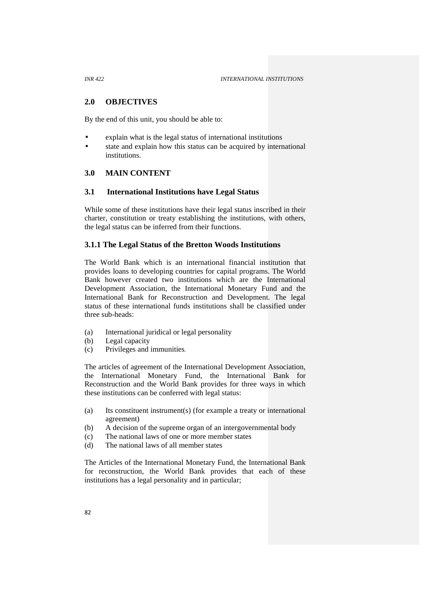## **2.0 OBJECTIVES**

By the end of this unit, you should be able to:

- explain what is the legal status of international institutions
- state and explain how this status can be acquired by international institutions<sup>1</sup>

## **3.0 MAIN CONTENT**

## **3.1 International Institutions have Legal Status**

While some of these institutions have their legal status inscribed in their charter, constitution or treaty establishing the institutions, with others, the legal status can be inferred from their functions.

## **3.1.1 The Legal Status of the Bretton Woods Institutions**

The World Bank which is an international financial institution that provides loans to developing countries for capital programs. The World Bank however created two institutions which are the International Development Association, the International Monetary Fund and the International Bank for Reconstruction and Development. The legal status of these international funds institutions shall be classified under three sub-heads:

- (a) International juridical or legal personality
- (b) Legal capacity
- (c) Privileges and immunities.

The articles of agreement of the International Development Association, the International Monetary Fund, the International Bank for Reconstruction and the World Bank provides for three ways in which these institutions can be conferred with legal status:

- (a) Its constituent instrument(s) (for example a treaty or international agreement)
- (b) A decision of the supreme organ of an intergovernmental body
- (c) The national laws of one or more member states
- (d) The national laws of all member states

The Articles of the International Monetary Fund, the International Bank for reconstruction, the World Bank provides that each of these institutions has a legal personality and in particular;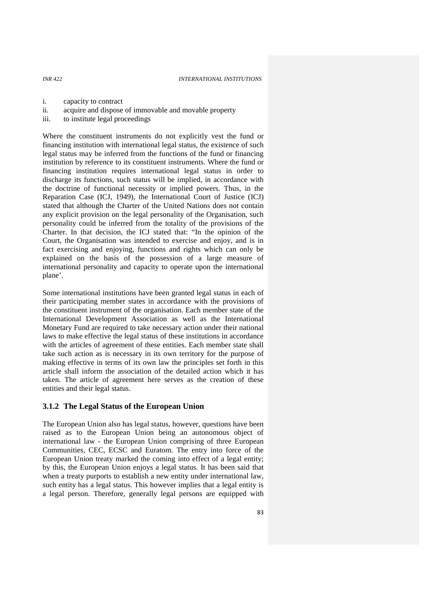- i. capacity to contract
- ii. acquire and dispose of immovable and movable property
- iii. to institute legal proceedings

Where the constituent instruments do not explicitly vest the fund or financing institution with international legal status, the existence of such legal status may be inferred from the functions of the fund or financing institution by reference to its constituent instruments. Where the fund or financing institution requires international legal status in order to discharge its functions, such status will be implied, in accordance with the doctrine of functional necessity or implied powers. Thus, in the Reparation Case (ICJ, 1949), the International Court of Justice (ICJ) stated that although the Charter of the United Nations does not contain any explicit provision on the legal personality of the Organisation, such personality could be inferred from the totality of the provisions of the Charter. In that decision, the ICJ stated that: "In the opinion of the Court, the Organisation was intended to exercise and enjoy, and is in fact exercising and enjoying, functions and rights which can only be explained on the basis of the possession of a large measure of international personality and capacity to operate upon the international plane'.

Some international institutions have been granted legal status in each of their participating member states in accordance with the provisions of the constituent instrument of the organisation. Each member state of the International Development Association as well as the International Monetary Fund are required to take necessary action under their national laws to make effective the legal status of these institutions in accordance with the articles of agreement of these entities. Each member state shall take such action as is necessary in its own territory for the purpose of making effective in terms of its own law the principles set forth in this article shall inform the association of the detailed action which it has taken. The article of agreement here serves as the creation of these entities and their legal status.

#### **3.1.2 The Legal Status of the European Union**

The European Union also has legal status, however, questions have been raised as to the European Union being an autonomous object of international law - the European Union comprising of three European Communities, CEC, ECSC and Euratom. The entry into force of the European Union treaty marked the coming into effect of a legal entity; by this, the European Union enjoys a legal status. It has been said that when a treaty purports to establish a new entity under international law, such entity has a legal status. This however implies that a legal entity is a legal person. Therefore, generally legal persons are equipped with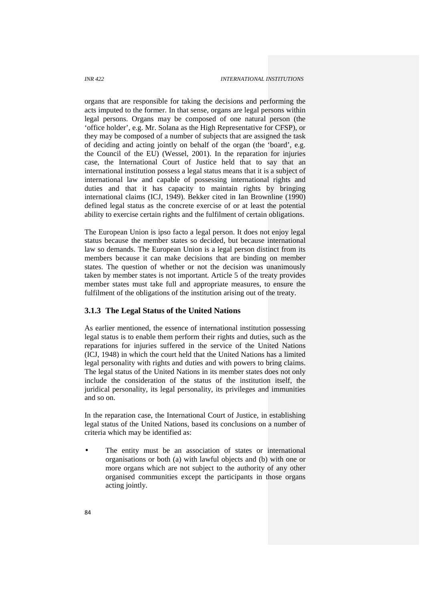organs that are responsible for taking the decisions and performing the acts imputed to the former. In that sense, organs are legal persons within legal persons. Organs may be composed of one natural person (the 'office holder', e.g. Mr. Solana as the High Representative for CFSP), or they may be composed of a number of subjects that are assigned the task of deciding and acting jointly on behalf of the organ (the 'board', e.g. the Council of the EU) (Wessel, 2001). In the reparation for injuries case, the International Court of Justice held that to say that an international institution possess a legal status means that it is a subject of international law and capable of possessing international rights and duties and that it has capacity to maintain rights by bringing international claims (ICJ, 1949). Bekker cited in Ian Brownline (1990) defined legal status as the concrete exercise of or at least the potential ability to exercise certain rights and the fulfilment of certain obligations.

The European Union is ipso facto a legal person. It does not enjoy legal status because the member states so decided, but because international law so demands. The European Union is a legal person distinct from its members because it can make decisions that are binding on member states. The question of whether or not the decision was unanimously taken by member states is not important. Article 5 of the treaty provides member states must take full and appropriate measures, to ensure the fulfilment of the obligations of the institution arising out of the treaty.

## **3.1.3 The Legal Status of the United Nations**

As earlier mentioned, the essence of international institution possessing legal status is to enable them perform their rights and duties, such as the reparations for injuries suffered in the service of the United Nations (ICJ, 1948) in which the court held that the United Nations has a limited legal personality with rights and duties and with powers to bring claims. The legal status of the United Nations in its member states does not only include the consideration of the status of the institution itself, the juridical personality, its legal personality, its privileges and immunities and so on.

In the reparation case, the International Court of Justice, in establishing legal status of the United Nations, based its conclusions on a number of criteria which may be identified as:

 The entity must be an association of states or international organisations or both (a) with lawful objects and (b) with one or more organs which are not subject to the authority of any other organised communities except the participants in those organs acting jointly.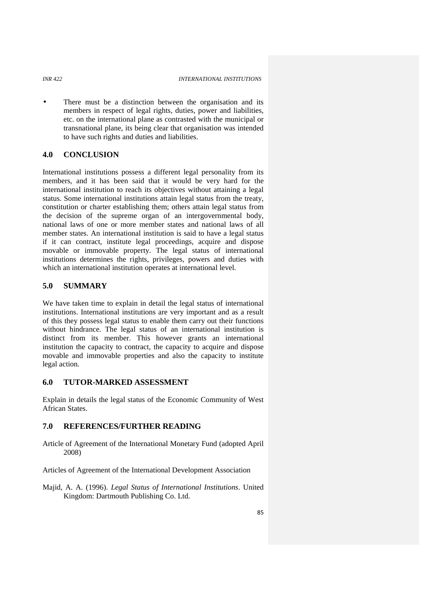There must be a distinction between the organisation and its members in respect of legal rights, duties, power and liabilities, etc. on the international plane as contrasted with the municipal or transnational plane, its being clear that organisation was intended to have such rights and duties and liabilities.

# **4.0 CONCLUSION**

International institutions possess a different legal personality from its members, and it has been said that it would be very hard for the international institution to reach its objectives without attaining a legal status. Some international institutions attain legal status from the treaty, constitution or charter establishing them; others attain legal status from the decision of the supreme organ of an intergovernmental body, national laws of one or more member states and national laws of all member states. An international institution is said to have a legal status if it can contract, institute legal proceedings, acquire and dispose movable or immovable property. The legal status of international institutions determines the rights, privileges, powers and duties with which an international institution operates at international level.

## **5.0 SUMMARY**

We have taken time to explain in detail the legal status of international institutions. International institutions are very important and as a result of this they possess legal status to enable them carry out their functions without hindrance. The legal status of an international institution is distinct from its member. This however grants an international institution the capacity to contract, the capacity to acquire and dispose movable and immovable properties and also the capacity to institute legal action.

## **6.0 TUTOR-MARKED ASSESSMENT**

Explain in details the legal status of the Economic Community of West African States.

## **7.0 REFERENCES/FURTHER READING**

- Article of Agreement of the International Monetary Fund (adopted April 2008)
- Articles of Agreement of the International Development Association
- Majid, A. A. (1996). *Legal Status of International Institutions*. United Kingdom: Dartmouth Publishing Co. Ltd.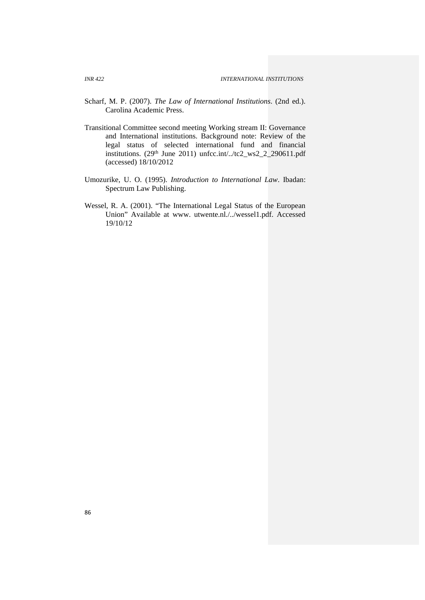- Scharf, M. P. (2007). *The Law of International Institutions*. (2nd ed.). Carolina Academic Press.
- Transitional Committee second meeting Working stream II: Governance and International institutions. Background note: Review of the legal status of selected international fund and financial institutions.  $(29<sup>th</sup>$  June 2011) unfcc.int/../tc2\_ws2\_2\_290611.pdf (accessed) 18/10/2012
- Umozurike, U. O. (1995). *Introduction to International Law*. Ibadan: Spectrum Law Publishing.
- Wessel, R. A. (2001). "The International Legal Status of the European Union" Available at www. utwente.nl./../wessel1.pdf. Accessed 19/10/12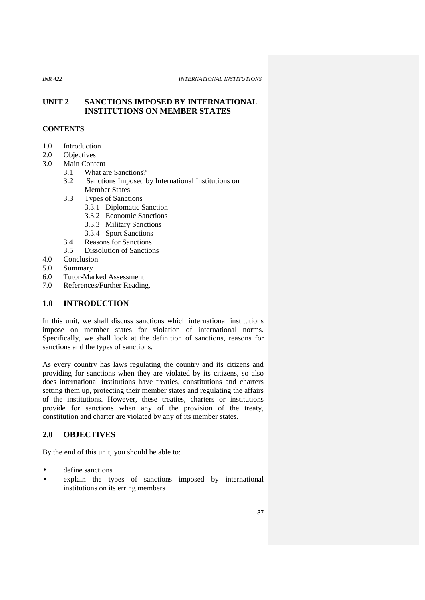# **UNIT 2 SANCTIONS IMPOSED BY INTERNATIONAL INSTITUTIONS ON MEMBER STATES**

# **CONTENTS**

- 1.0 Introduction
- 2.0 Objectives
- 3.0 Main Content
	- 3.1 What are Sanctions?
		- 3.2 Sanctions Imposed by International Institutions on Member States
		- 3.3 Types of Sanctions
			- 3.3.1 Diplomatic Sanction
			- 3.3.2 Economic Sanctions
			- 3.3.3 Military Sanctions
			- 3.3.4 Sport Sanctions
		- 3.4 Reasons for Sanctions
		- 3.5 Dissolution of Sanctions
- 4.0 Conclusion
- 5.0 Summary
- 6.0 Tutor-Marked Assessment
- 7.0 References/Further Reading.

# **1.0 INTRODUCTION**

In this unit, we shall discuss sanctions which international institutions impose on member states for violation of international norms. Specifically, we shall look at the definition of sanctions, reasons for sanctions and the types of sanctions.

As every country has laws regulating the country and its citizens and providing for sanctions when they are violated by its citizens, so also does international institutions have treaties, constitutions and charters setting them up, protecting their member states and regulating the affairs of the institutions. However, these treaties, charters or institutions provide for sanctions when any of the provision of the treaty, constitution and charter are violated by any of its member states.

# **2.0 OBJECTIVES**

By the end of this unit, you should be able to:

- define sanctions
- explain the types of sanctions imposed by international institutions on its erring members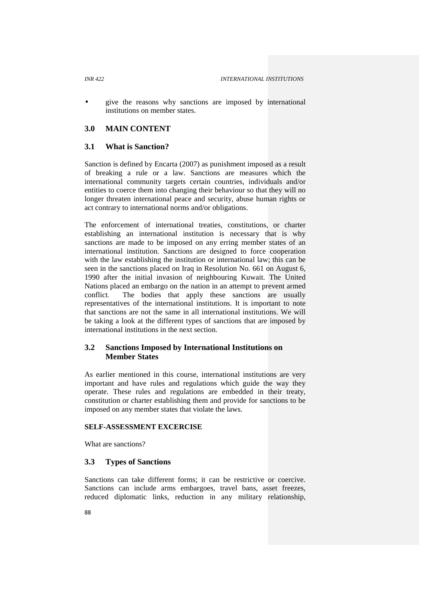give the reasons why sanctions are imposed by international institutions on member states.

# **3.0 MAIN CONTENT**

## **3.1 What is Sanction?**

Sanction is defined by Encarta (2007) as punishment imposed as a result of breaking a rule or a law. Sanctions are measures which the international community targets certain countries, individuals and/or entities to coerce them into changing their behaviour so that they will no longer threaten international peace and security, abuse human rights or act contrary to international norms and/or obligations.

The enforcement of international treaties, constitutions, or charter establishing an international institution is necessary that is why sanctions are made to be imposed on any erring member states of an international institution. Sanctions are designed to force cooperation with the law establishing the institution or international law; this can be seen in the sanctions placed on Iraq in Resolution No. 661 on August 6, 1990 after the initial invasion of neighbouring Kuwait. The United Nations placed an embargo on the nation in an attempt to prevent armed conflict. The bodies that apply these sanctions are usually representatives of the international institutions. It is important to note that sanctions are not the same in all international institutions. We will be taking a look at the different types of sanctions that are imposed by international institutions in the next section.

# **3.2 Sanctions Imposed by International Institutions on Member States**

As earlier mentioned in this course, international institutions are very important and have rules and regulations which guide the way they operate. These rules and regulations are embedded in their treaty, constitution or charter establishing them and provide for sanctions to be imposed on any member states that violate the laws.

### **SELF-ASSESSMENT EXCERCISE**

What are sanctions?

## **3.3 Types of Sanctions**

Sanctions can take different forms; it can be restrictive or coercive. Sanctions can include arms embargoes, travel bans, asset freezes, reduced diplomatic links, reduction in any military relationship,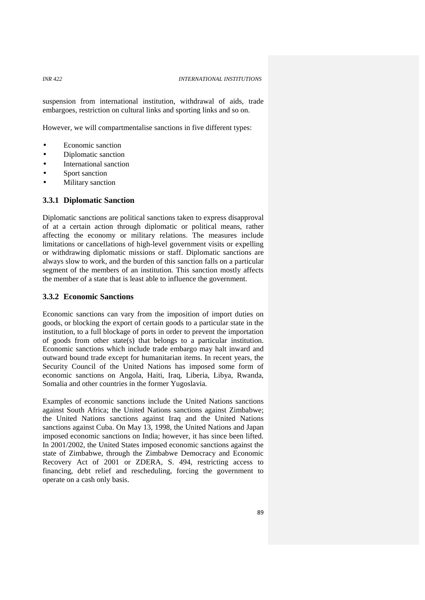suspension from international institution, withdrawal of aids, trade embargoes, restriction on cultural links and sporting links and so on.

However, we will compartmentalise sanctions in five different types:

- Economic sanction
- Diplomatic sanction
- International sanction
- Sport sanction
- Military sanction

## **3.3.1 Diplomatic Sanction**

Diplomatic sanctions are political sanctions taken to express disapproval of at a certain action through diplomatic or political means, rather affecting the economy or military relations. The measures include limitations or cancellations of high-level government visits or expelling or withdrawing diplomatic missions or staff. Diplomatic sanctions are always slow to work, and the burden of this sanction falls on a particular segment of the members of an institution. This sanction mostly affects the member of a state that is least able to influence the government.

## **3.3.2 Economic Sanctions**

Economic sanctions can vary from the imposition of import duties on goods, or blocking the export of certain goods to a particular state in the institution, to a full blockage of ports in order to prevent the importation of goods from other state(s) that belongs to a particular institution. Economic sanctions which include trade embargo may halt inward and outward bound trade except for humanitarian items. In recent years, the Security Council of the United Nations has imposed some form of economic sanctions on Angola, Haiti, Iraq, Liberia, Libya, Rwanda, Somalia and other countries in the former Yugoslavia.

Examples of economic sanctions include the United Nations sanctions against South Africa; the United Nations sanctions against Zimbabwe; the United Nations sanctions against Iraq and the United Nations sanctions against Cuba. On May 13, 1998, the United Nations and Japan imposed economic sanctions on India; however, it has since been lifted. In 2001/2002, the United States imposed economic sanctions against the state of Zimbabwe, through the Zimbabwe Democracy and Economic Recovery Act of 2001 or ZDERA, S. 494, restricting access to financing, debt relief and rescheduling, forcing the government to operate on a cash only basis.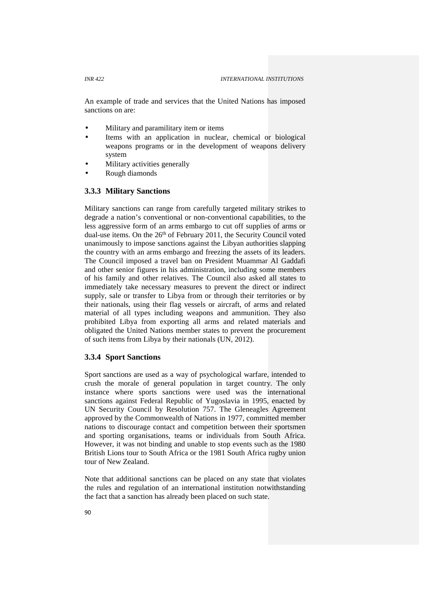An example of trade and services that the United Nations has imposed sanctions on are:

- Military and paramilitary item or items
- Items with an application in nuclear, chemical or biological weapons programs or in the development of weapons delivery system
- Military activities generally
- Rough diamonds

## **3.3.3 Military Sanctions**

Military sanctions can range from carefully targeted military strikes to degrade a nation's conventional or non-conventional capabilities, to the less aggressive form of an arms embargo to cut off supplies of arms or dual-use items. On the 26<sup>th</sup> of February 2011, the Security Council voted unanimously to impose sanctions against the Libyan authorities slapping the country with an arms embargo and freezing the assets of its leaders. The Council imposed a travel ban on President Muammar Al Gaddafi and other senior figures in his administration, including some members of his family and other relatives. The Council also asked all states to immediately take necessary measures to prevent the direct or indirect supply, sale or transfer to Libya from or through their territories or by their nationals, using their flag vessels or aircraft, of arms and related material of all types including weapons and ammunition. They also prohibited Libya from exporting all arms and related materials and obligated the United Nations member states to prevent the procurement of such items from Libya by their nationals (UN, 2012).

# **3.3.4 Sport Sanctions**

Sport sanctions are used as a way of psychological warfare, intended to crush the morale of general population in target country. The only instance where sports sanctions were used was the international sanctions against Federal Republic of Yugoslavia in 1995, enacted by UN Security Council by Resolution 757. The Gleneagles Agreement approved by the Commonwealth of Nations in 1977, committed member nations to discourage contact and competition between their sportsmen and sporting organisations, teams or individuals from South Africa. However, it was not binding and unable to stop events such as the 1980 British Lions tour to South Africa or the 1981 South Africa rugby union tour of New Zealand.

Note that additional sanctions can be placed on any state that violates the rules and regulation of an international institution notwithstanding the fact that a sanction has already been placed on such state.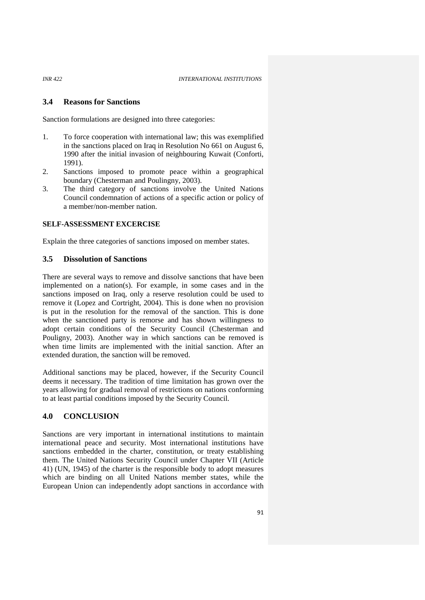## **3.4 Reasons for Sanctions**

Sanction formulations are designed into three categories:

- 1. To force cooperation with international law; this was exemplified in the sanctions placed on Iraq in Resolution No 661 on August 6, 1990 after the initial invasion of neighbouring Kuwait (Conforti, 1991).
- 2. Sanctions imposed to promote peace within a geographical boundary (Chesterman and Poulingny, 2003).
- 3. The third category of sanctions involve the United Nations Council condemnation of actions of a specific action or policy of a member/non-member nation.

#### **SELF-ASSESSMENT EXCERCISE**

Explain the three categories of sanctions imposed on member states.

## **3.5 Dissolution of Sanctions**

There are several ways to remove and dissolve sanctions that have been implemented on a nation(s). For example, in some cases and in the sanctions imposed on Iraq, only a reserve resolution could be used to remove it (Lopez and Cortright, 2004). This is done when no provision is put in the resolution for the removal of the sanction. This is done when the sanctioned party is remorse and has shown willingness to adopt certain conditions of the Security Council (Chesterman and Pouligny, 2003). Another way in which sanctions can be removed is when time limits are implemented with the initial sanction. After an extended duration, the sanction will be removed.

Additional sanctions may be placed, however, if the Security Council deems it necessary. The tradition of time limitation has grown over the years allowing for gradual removal of restrictions on nations conforming to at least partial conditions imposed by the Security Council.

# **4.0 CONCLUSION**

Sanctions are very important in international institutions to maintain international peace and security. Most international institutions have sanctions embedded in the charter, constitution, or treaty establishing them. The United Nations Security Council under Chapter VII (Article 41) (UN, 1945) of the charter is the responsible body to adopt measures which are binding on all United Nations member states, while the European Union can independently adopt sanctions in accordance with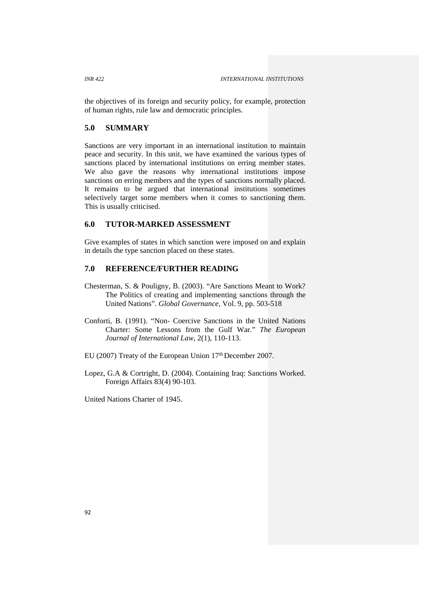the objectives of its foreign and security policy, for example, protection of human rights, rule law and democratic principles.

# **5.0 SUMMARY**

Sanctions are very important in an international institution to maintain peace and security. In this unit, we have examined the various types of sanctions placed by international institutions on erring member states. We also gave the reasons why international institutions impose sanctions on erring members and the types of sanctions normally placed. It remains to be argued that international institutions sometimes selectively target some members when it comes to sanctioning them. This is usually criticised.

# **6.0 TUTOR-MARKED ASSESSMENT**

Give examples of states in which sanction were imposed on and explain in details the type sanction placed on these states.

# **7.0 REFERENCE/FURTHER READING**

- Chesterman, S. & Pouligny, B. (2003). "Are Sanctions Meant to Work? The Politics of creating and implementing sanctions through the United Nations". *Global Governance,* Vol. 9, pp. 503-518
- Conforti, B. (1991). "Non- Coercive Sanctions in the United Nations Charter: Some Lessons from the Gulf War." *The European Journal of International Law*, 2(1), 110-113.
- EU (2007) Treaty of the European Union 17<sup>th</sup> December 2007.
- Lopez, G.A & Cortright, D. (2004). Containing Iraq: Sanctions Worked. Foreign Affairs 83(4) 90-103.

United Nations Charter of 1945.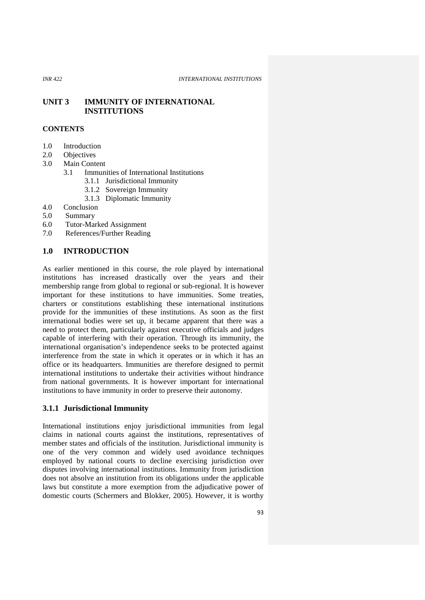## **UNIT 3 IMMUNITY OF INTERNATIONAL INSTITUTIONS**

# **CONTENTS**

- 1.0 Introduction
- 2.0 Objectives
- 3.0 Main Content
	- 3.1 Immunities of International Institutions
		- 3.1.1 Jurisdictional Immunity
		- 3.1.2 Sovereign Immunity
		- 3.1.3 Diplomatic Immunity
- 4.0 Conclusion
- 5.0 Summary
- 6.0 Tutor-Marked Assignment
- 7.0 References/Further Reading

## **1.0 INTRODUCTION**

As earlier mentioned in this course, the role played by international institutions has increased drastically over the years and their membership range from global to regional or sub-regional. It is however important for these institutions to have immunities. Some treaties, charters or constitutions establishing these international institutions provide for the immunities of these institutions. As soon as the first international bodies were set up, it became apparent that there was a need to protect them, particularly against executive officials and judges capable of interfering with their operation. Through its immunity, the international organisation's independence seeks to be protected against interference from the state in which it operates or in which it has an office or its headquarters. Immunities are therefore designed to permit international institutions to undertake their activities without hindrance from national governments. It is however important for international institutions to have immunity in order to preserve their autonomy.

## **3.1.1 Jurisdictional Immunity**

International institutions enjoy jurisdictional immunities from legal claims in national courts against the institutions, representatives of member states and officials of the institution. Jurisdictional immunity is one of the very common and widely used avoidance techniques employed by national courts to decline exercising jurisdiction over disputes involving international institutions. Immunity from jurisdiction does not absolve an institution from its obligations under the applicable laws but constitute a more exemption from the adjudicative power of domestic courts (Schermers and Blokker, 2005). However, it is worthy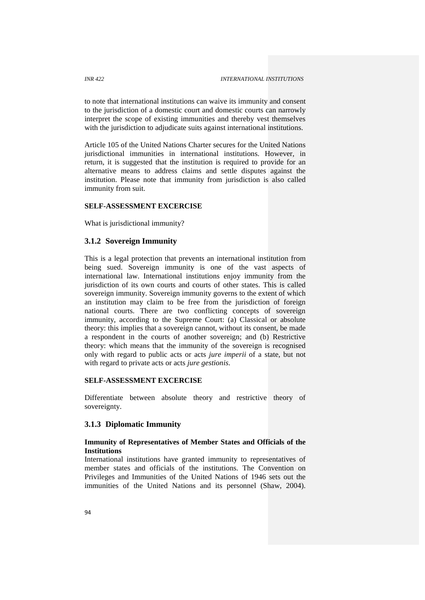to note that international institutions can waive its immunity and consent to the jurisdiction of a domestic court and domestic courts can narrowly interpret the scope of existing immunities and thereby vest themselves with the jurisdiction to adjudicate suits against international institutions.

Article 105 of the United Nations Charter secures for the United Nations jurisdictional immunities in international institutions. However, in return, it is suggested that the institution is required to provide for an alternative means to address claims and settle disputes against the institution. Please note that immunity from jurisdiction is also called immunity from suit.

## **SELF-ASSESSMENT EXCERCISE**

What is jurisdictional immunity?

## **3.1.2 Sovereign Immunity**

This is a legal protection that prevents an international institution from being sued. Sovereign immunity is one of the vast aspects of international law. International institutions enjoy immunity from the jurisdiction of its own courts and courts of other states. This is called sovereign immunity. Sovereign immunity governs to the extent of which an institution may claim to be free from the jurisdiction of foreign national courts. There are two conflicting concepts of sovereign immunity, according to the Supreme Court: (a) Classical or absolute theory: this implies that a sovereign cannot, without its consent, be made a respondent in the courts of another sovereign; and (b) Restrictive theory: which means that the immunity of the sovereign is recognised only with regard to public acts or acts *jure imperii* of a state, but not with regard to private acts or acts *jure gestionis*.

## **SELF-ASSESSMENT EXCERCISE**

Differentiate between absolute theory and restrictive theory of sovereignty.

### **3.1.3 Diplomatic Immunity**

## **Immunity of Representatives of Member States and Officials of the Institutions**

International institutions have granted immunity to representatives of member states and officials of the institutions. The Convention on Privileges and Immunities of the United Nations of 1946 sets out the immunities of the United Nations and its personnel (Shaw, 2004).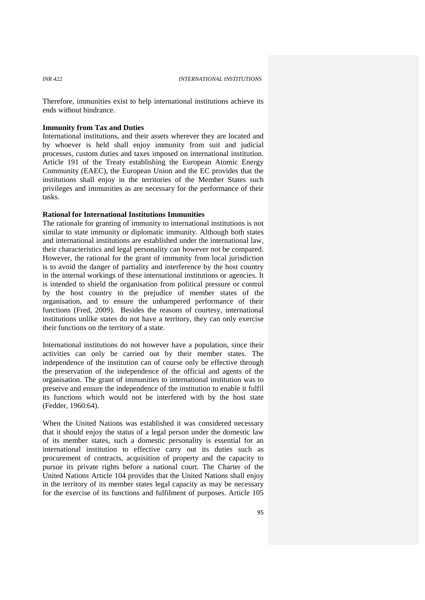Therefore, immunities exist to help international institutions achieve its ends without hindrance.

### **Immunity from Tax and Duties**

International institutions, and their assets wherever they are located and by whoever is held shall enjoy immunity from suit and judicial processes, custom duties and taxes imposed on international institution. Article 191 of the Treaty establishing the European Atomic Energy Community (EAEC), the European Union and the EC provides that the institutions shall enjoy in the territories of the Member States such privileges and immunities as are necessary for the performance of their tasks.

# **Rational for International Institutions Immunities**

The rationale for granting of immunity to international institutions is not similar to state immunity or diplomatic immunity. Although both states and international institutions are established under the international law, their characteristics and legal personality can however not be compared. However, the rational for the grant of immunity from local jurisdiction is to avoid the danger of partiality and interference by the host country in the internal workings of these international institutions or agencies. It is intended to shield the organisation from political pressure or control by the host country to the prejudice of member states of the organisation, and to ensure the unhampered performance of their functions (Fred, 2009). Besides the reasons of courtesy, international institutions unlike states do not have a territory, they can only exercise their functions on the territory of a state.

International institutions do not however have a population, since their activities can only be carried out by their member states. The independence of the institution can of course only be effective through the preservation of the independence of the official and agents of the organisation. The grant of immunities to international institution was to preserve and ensure the independence of the institution to enable it fulfil its functions which would not be interfered with by the host state (Fedder, 1960:64).

When the United Nations was established it was considered necessary that it should enjoy the status of a legal person under the domestic law of its member states, such a domestic personality is essential for an international institution to effective carry out its duties such as procurement of contracts, acquisition of property and the capacity to pursue its private rights before a national court. The Charter of the United Nations Article 104 provides that the United Nations shall enjoy in the territory of its member states legal capacity as may be necessary for the exercise of its functions and fulfilment of purposes. Article 105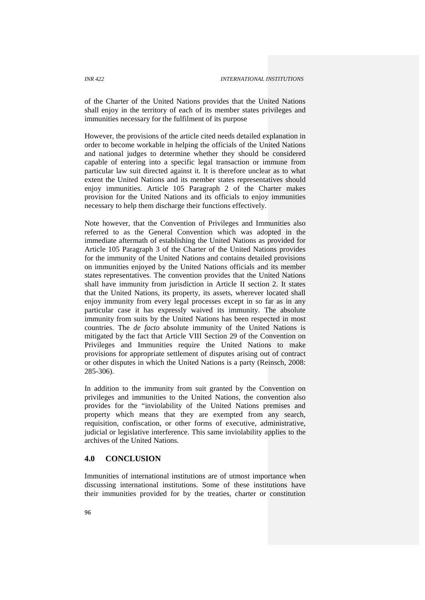of the Charter of the United Nations provides that the United Nations shall enjoy in the territory of each of its member states privileges and immunities necessary for the fulfilment of its purpose

However, the provisions of the article cited needs detailed explanation in order to become workable in helping the officials of the United Nations and national judges to determine whether they should be considered capable of entering into a specific legal transaction or immune from particular law suit directed against it. It is therefore unclear as to what extent the United Nations and its member states representatives should enjoy immunities. Article 105 Paragraph 2 of the Charter makes provision for the United Nations and its officials to enjoy immunities necessary to help them discharge their functions effectively.

Note however, that the Convention of Privileges and Immunities also referred to as the General Convention which was adopted in the immediate aftermath of establishing the United Nations as provided for Article 105 Paragraph 3 of the Charter of the United Nations provides for the immunity of the United Nations and contains detailed provisions on immunities enjoyed by the United Nations officials and its member states representatives. The convention provides that the United Nations shall have immunity from jurisdiction in Article II section 2. It states that the United Nations, its property, its assets, wherever located shall enjoy immunity from every legal processes except in so far as in any particular case it has expressly waived its immunity. The absolute immunity from suits by the United Nations has been respected in most countries. The *de facto* absolute immunity of the United Nations is mitigated by the fact that Article VIII Section 29 of the Convention on Privileges and Immunities require the United Nations to make provisions for appropriate settlement of disputes arising out of contract or other disputes in which the United Nations is a party (Reinsch, 2008: 285-306).

In addition to the immunity from suit granted by the Convention on privileges and immunities to the United Nations, the convention also provides for the "inviolability of the United Nations premises and property which means that they are exempted from any search, requisition, confiscation, or other forms of executive, administrative, judicial or legislative interference. This same inviolability applies to the archives of the United Nations.

## **4.0 CONCLUSION**

Immunities of international institutions are of utmost importance when discussing international institutions. Some of these institutions have their immunities provided for by the treaties, charter or constitution